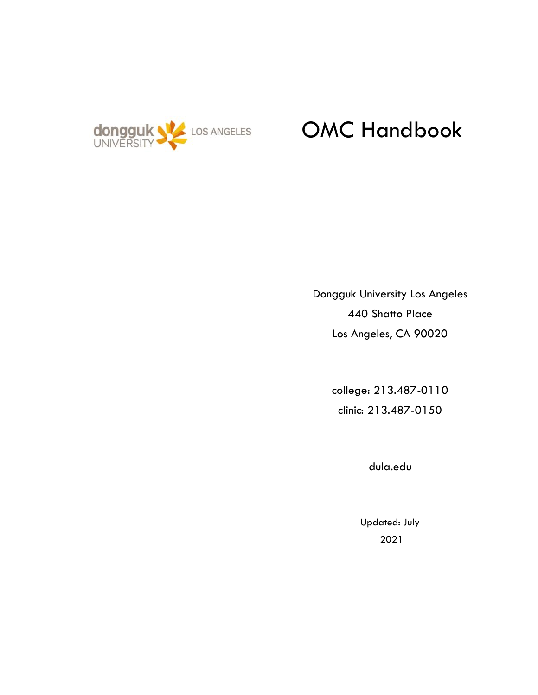

Dongguk University Los Angeles 440 Shatto Place Los Angeles, CA 90020

> college: 213.487-0110 clinic: 213.487-0150

> > dula.edu

Updated: July 2021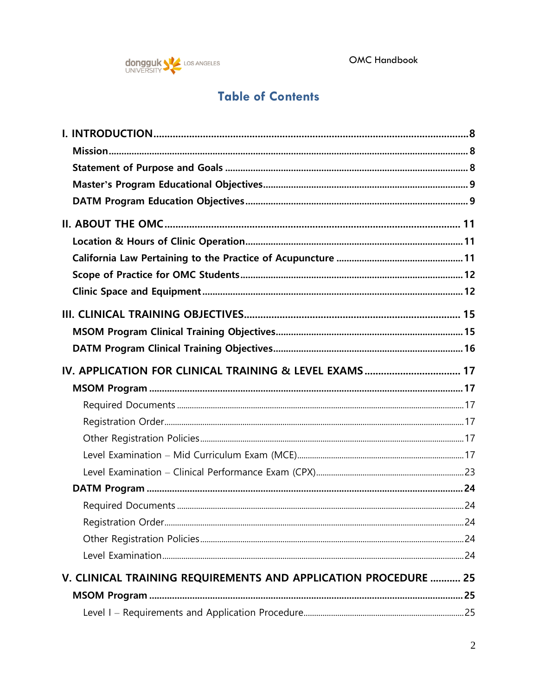

# **Table of Contents**

| V. CLINICAL TRAINING REQUIREMENTS AND APPLICATION PROCEDURE  25 |  |
|-----------------------------------------------------------------|--|
|                                                                 |  |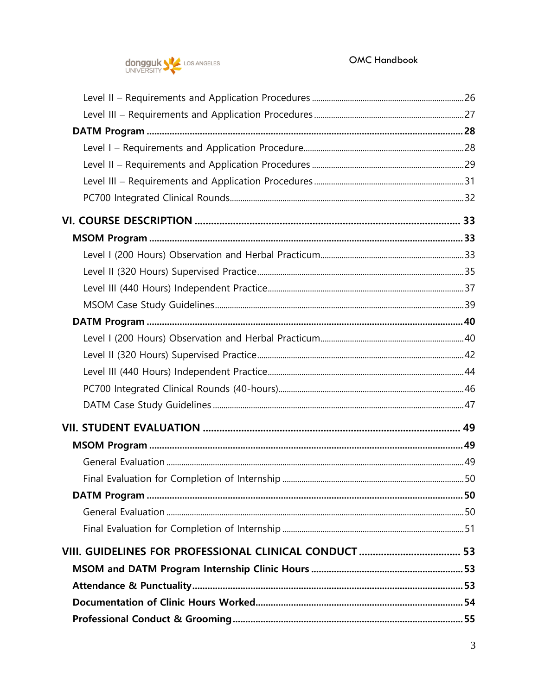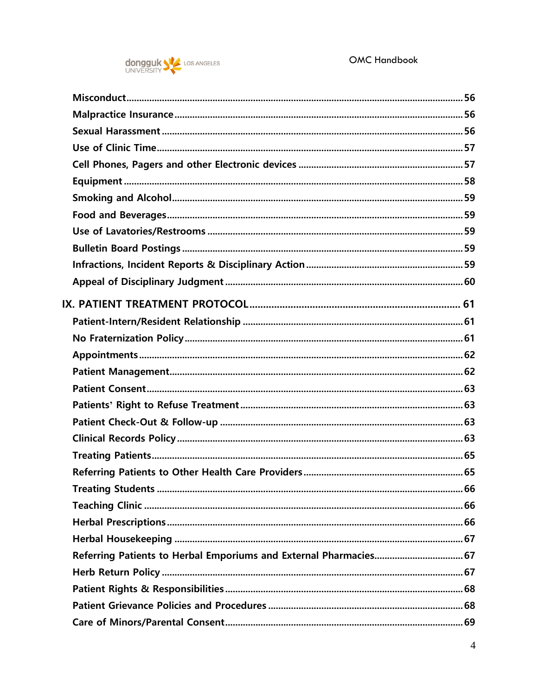

| Referring Patients to Herbal Emporiums and External Pharmacies 67 |  |
|-------------------------------------------------------------------|--|
|                                                                   |  |
|                                                                   |  |
|                                                                   |  |
|                                                                   |  |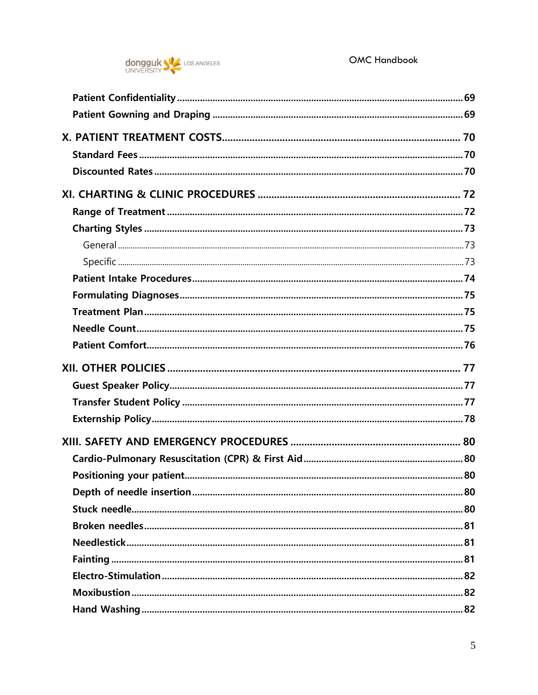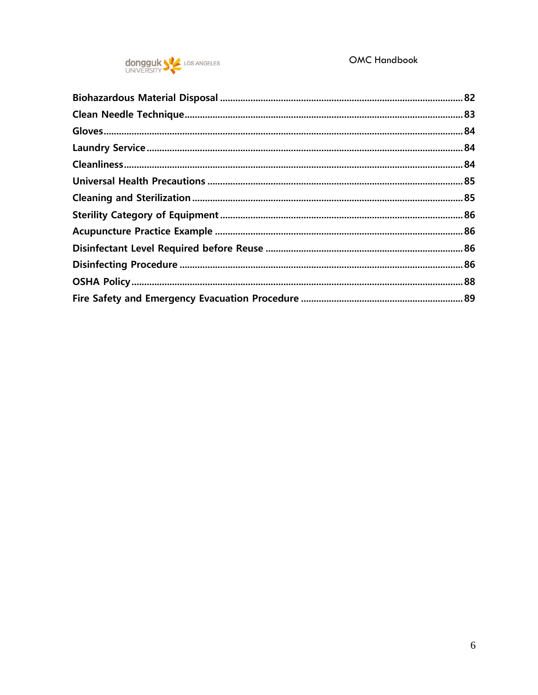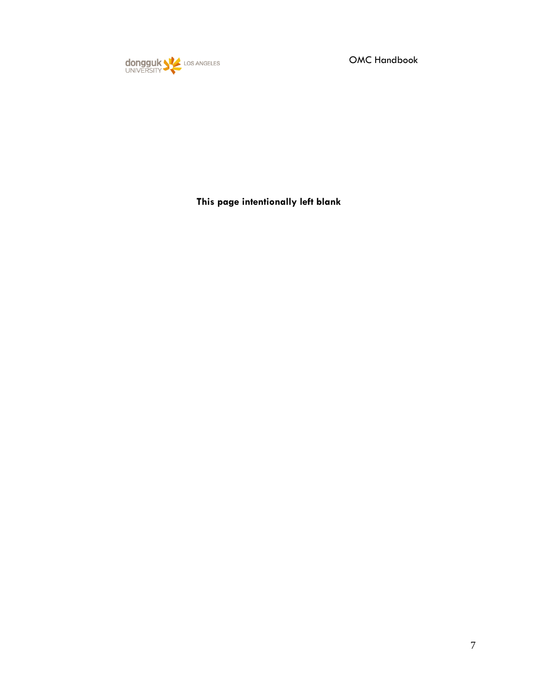

**This page intentionally left blank**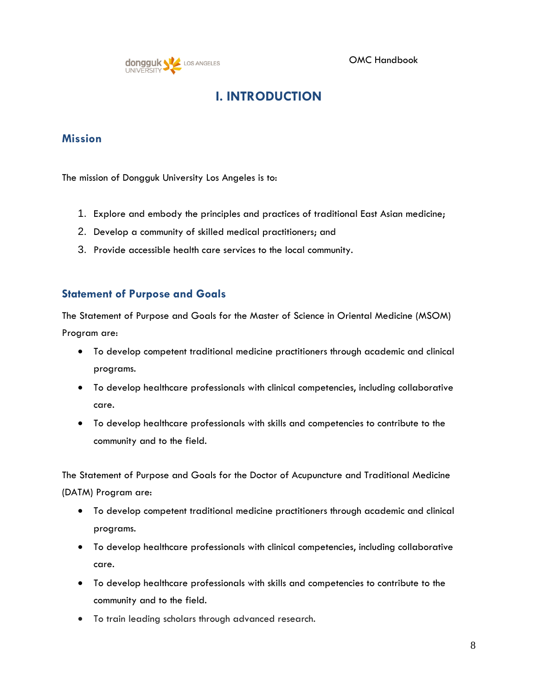

# **I. INTRODUCTION**

# <span id="page-7-1"></span><span id="page-7-0"></span>**Mission**

The mission of Dongguk University Los Angeles is to:

- 1. Explore and embody the principles and practices of traditional East Asian medicine;
- 2. Develop a community of skilled medical practitioners; and
- 3. Provide accessible health care services to the local community.

# <span id="page-7-2"></span>**Statement of Purpose and Goals**

The Statement of Purpose and Goals for the Master of Science in Oriental Medicine (MSOM) Program are:

- To develop competent traditional medicine practitioners through academic and clinical programs.
- To develop healthcare professionals with clinical competencies, including collaborative care.
- To develop healthcare professionals with skills and competencies to contribute to the community and to the field.

The Statement of Purpose and Goals for the Doctor of Acupuncture and Traditional Medicine (DATM) Program are:

- To develop competent traditional medicine practitioners through academic and clinical programs.
- To develop healthcare professionals with clinical competencies, including collaborative care.
- To develop healthcare professionals with skills and competencies to contribute to the community and to the field.
- To train leading scholars through advanced research.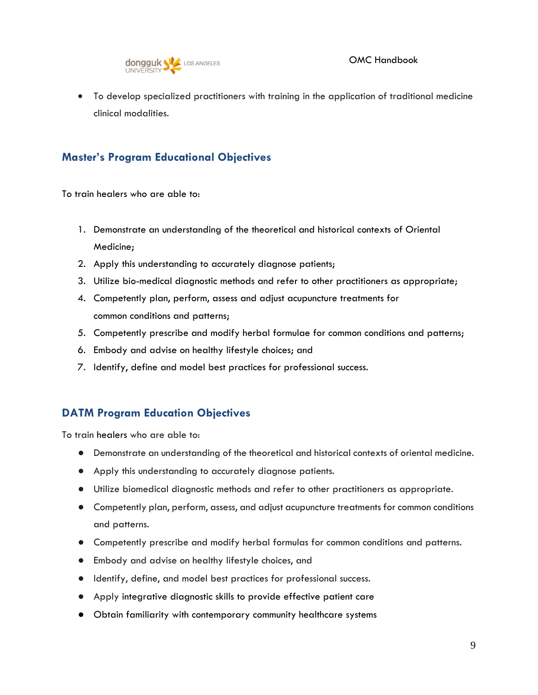

• To develop specialized practitioners with training in the application of traditional medicine clinical modalities.

# <span id="page-8-0"></span>**Master's Program Educational Objectives**

To train healers who are able to:

- 1. Demonstrate an understanding of the theoretical and historical contexts of Oriental Medicine;
- 2. Apply this understanding to accurately diagnose patients;
- 3. Utilize bio-medical diagnostic methods and refer to other practitioners as appropriate;
- 4. Competently plan, perform, assess and adjust acupuncture treatments for common conditions and patterns;
- 5. Competently prescribe and modify herbal formulae for common conditions and patterns;
- 6. Embody and advise on healthy lifestyle choices; and
- 7. Identify, define and model best practices for professional success.

# <span id="page-8-1"></span>**DATM Program Education Objectives**

To train healers who are able to:

- Demonstrate an understanding of the theoretical and historical contexts of oriental medicine.
- Apply this understanding to accurately diagnose patients.
- Utilize biomedical diagnostic methods and refer to other practitioners as appropriate.
- Competently plan, perform, assess, and adjust acupuncture treatments for common conditions and patterns.
- Competently prescribe and modify herbal formulas for common conditions and patterns.
- Embody and advise on healthy lifestyle choices, and
- Identify, define, and model best practices for professional success.
- Apply integrative diagnostic skills to provide effective patient care
- Obtain familiarity with contemporary community healthcare systems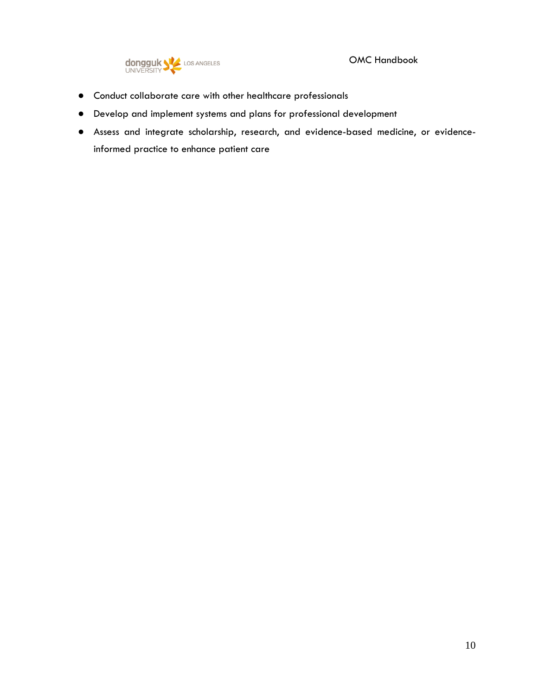

- Conduct collaborate care with other healthcare professionals
- Develop and implement systems and plans for professional development
- Assess and integrate scholarship, research, and evidence-based medicine, or evidenceinformed practice to enhance patient care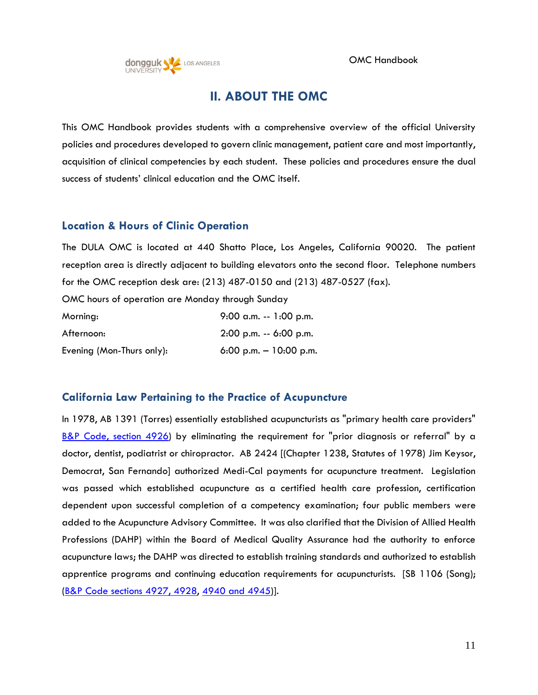

# **II. ABOUT THE OMC**

<span id="page-10-0"></span>This OMC Handbook provides students with a comprehensive overview of the official University policies and procedures developed to govern clinic management, patient care and most importantly, acquisition of clinical competencies by each student. These policies and procedures ensure the dual success of students' clinical education and the OMC itself.

### <span id="page-10-1"></span>**Location & Hours of Clinic Operation**

The DULA OMC is located at 440 Shatto Place, Los Angeles, California 90020. The patient reception area is directly adjacent to building elevators onto the second floor. Telephone numbers for the OMC reception desk are: (213) 487-0150 and (213) 487-0527 (fax).

OMC hours of operation are Monday through Sunday

| Morning:                  | 9:00 a.m. $-1:00$ p.m.   |
|---------------------------|--------------------------|
| Afternoon:                | $2:00$ p.m. $-6:00$ p.m. |
| Evening (Mon-Thurs only): | 6:00 p.m. $-10:00$ p.m.  |

# <span id="page-10-2"></span>**California Law Pertaining to the Practice of Acupuncture**

In 1978, AB 1391 (Torres) essentially established acupuncturists as "primary health care providers" [B&P Code, section 4926\)](http://www.leginfo.ca.gov/cgi-bin/displaycode?section=bpc&group=04001-05000&file=4925-4934.2) by eliminating the requirement for "prior diagnosis or referral" by a doctor, dentist, podiatrist or chiropractor. AB 2424 [(Chapter 1238, Statutes of 1978) Jim Keysor, Democrat, San Fernando] authorized Medi-Cal payments for acupuncture treatment. Legislation was passed which established acupuncture as a certified health care profession, certification dependent upon successful completion of a competency examination; four public members were added to the Acupuncture Advisory Committee. It was also clarified that the Division of Allied Health Professions (DAHP) within the Board of Medical Quality Assurance had the authority to enforce acupuncture laws; the DAHP was directed to establish training standards and authorized to establish apprentice programs and continuing education requirements for acupuncturists. [SB 1106 (Song); [\(B&P Code sections 4927, 4928,](http://www.leginfo.ca.gov/cgi-bin/displaycode?section=bpc&group=04001-05000&file=4925-4934.2) [4940 and 4945\)](http://www.leginfo.ca.gov/cgi-bin/displaycode?section=bpc&group=04001-05000&file=4935-4949)].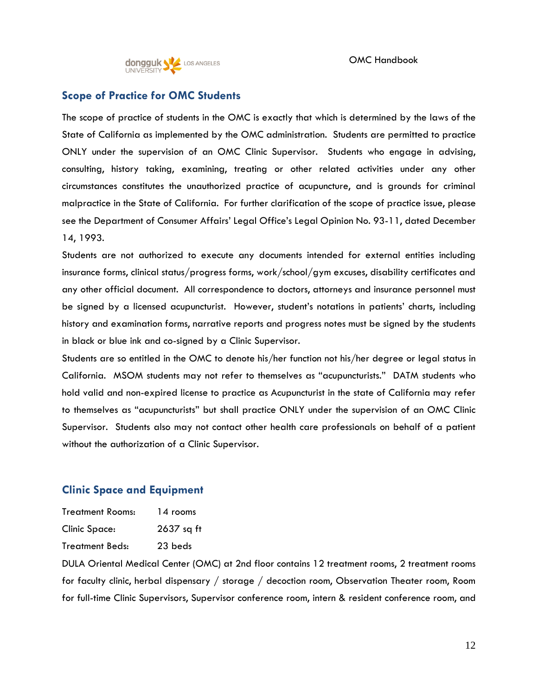

# <span id="page-11-0"></span>**Scope of Practice for OMC Students**

The scope of practice of students in the OMC is exactly that which is determined by the laws of the State of California as implemented by the OMC administration. Students are permitted to practice ONLY under the supervision of an OMC Clinic Supervisor. Students who engage in advising, consulting, history taking, examining, treating or other related activities under any other circumstances constitutes the unauthorized practice of acupuncture, and is grounds for criminal malpractice in the State of California. For further clarification of the scope of practice issue, please see the Department of Consumer Affairs' Legal Office's Legal Opinion No. 93-11, dated December 14, 1993.

Students are not authorized to execute any documents intended for external entities including insurance forms, clinical status/progress forms, work/school/gym excuses, disability certificates and any other official document. All correspondence to doctors, attorneys and insurance personnel must be signed by a licensed acupuncturist. However, student's notations in patients' charts, including history and examination forms, narrative reports and progress notes must be signed by the students in black or blue ink and co-signed by a Clinic Supervisor.

Students are so entitled in the OMC to denote his/her function not his/her degree or legal status in California. MSOM students may not refer to themselves as "acupuncturists." DATM students who hold valid and non-expired license to practice as Acupuncturist in the state of California may refer to themselves as "acupuncturists" but shall practice ONLY under the supervision of an OMC Clinic Supervisor. Students also may not contact other health care professionals on behalf of a patient without the authorization of a Clinic Supervisor.

# <span id="page-11-1"></span>**Clinic Space and Equipment**

| <b>Treatment Rooms:</b> |  | 14 rooms |
|-------------------------|--|----------|
|-------------------------|--|----------|

Clinic Space: 2637 sq ft

Treatment Beds: 23 beds

DULA Oriental Medical Center (OMC) at 2nd floor contains 12 treatment rooms, 2 treatment rooms for faculty clinic, herbal dispensary / storage / decoction room, Observation Theater room, Room for full-time Clinic Supervisors, Supervisor conference room, intern & resident conference room, and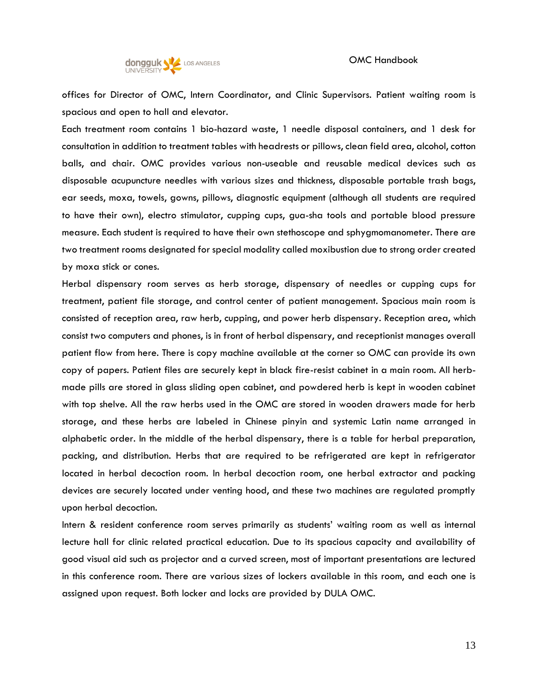

offices for Director of OMC, Intern Coordinator, and Clinic Supervisors. Patient waiting room is spacious and open to hall and elevator.

Each treatment room contains 1 bio-hazard waste, 1 needle disposal containers, and 1 desk for consultation in addition to treatment tables with headrests or pillows, clean field area, alcohol, cotton balls, and chair. OMC provides various non-useable and reusable medical devices such as disposable acupuncture needles with various sizes and thickness, disposable portable trash bags, ear seeds, moxa, towels, gowns, pillows, diagnostic equipment (although all students are required to have their own), electro stimulator, cupping cups, gua-sha tools and portable blood pressure measure. Each student is required to have their own stethoscope and sphygmomanometer. There are two treatment rooms designated for special modality called moxibustion due to strong order created by moxa stick or cones.

Herbal dispensary room serves as herb storage, dispensary of needles or cupping cups for treatment, patient file storage, and control center of patient management. Spacious main room is consisted of reception area, raw herb, cupping, and power herb dispensary. Reception area, which consist two computers and phones, is in front of herbal dispensary, and receptionist manages overall patient flow from here. There is copy machine available at the corner so OMC can provide its own copy of papers. Patient files are securely kept in black fire-resist cabinet in a main room. All herbmade pills are stored in glass sliding open cabinet, and powdered herb is kept in wooden cabinet with top shelve. All the raw herbs used in the OMC are stored in wooden drawers made for herb storage, and these herbs are labeled in Chinese pinyin and systemic Latin name arranged in alphabetic order. In the middle of the herbal dispensary, there is a table for herbal preparation, packing, and distribution. Herbs that are required to be refrigerated are kept in refrigerator located in herbal decoction room. In herbal decoction room, one herbal extractor and packing devices are securely located under venting hood, and these two machines are regulated promptly upon herbal decoction.

Intern & resident conference room serves primarily as students' waiting room as well as internal lecture hall for clinic related practical education. Due to its spacious capacity and availability of good visual aid such as projector and a curved screen, most of important presentations are lectured in this conference room. There are various sizes of lockers available in this room, and each one is assigned upon request. Both locker and locks are provided by DULA OMC.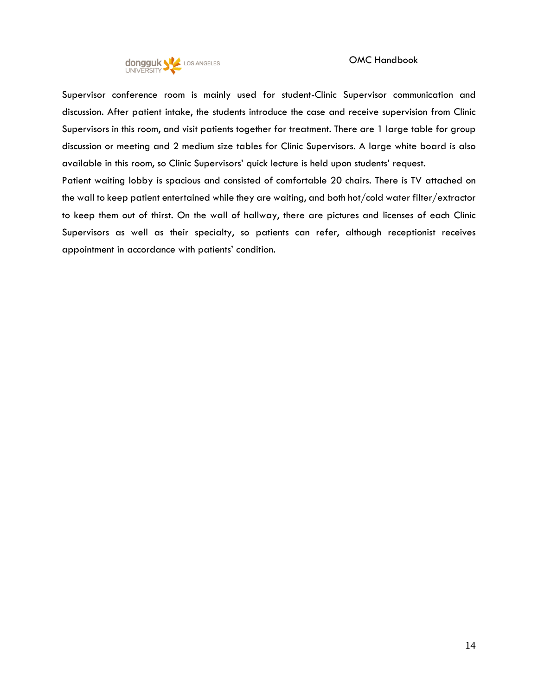

Supervisor conference room is mainly used for student-Clinic Supervisor communication and discussion. After patient intake, the students introduce the case and receive supervision from Clinic Supervisors in this room, and visit patients together for treatment. There are 1 large table for group discussion or meeting and 2 medium size tables for Clinic Supervisors. A large white board is also available in this room, so Clinic Supervisors' quick lecture is held upon students' request.

Patient waiting lobby is spacious and consisted of comfortable 20 chairs. There is TV attached on the wall to keep patient entertained while they are waiting, and both hot/cold water filter/extractor to keep them out of thirst. On the wall of hallway, there are pictures and licenses of each Clinic Supervisors as well as their specialty, so patients can refer, although receptionist receives appointment in accordance with patients' condition.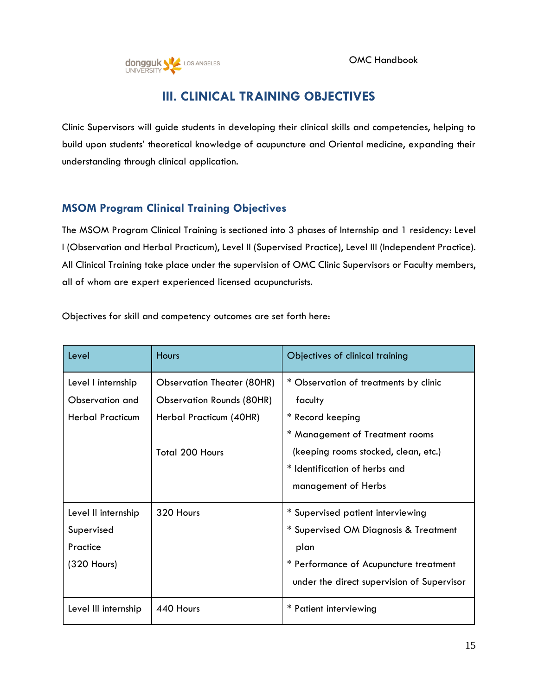

# **III. CLINICAL TRAINING OBJECTIVES**

<span id="page-14-0"></span>Clinic Supervisors will guide students in developing their clinical skills and competencies, helping to build upon students' theoretical knowledge of acupuncture and Oriental medicine, expanding their understanding through clinical application.

# <span id="page-14-1"></span>**MSOM Program Clinical Training Objectives**

The MSOM Program Clinical Training is sectioned into 3 phases of Internship and 1 residency: Level I (Observation and Herbal Practicum), Level II (Supervised Practice), Level III (Independent Practice). All Clinical Training take place under the supervision of OMC Clinic Supervisors or Faculty members, all of whom are expert experienced licensed acupuncturists.

Objectives for skill and competency outcomes are set forth here:

| Level                   | <b>Hours</b>                      | Objectives of clinical training            |
|-------------------------|-----------------------------------|--------------------------------------------|
| Level I internship      | <b>Observation Theater (80HR)</b> | * Observation of treatments by clinic      |
| Observation and         | <b>Observation Rounds (80HR)</b>  | faculty                                    |
| <b>Herbal Practicum</b> | Herbal Practicum (40HR)           | * Record keeping                           |
|                         |                                   | * Management of Treatment rooms            |
|                         | <b>Total 200 Hours</b>            | (keeping rooms stocked, clean, etc.)       |
|                         |                                   | * Identification of herbs and              |
|                         |                                   | management of Herbs                        |
| Level II internship     | 320 Hours                         | * Supervised patient interviewing          |
| Supervised              |                                   | * Supervised OM Diagnosis & Treatment      |
| Practice                |                                   | plan                                       |
| $(320$ Hours)           |                                   | * Performance of Acupuncture treatment     |
|                         |                                   | under the direct supervision of Supervisor |
| Level III internship    | 440 Hours                         | * Patient interviewing                     |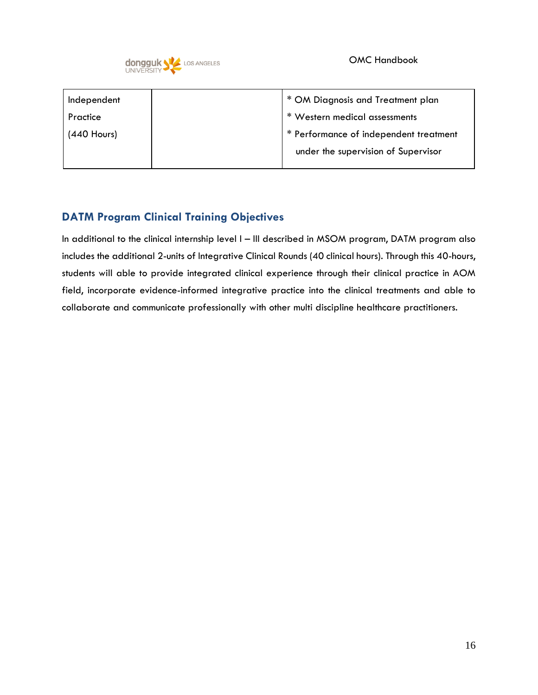

| Independent   | * OM Diagnosis and Treatment plan      |
|---------------|----------------------------------------|
| Practice      | * Western medical assessments          |
| $(440$ Hours) | * Performance of independent treatment |
|               | under the supervision of Supervisor    |
|               |                                        |

# <span id="page-15-0"></span>**DATM Program Clinical Training Objectives**

In additional to the clinical internship level I – III described in MSOM program, DATM program also includes the additional 2-units of Integrative Clinical Rounds (40 clinical hours). Through this 40-hours, students will able to provide integrated clinical experience through their clinical practice in AOM field, incorporate evidence-informed integrative practice into the clinical treatments and able to collaborate and communicate professionally with other multi discipline healthcare practitioners.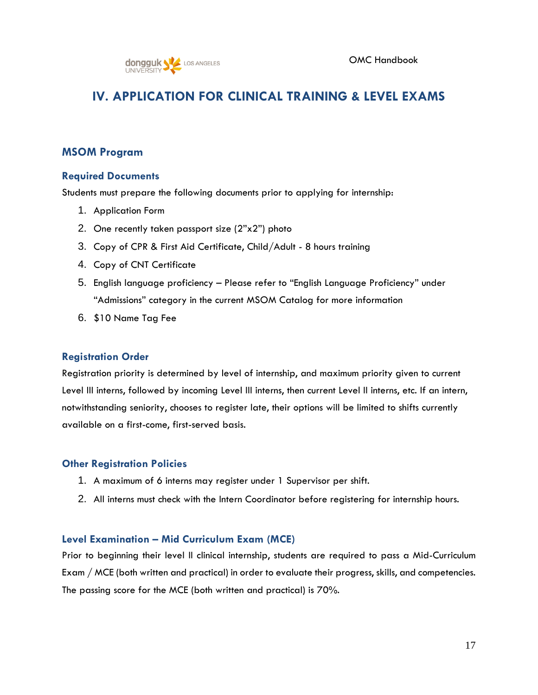

# <span id="page-16-0"></span>**IV. APPLICATION FOR CLINICAL TRAINING & LEVEL EXAMS**

### <span id="page-16-1"></span>**MSOM Program**

#### <span id="page-16-2"></span>**Required Documents**

Students must prepare the following documents prior to applying for internship:

- 1. Application Form
- 2. One recently taken passport size (2"x2") photo
- 3. Copy of CPR & First Aid Certificate, Child/Adult 8 hours training
- 4. Copy of CNT Certificate
- 5. English language proficiency Please refer to "English Language Proficiency" under "Admissions" category in the current MSOM Catalog for more information
- 6. \$10 Name Tag Fee

#### <span id="page-16-3"></span>**Registration Order**

Registration priority is determined by level of internship, and maximum priority given to current Level III interns, followed by incoming Level III interns, then current Level II interns, etc. If an intern, notwithstanding seniority, chooses to register late, their options will be limited to shifts currently available on a first-come, first-served basis.

#### <span id="page-16-4"></span>**Other Registration Policies**

- 1. A maximum of 6 interns may register under 1 Supervisor per shift.
- 2. All interns must check with the Intern Coordinator before registering for internship hours.

#### <span id="page-16-5"></span>**Level Examination – Mid Curriculum Exam (MCE)**

Prior to beginning their level II clinical internship, students are required to pass a Mid-Curriculum Exam / MCE (both written and practical) in order to evaluate their progress, skills, and competencies. The passing score for the MCE (both written and practical) is 70%.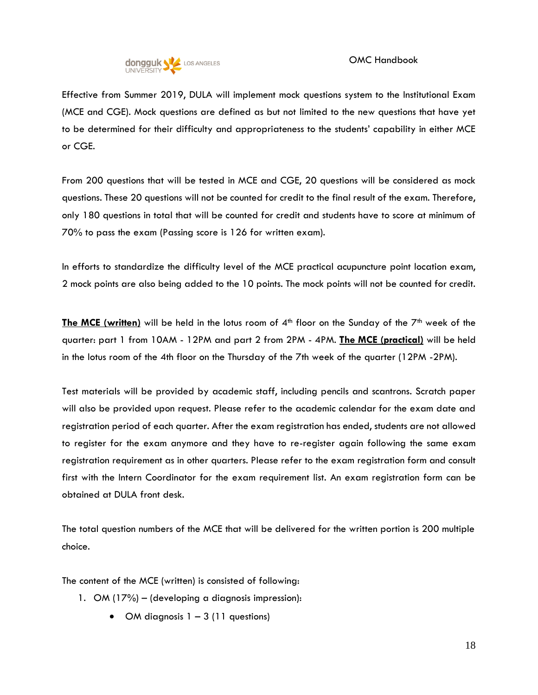

Effective from Summer 2019, DULA will implement mock questions system to the Institutional Exam (MCE and CGE). Mock questions are defined as but not limited to the new questions that have yet to be determined for their difficulty and appropriateness to the students' capability in either MCE or CGE.

From 200 questions that will be tested in MCE and CGE, 20 questions will be considered as mock questions. These 20 questions will not be counted for credit to the final result of the exam. Therefore, only 180 questions in total that will be counted for credit and students have to score at minimum of 70% to pass the exam (Passing score is 126 for written exam).

In efforts to standardize the difficulty level of the MCE practical acupuncture point location exam, 2 mock points are also being added to the 10 points. The mock points will not be counted for credit.

The MCE (written) will be held in the lotus room of 4<sup>th</sup> floor on the Sunday of the 7<sup>th</sup> week of the quarter: part 1 from 10AM - 12PM and part 2 from 2PM - 4PM. **The MCE (practical)** will be held in the lotus room of the 4th floor on the Thursday of the 7th week of the quarter (12PM -2PM).

Test materials will be provided by academic staff, including pencils and scantrons. Scratch paper will also be provided upon request. Please refer to the academic calendar for the exam date and registration period of each quarter. After the exam registration has ended, students are not allowed to register for the exam anymore and they have to re-register again following the same exam registration requirement as in other quarters. Please refer to the exam registration form and consult first with the Intern Coordinator for the exam requirement list. An exam registration form can be obtained at DULA front desk.

The total question numbers of the MCE that will be delivered for the written portion is 200 multiple choice.

The content of the MCE (written) is consisted of following:

- 1. OM (17%) (developing a diagnosis impression):
	- OM diagnosis  $1 3$  (11 questions)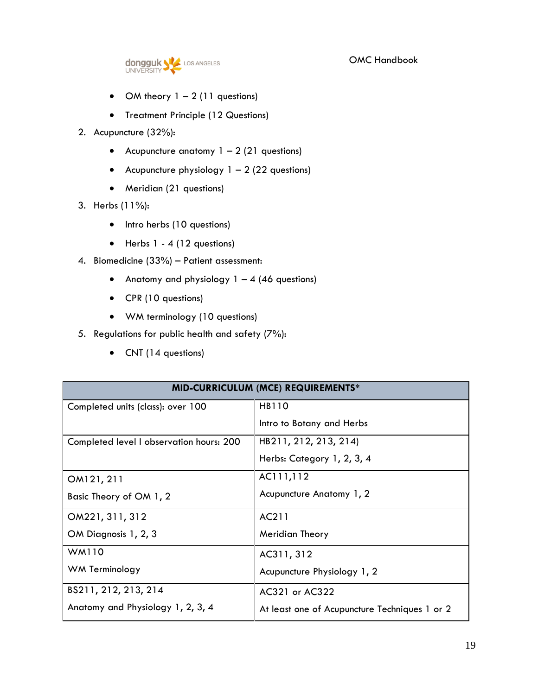

- OM theory  $1 2$  (11 questions)
- Treatment Principle (12 Questions)
- 2. Acupuncture (32%):
	- Acupuncture anatomy  $1 2$  (21 questions)
	- Acupuncture physiology  $1 2$  (22 questions)
	- Meridian (21 questions)
- 3. Herbs (11%):
	- Intro herbs (10 questions)
	- Herbs 1 4 (12 questions)
- 4. Biomedicine (33%) Patient assessment:
	- Anatomy and physiology  $1 4$  (46 questions)
	- CPR (10 questions)
	- WM terminology (10 questions)
- 5. Regulations for public health and safety (7%):
	- CNT (14 questions)

|                                          | <b>MID-CURRICULUM (MCE) REQUIREMENTS*</b>     |
|------------------------------------------|-----------------------------------------------|
| Completed units (class): over 100        | HB110                                         |
|                                          | Intro to Botany and Herbs                     |
| Completed level I observation hours: 200 | HB211, 212, 213, 214)                         |
|                                          | Herbs: Category 1, 2, 3, 4                    |
| OM121, 211                               | AC111,112                                     |
| Basic Theory of OM 1, 2                  | Acupuncture Anatomy 1, 2                      |
| OM221, 311, 312                          | AC211                                         |
| OM Diagnosis 1, 2, 3                     | Meridian Theory                               |
| <b>WM110</b>                             | AC311, 312                                    |
| WM Terminology                           | Acupuncture Physiology 1, 2                   |
| BS211, 212, 213, 214                     | AC321 or AC322                                |
| Anatomy and Physiology 1, 2, 3, 4        | At least one of Acupuncture Techniques 1 or 2 |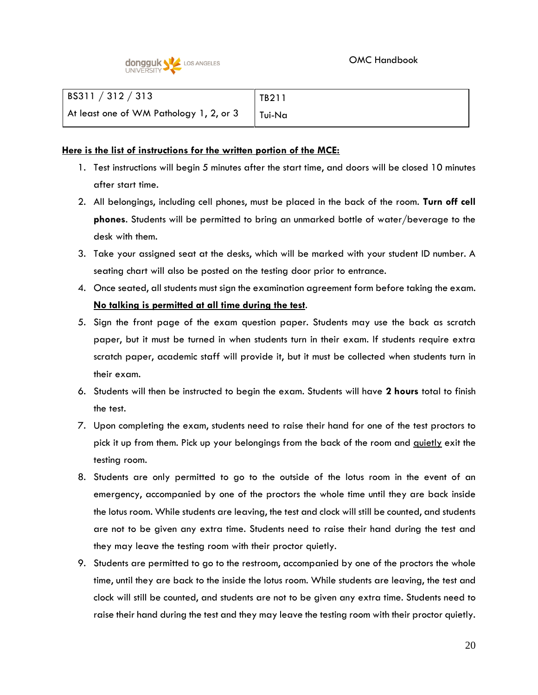

| BS311 / 312 / 313                       | TB21.  |
|-----------------------------------------|--------|
| At least one of WM Pathology 1, 2, or 3 | Tui-Na |

#### **Here is the list of instructions for the written portion of the MCE:**

- 1. Test instructions will begin 5 minutes after the start time, and doors will be closed 10 minutes after start time.
- 2. All belongings, including cell phones, must be placed in the back of the room. **Turn off cell phones**. Students will be permitted to bring an unmarked bottle of water/beverage to the desk with them.
- 3. Take your assigned seat at the desks, which will be marked with your student ID number. A seating chart will also be posted on the testing door prior to entrance.
- 4. Once seated, all students must sign the examination agreement form before taking the exam. **No talking is permitted at all time during the test**.
- 5. Sign the front page of the exam question paper. Students may use the back as scratch paper, but it must be turned in when students turn in their exam. If students require extra scratch paper, academic staff will provide it, but it must be collected when students turn in their exam.
- 6. Students will then be instructed to begin the exam. Students will have **2 hours** total to finish the test.
- 7. Upon completing the exam, students need to raise their hand for one of the test proctors to pick it up from them. Pick up your belongings from the back of the room and quietly exit the testing room.
- 8. Students are only permitted to go to the outside of the lotus room in the event of an emergency, accompanied by one of the proctors the whole time until they are back inside the lotus room. While students are leaving, the test and clock will still be counted, and students are not to be given any extra time. Students need to raise their hand during the test and they may leave the testing room with their proctor quietly.
- 9. Students are permitted to go to the restroom, accompanied by one of the proctors the whole time, until they are back to the inside the lotus room. While students are leaving, the test and clock will still be counted, and students are not to be given any extra time. Students need to raise their hand during the test and they may leave the testing room with their proctor quietly.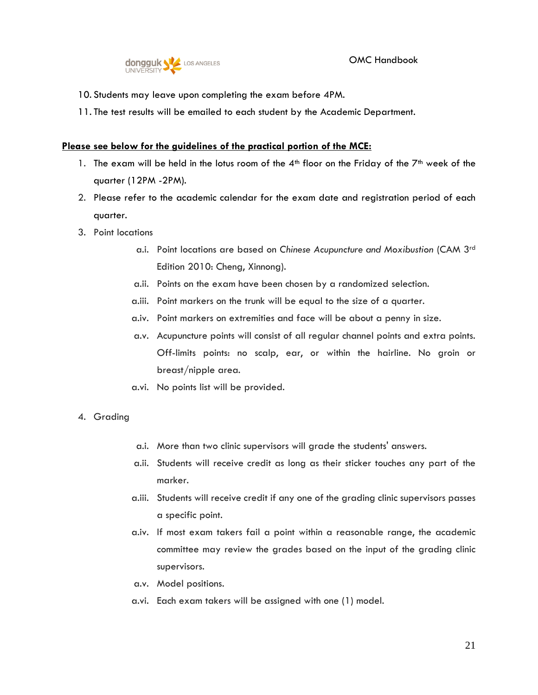

- 10. Students may leave upon completing the exam before 4PM.
- 11. The test results will be emailed to each student by the Academic Department.

#### **Please see below for the guidelines of the practical portion of the MCE:**

- 1. The exam will be held in the lotus room of the  $4<sup>th</sup>$  floor on the Friday of the  $7<sup>th</sup>$  week of the quarter (12PM -2PM).
- 2. Please refer to the academic calendar for the exam date and registration period of each quarter.
- 3. Point locations
	- a.i. Point locations are based on *Chinese Acupuncture and Moxibustion* (CAM 3rd Edition 2010: Cheng, Xinnong).
	- a.ii. Points on the exam have been chosen by a randomized selection.
	- a.iii. Point markers on the trunk will be equal to the size of a quarter.
	- a.iv. Point markers on extremities and face will be about a penny in size.
	- a.v. Acupuncture points will consist of all regular channel points and extra points. Off-limits points: no scalp, ear, or within the hairline. No groin or breast/nipple area.
	- a.vi. No points list will be provided.
- 4. Grading
- a.i. More than two clinic supervisors will grade the students' answers.
- a.ii. Students will receive credit as long as their sticker touches any part of the marker.
- a.iii. Students will receive credit if any one of the grading clinic supervisors passes a specific point.
- a.iv. If most exam takers fail a point within a reasonable range, the academic committee may review the grades based on the input of the grading clinic supervisors.
- a.v. Model positions.
- a.vi. Each exam takers will be assigned with one (1) model.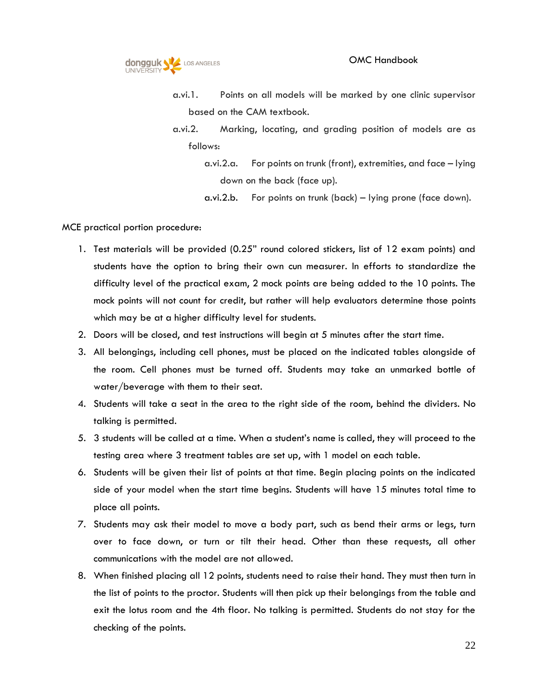

- a.vi.1. Points on all models will be marked by one clinic supervisor based on the CAM textbook.
- a.vi.2. Marking, locating, and grading position of models are as follows:
	- a.vi.2.a. For points on trunk (front), extremities, and face lying down on the back (face up).
	- a.vi.2.b. For points on trunk (back) lying prone (face down).

MCE practical portion procedure:

- 1. Test materials will be provided (0.25" round colored stickers, list of 12 exam points) and students have the option to bring their own cun measurer. In efforts to standardize the difficulty level of the practical exam, 2 mock points are being added to the 10 points. The mock points will not count for credit, but rather will help evaluators determine those points which may be at a higher difficulty level for students.
- 2. Doors will be closed, and test instructions will begin at 5 minutes after the start time.
- 3. All belongings, including cell phones, must be placed on the indicated tables alongside of the room. Cell phones must be turned off. Students may take an unmarked bottle of water/beverage with them to their seat.
- 4. Students will take a seat in the area to the right side of the room, behind the dividers. No talking is permitted.
- 5. 3 students will be called at a time. When a student's name is called, they will proceed to the testing area where 3 treatment tables are set up, with 1 model on each table.
- 6. Students will be given their list of points at that time. Begin placing points on the indicated side of your model when the start time begins. Students will have 15 minutes total time to place all points.
- 7. Students may ask their model to move a body part, such as bend their arms or legs, turn over to face down, or turn or tilt their head. Other than these requests, all other communications with the model are not allowed.
- 8. When finished placing all 12 points, students need to raise their hand. They must then turn in the list of points to the proctor. Students will then pick up their belongings from the table and exit the lotus room and the 4th floor. No talking is permitted. Students do not stay for the checking of the points.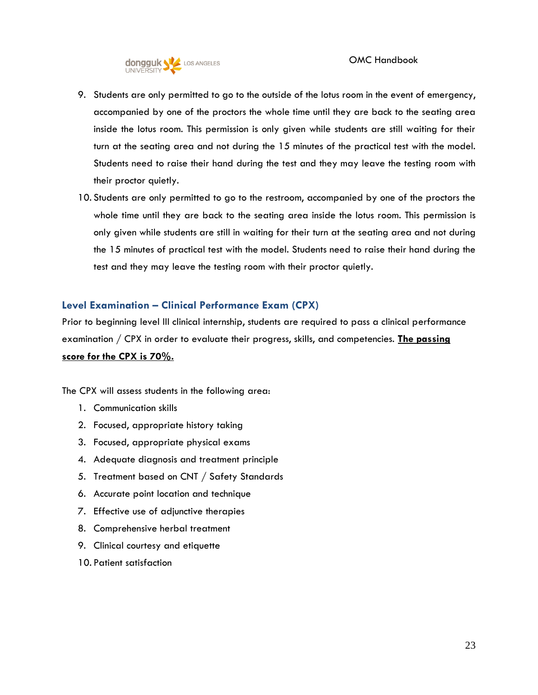

- 9. Students are only permitted to go to the outside of the lotus room in the event of emergency, accompanied by one of the proctors the whole time until they are back to the seating area inside the lotus room. This permission is only given while students are still waiting for their turn at the seating area and not during the 15 minutes of the practical test with the model. Students need to raise their hand during the test and they may leave the testing room with their proctor quietly.
- 10. Students are only permitted to go to the restroom, accompanied by one of the proctors the whole time until they are back to the seating area inside the lotus room. This permission is only given while students are still in waiting for their turn at the seating area and not during the 15 minutes of practical test with the model. Students need to raise their hand during the test and they may leave the testing room with their proctor quietly.

#### <span id="page-22-0"></span>**Level Examination – Clinical Performance Exam (CPX)**

Prior to beginning level III clinical internship, students are required to pass a clinical performance examination / CPX in order to evaluate their progress, skills, and competencies. **The passing score for the CPX is 70%.**

The CPX will assess students in the following area:

- 1. Communication skills
- 2. Focused, appropriate history taking
- 3. Focused, appropriate physical exams
- 4. Adequate diagnosis and treatment principle
- 5. Treatment based on CNT / Safety Standards
- 6. Accurate point location and technique
- 7. Effective use of adjunctive therapies
- 8. Comprehensive herbal treatment
- 9. Clinical courtesy and etiquette
- 10. Patient satisfaction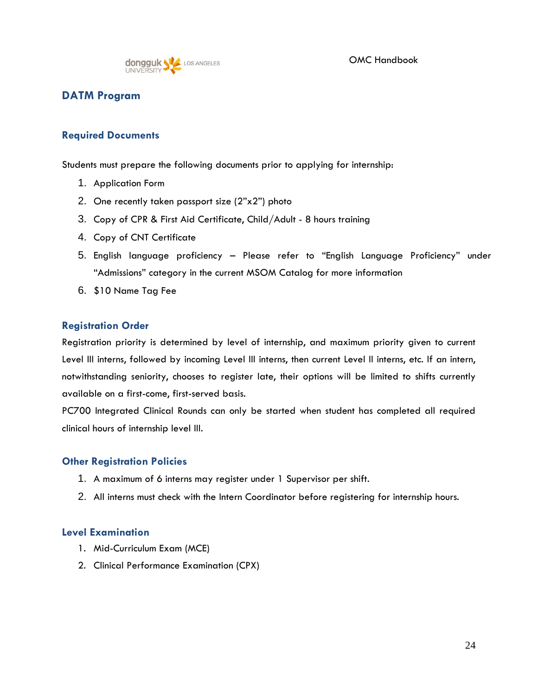

### <span id="page-23-0"></span>**DATM Program**

#### <span id="page-23-1"></span>**Required Documents**

Students must prepare the following documents prior to applying for internship:

- 1. Application Form
- 2. One recently taken passport size (2"x2") photo
- 3. Copy of CPR & First Aid Certificate, Child/Adult 8 hours training
- 4. Copy of CNT Certificate
- 5. English language proficiency Please refer to "English Language Proficiency" under "Admissions" category in the current MSOM Catalog for more information
- 6. \$10 Name Tag Fee

#### <span id="page-23-2"></span>**Registration Order**

Registration priority is determined by level of internship, and maximum priority given to current Level III interns, followed by incoming Level III interns, then current Level II interns, etc. If an intern, notwithstanding seniority, chooses to register late, their options will be limited to shifts currently available on a first-come, first-served basis.

PC700 Integrated Clinical Rounds can only be started when student has completed all required clinical hours of internship level III.

#### <span id="page-23-3"></span>**Other Registration Policies**

- 1. A maximum of 6 interns may register under 1 Supervisor per shift.
- 2. All interns must check with the Intern Coordinator before registering for internship hours.

#### <span id="page-23-4"></span>**Level Examination**

- 1. Mid-Curriculum Exam (MCE)
- 2. Clinical Performance Examination (CPX)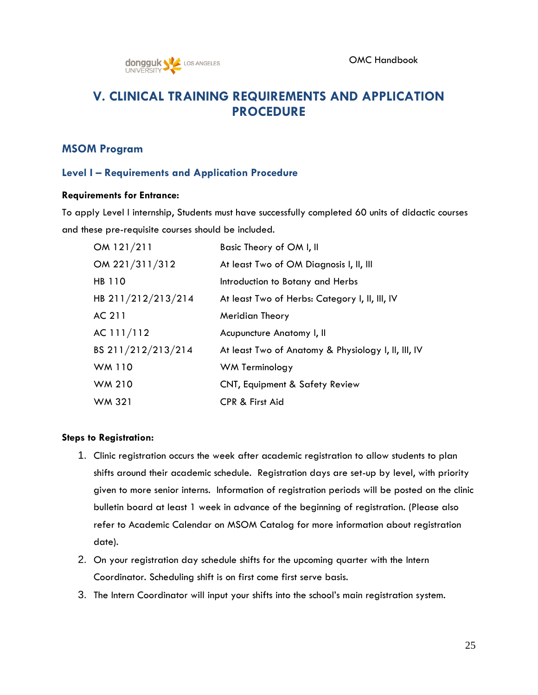

# <span id="page-24-0"></span>**V. CLINICAL TRAINING REQUIREMENTS AND APPLICATION PROCEDURE**

# <span id="page-24-1"></span>**MSOM Program**

#### <span id="page-24-2"></span>**Level I – Requirements and Application Procedure**

#### **Requirements for Entrance:**

To apply Level I internship, Students must have successfully completed 60 units of didactic courses and these pre-requisite courses should be included.

| OM 121/211         | Basic Theory of OM I, II                            |
|--------------------|-----------------------------------------------------|
| OM 221/311/312     | At least Two of OM Diagnosis I, II, III             |
| HB 110             | Introduction to Botany and Herbs                    |
| HB 211/212/213/214 | At least Two of Herbs: Category I, II, III, IV      |
| AC 211             | Meridian Theory                                     |
| AC 111/112         | Acupuncture Anatomy I, II                           |
| BS 211/212/213/214 | At least Two of Anatomy & Physiology I, II, III, IV |
| WM 110             | WM Terminology                                      |
| WM 210             | <b>CNT, Equipment &amp; Safety Review</b>           |
| WM 321             | <b>CPR &amp; First Aid</b>                          |

#### **Steps to Registration:**

- 1. Clinic registration occurs the week after academic registration to allow students to plan shifts around their academic schedule. Registration days are set-up by level, with priority given to more senior interns. Information of registration periods will be posted on the clinic bulletin board at least 1 week in advance of the beginning of registration. (Please also refer to Academic Calendar on MSOM Catalog for more information about registration date).
- 2. On your registration day schedule shifts for the upcoming quarter with the Intern Coordinator. Scheduling shift is on first come first serve basis.
- 3. The Intern Coordinator will input your shifts into the school's main registration system.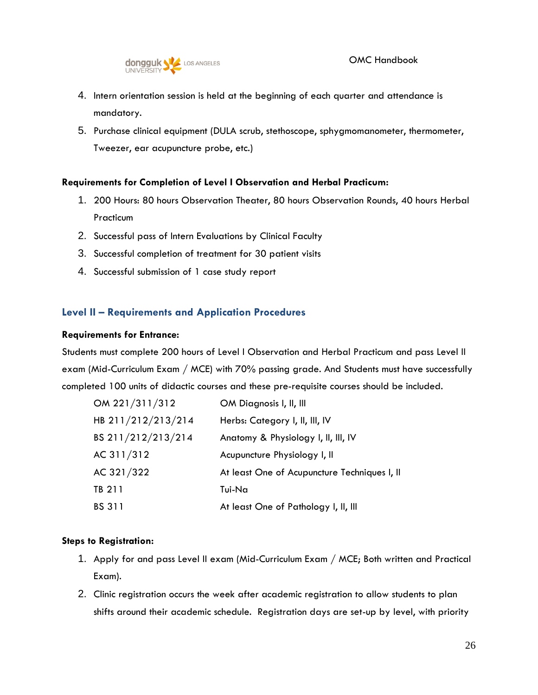

- 4. Intern orientation session is held at the beginning of each quarter and attendance is mandatory.
- 5. Purchase clinical equipment (DULA scrub, stethoscope, sphygmomanometer, thermometer, Tweezer, ear acupuncture probe, etc.)

#### **Requirements for Completion of Level I Observation and Herbal Practicum:**

- 1. 200 Hours: 80 hours Observation Theater, 80 hours Observation Rounds, 40 hours Herbal Practicum
- 2. Successful pass of Intern Evaluations by Clinical Faculty
- 3. Successful completion of treatment for 30 patient visits
- 4. Successful submission of 1 case study report

#### <span id="page-25-0"></span>**Level II – Requirements and Application Procedures**

#### **Requirements for Entrance:**

Students must complete 200 hours of Level I Observation and Herbal Practicum and pass Level II exam (Mid-Curriculum Exam / MCE) with 70% passing grade. And Students must have successfully completed 100 units of didactic courses and these pre-requisite courses should be included.

| OM 221/311/312     | OM Diagnosis I, II, III                      |
|--------------------|----------------------------------------------|
| HB 211/212/213/214 | Herbs: Category I, II, III, IV               |
| BS 211/212/213/214 | Anatomy & Physiology I, II, III, IV          |
| AC 311/312         | Acupuncture Physiology I, II                 |
| AC 321/322         | At least One of Acupuncture Techniques I, II |
| TB 211             | Tui-Na                                       |
| <b>BS 311</b>      | At least One of Pathology I, II, III         |

#### **Steps to Registration:**

- 1. Apply for and pass Level II exam (Mid-Curriculum Exam / MCE; Both written and Practical Exam).
- 2. Clinic registration occurs the week after academic registration to allow students to plan shifts around their academic schedule. Registration days are set-up by level, with priority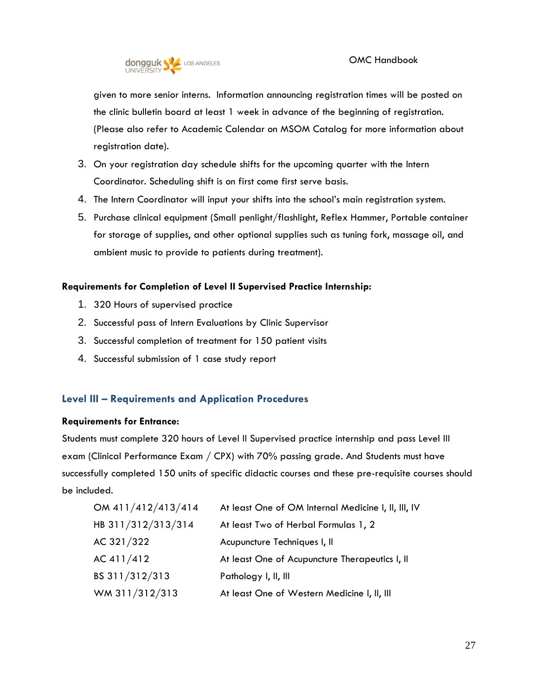

given to more senior interns. Information announcing registration times will be posted on the clinic bulletin board at least 1 week in advance of the beginning of registration. (Please also refer to Academic Calendar on MSOM Catalog for more information about registration date).

- 3. On your registration day schedule shifts for the upcoming quarter with the Intern Coordinator. Scheduling shift is on first come first serve basis.
- 4. The Intern Coordinator will input your shifts into the school's main registration system.
- 5. Purchase clinical equipment (Small penlight/flashlight, Reflex Hammer, Portable container for storage of supplies, and other optional supplies such as tuning fork, massage oil, and ambient music to provide to patients during treatment).

#### **Requirements for Completion of Level II Supervised Practice Internship:**

- 1. 320 Hours of supervised practice
- 2. Successful pass of Intern Evaluations by Clinic Supervisor
- 3. Successful completion of treatment for 150 patient visits
- 4. Successful submission of 1 case study report

#### <span id="page-26-0"></span>**Level III – Requirements and Application Procedures**

#### **Requirements for Entrance:**

Students must complete 320 hours of Level II Supervised practice internship and pass Level III exam (Clinical Performance Exam / CPX) with 70% passing grade. And Students must have successfully completed 150 units of specific didactic courses and these pre-requisite courses should be included.

| OM 411/412/413/414 | At least One of OM Internal Medicine I, II, III, IV |
|--------------------|-----------------------------------------------------|
| HB 311/312/313/314 | At least Two of Herbal Formulas 1, 2                |
| AC 321/322         | Acupuncture Techniques I, II                        |
| AC 411/412         | At least One of Acupuncture Therapeutics I, II      |
| BS 311/312/313     | Pathology I, II, III                                |
| WM 311/312/313     | At least One of Western Medicine I, II, III         |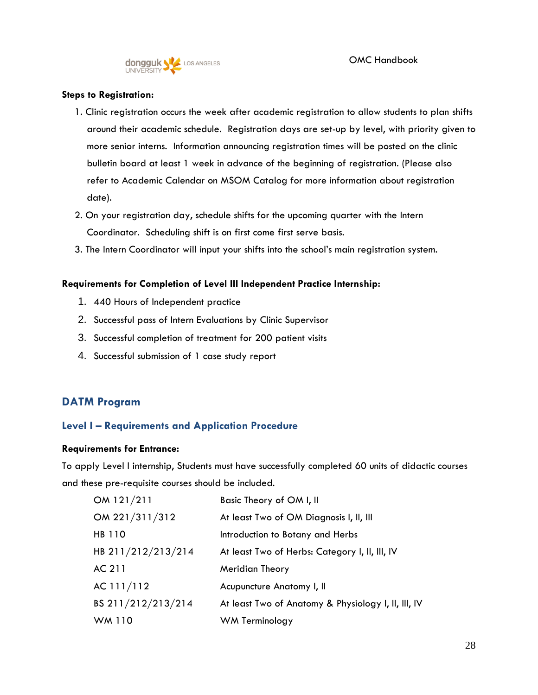

#### **Steps to Registration:**

- 1. Clinic registration occurs the week after academic registration to allow students to plan shifts around their academic schedule. Registration days are set-up by level, with priority given to more senior interns. Information announcing registration times will be posted on the clinic bulletin board at least 1 week in advance of the beginning of registration. (Please also refer to Academic Calendar on MSOM Catalog for more information about registration date).
- 2. On your registration day, schedule shifts for the upcoming quarter with the Intern Coordinator. Scheduling shift is on first come first serve basis.
- 3. The Intern Coordinator will input your shifts into the school's main registration system.

#### **Requirements for Completion of Level III Independent Practice Internship:**

- 1. 440 Hours of Independent practice
- 2. Successful pass of Intern Evaluations by Clinic Supervisor
- 3. Successful completion of treatment for 200 patient visits
- 4. Successful submission of 1 case study report

# <span id="page-27-0"></span>**DATM Program**

#### <span id="page-27-1"></span>**Level I – Requirements and Application Procedure**

#### **Requirements for Entrance:**

To apply Level I internship, Students must have successfully completed 60 units of didactic courses and these pre-requisite courses should be included.

| OM 121/211         | Basic Theory of OM I, II                            |
|--------------------|-----------------------------------------------------|
| OM 221/311/312     | At least Two of OM Diagnosis I, II, III             |
| HB 110             | Introduction to Botany and Herbs                    |
| HB 211/212/213/214 | At least Two of Herbs: Category I, II, III, IV      |
| AC 211             | Meridian Theory                                     |
| AC 111/112         | Acupuncture Anatomy I, II                           |
| BS 211/212/213/214 | At least Two of Anatomy & Physiology I, II, III, IV |
| WM 110             | WM Terminology                                      |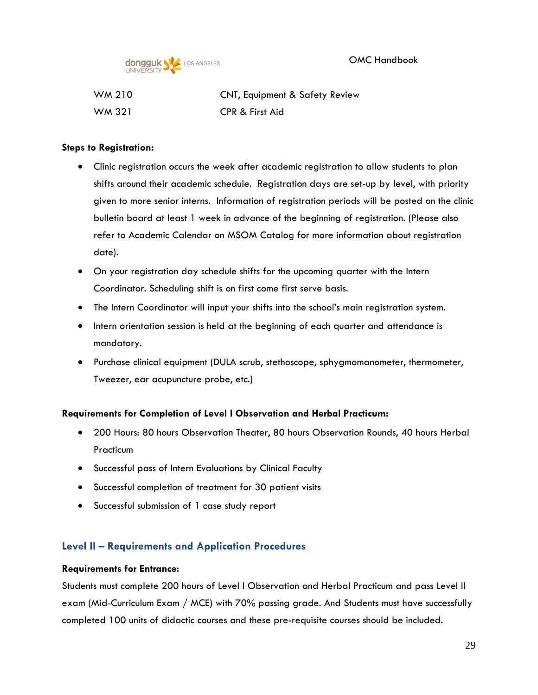**dongguk SA LOS ANGELES** 

OMC Handbook

| <b>WM 210</b> | <b>CNT, Equipment &amp; Safety Review</b> |
|---------------|-------------------------------------------|
| WM 321        | CPR & First Aid                           |

#### **Steps to Registration:**

- Clinic registration occurs the week after academic registration to allow students to plan shifts around their academic schedule. Registration days are set-up by level, with priority given to more senior interns. Information of registration periods will be posted on the clinic bulletin board at least 1 week in advance of the beginning of registration. (Please also refer to Academic Calendar on MSOM Catalog for more information about registration date).
- On your registration day schedule shifts for the upcoming quarter with the Intern Coordinator. Scheduling shift is on first come first serve basis.
- The Intern Coordinator will input your shifts into the school's main registration system.
- Intern orientation session is held at the beginning of each quarter and attendance is mandatory.
- Purchase clinical equipment (DULA scrub, stethoscope, sphygmomanometer, thermometer, Tweezer, ear acupuncture probe, etc.)

#### **Requirements for Completion of Level I Observation and Herbal Practicum:**

- 200 Hours: 80 hours Observation Theater, 80 hours Observation Rounds, 40 hours Herbal Practicum
- Successful pass of Intern Evaluations by Clinical Faculty
- Successful completion of treatment for 30 patient visits
- Successful submission of 1 case study report

#### <span id="page-28-0"></span>**Level II – Requirements and Application Procedures**

#### **Requirements for Entrance:**

Students must complete 200 hours of Level I Observation and Herbal Practicum and pass Level II exam (Mid-Curriculum Exam / MCE) with 70% passing grade. And Students must have successfully completed 100 units of didactic courses and these pre-requisite courses should be included.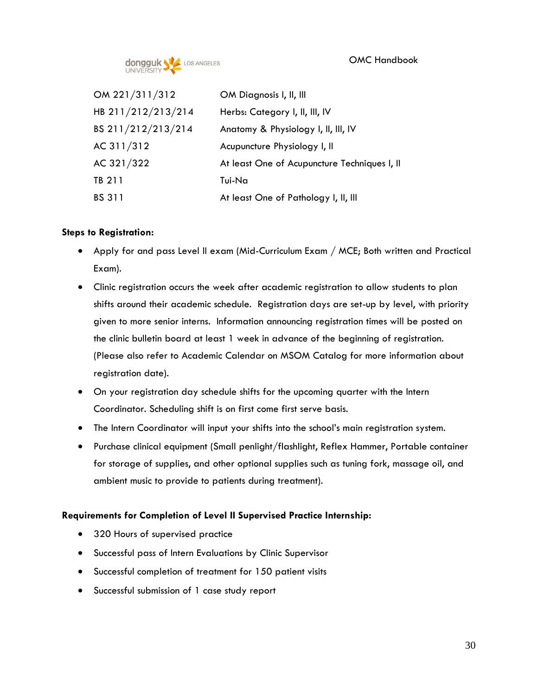

| OM 221/311/312     | OM Diagnosis I, II, III                      |
|--------------------|----------------------------------------------|
| HB 211/212/213/214 | Herbs: Category I, II, III, IV               |
| BS 211/212/213/214 | Anatomy & Physiology I, II, III, IV          |
| AC 311/312         | Acupuncture Physiology I, II                 |
| AC 321/322         | At least One of Acupuncture Techniques I, II |
| TB 211             | Tui-Na                                       |
| <b>BS 311</b>      | At least One of Pathology I, II, III         |

#### **Steps to Registration:**

- Apply for and pass Level II exam (Mid-Curriculum Exam / MCE; Both written and Practical Exam).
- Clinic registration occurs the week after academic registration to allow students to plan shifts around their academic schedule. Registration days are set-up by level, with priority given to more senior interns. Information announcing registration times will be posted on the clinic bulletin board at least 1 week in advance of the beginning of registration. (Please also refer to Academic Calendar on MSOM Catalog for more information about registration date).
- On your registration day schedule shifts for the upcoming quarter with the Intern Coordinator. Scheduling shift is on first come first serve basis.
- The Intern Coordinator will input your shifts into the school's main registration system.
- Purchase clinical equipment (Small penlight/flashlight, Reflex Hammer, Portable container for storage of supplies, and other optional supplies such as tuning fork, massage oil, and ambient music to provide to patients during treatment).

#### **Requirements for Completion of Level II Supervised Practice Internship:**

- 320 Hours of supervised practice
- Successful pass of Intern Evaluations by Clinic Supervisor
- Successful completion of treatment for 150 patient visits
- Successful submission of 1 case study report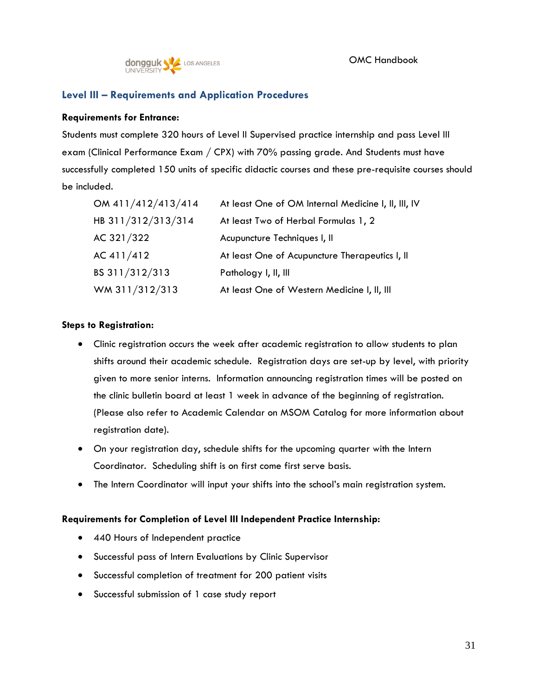

#### <span id="page-30-0"></span>**Level III – Requirements and Application Procedures**

#### **Requirements for Entrance:**

Students must complete 320 hours of Level II Supervised practice internship and pass Level III exam (Clinical Performance Exam / CPX) with 70% passing grade. And Students must have successfully completed 150 units of specific didactic courses and these pre-requisite courses should be included.

| OM 411/412/413/414 | At least One of OM Internal Medicine I, II, III, IV |
|--------------------|-----------------------------------------------------|
| HB 311/312/313/314 | At least Two of Herbal Formulas 1, 2                |
| AC 321/322         | Acupuncture Techniques I, II                        |
| AC 411/412         | At least One of Acupuncture Therapeutics I, II      |
| BS 311/312/313     | Pathology I, II, III                                |
| WM 311/312/313     | At least One of Western Medicine I, II, III         |

#### **Steps to Registration:**

- Clinic registration occurs the week after academic registration to allow students to plan shifts around their academic schedule. Registration days are set-up by level, with priority given to more senior interns. Information announcing registration times will be posted on the clinic bulletin board at least 1 week in advance of the beginning of registration. (Please also refer to Academic Calendar on MSOM Catalog for more information about registration date).
- On your registration day, schedule shifts for the upcoming quarter with the Intern Coordinator. Scheduling shift is on first come first serve basis.
- The Intern Coordinator will input your shifts into the school's main registration system.

#### **Requirements for Completion of Level III Independent Practice Internship:**

- 440 Hours of Independent practice
- Successful pass of Intern Evaluations by Clinic Supervisor
- Successful completion of treatment for 200 patient visits
- Successful submission of 1 case study report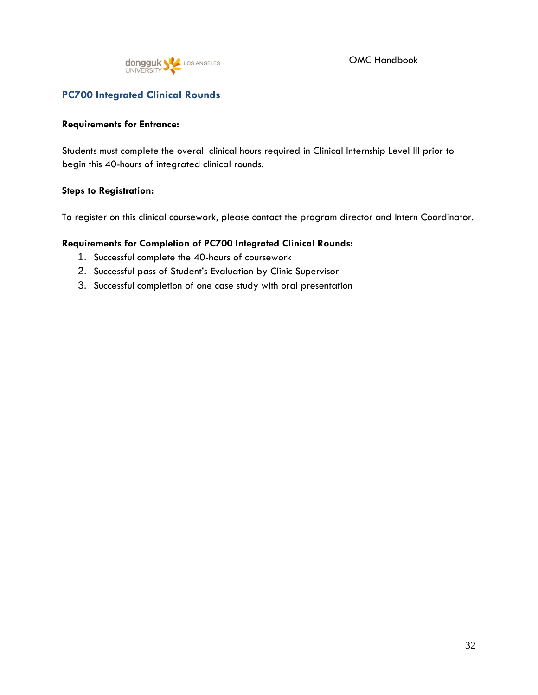

### <span id="page-31-0"></span>**PC700 Integrated Clinical Rounds**

#### **Requirements for Entrance:**

Students must complete the overall clinical hours required in Clinical Internship Level III prior to begin this 40-hours of integrated clinical rounds.

#### **Steps to Registration:**

To register on this clinical coursework, please contact the program director and Intern Coordinator.

#### **Requirements for Completion of PC700 Integrated Clinical Rounds:**

- 1. Successful complete the 40-hours of coursework
- 2. Successful pass of Student's Evaluation by Clinic Supervisor
- 3. Successful completion of one case study with oral presentation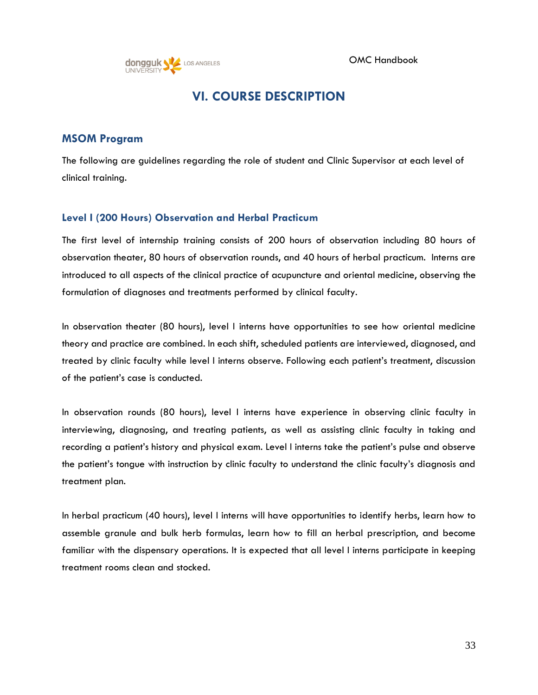

# **VI. COURSE DESCRIPTION**

### <span id="page-32-1"></span><span id="page-32-0"></span>**MSOM Program**

The following are guidelines regarding the role of student and Clinic Supervisor at each level of clinical training.

### <span id="page-32-2"></span>**Level I (200 Hours) Observation and Herbal Practicum**

The first level of internship training consists of 200 hours of observation including 80 hours of observation theater, 80 hours of observation rounds, and 40 hours of herbal practicum. Interns are introduced to all aspects of the clinical practice of acupuncture and oriental medicine, observing the formulation of diagnoses and treatments performed by clinical faculty.

In observation theater (80 hours), level I interns have opportunities to see how oriental medicine theory and practice are combined. In each shift, scheduled patients are interviewed, diagnosed, and treated by clinic faculty while level I interns observe. Following each patient's treatment, discussion of the patient's case is conducted.

In observation rounds (80 hours), level I interns have experience in observing clinic faculty in interviewing, diagnosing, and treating patients, as well as assisting clinic faculty in taking and recording a patient's history and physical exam. Level I interns take the patient's pulse and observe the patient's tongue with instruction by clinic faculty to understand the clinic faculty's diagnosis and treatment plan.

In herbal practicum (40 hours), level I interns will have opportunities to identify herbs, learn how to assemble granule and bulk herb formulas, learn how to fill an herbal prescription, and become familiar with the dispensary operations. It is expected that all level I interns participate in keeping treatment rooms clean and stocked.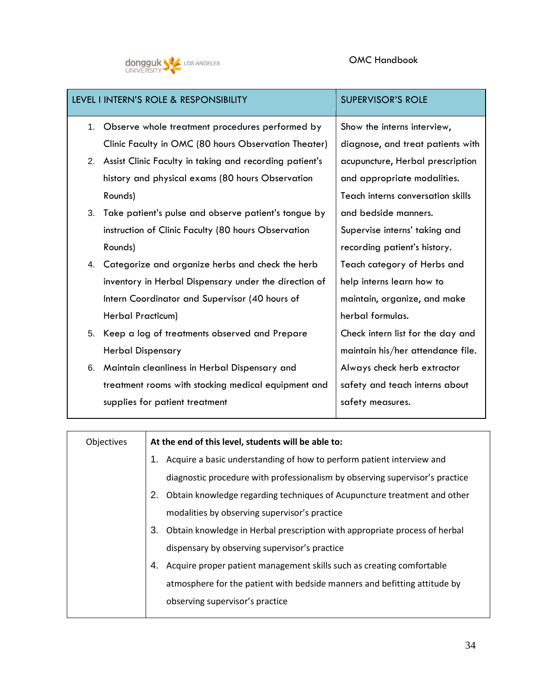

|    | LEVEL I INTERN'S ROLE & RESPONSIBILITY                  | <b>SUPERVISOR'S ROLE</b>          |
|----|---------------------------------------------------------|-----------------------------------|
| 1. | Observe whole treatment procedures performed by         | Show the interns interview,       |
|    | Clinic Faculty in OMC (80 hours Observation Theater)    | diagnose, and treat patients with |
| 2. | Assist Clinic Faculty in taking and recording patient's | acupuncture, Herbal prescription  |
|    | history and physical exams (80 hours Observation        | and appropriate modalities.       |
|    | Rounds)                                                 | Teach interns conversation skills |
| 3. | Take patient's pulse and observe patient's tongue by    | and bedside manners.              |
|    | instruction of Clinic Faculty (80 hours Observation     | Supervise interns' taking and     |
|    | Rounds)                                                 | recording patient's history.      |
| 4. | Categorize and organize herbs and check the herb        | Teach category of Herbs and       |
|    | inventory in Herbal Dispensary under the direction of   | help interns learn how to         |
|    | Intern Coordinator and Supervisor (40 hours of          | maintain, organize, and make      |
|    | Herbal Practicum)                                       | herbal formulas.                  |
| 5. | Keep a log of treatments observed and Prepare           | Check intern list for the day and |
|    | <b>Herbal Dispensary</b>                                | maintain his/her attendance file. |
| 6. | Maintain cleanliness in Herbal Dispensary and           | Always check herb extractor       |
|    | treatment rooms with stocking medical equipment and     | safety and teach interns about    |
|    | supplies for patient treatment                          | safety measures.                  |

| Objectives | At the end of this level, students will be able to:                           |  |
|------------|-------------------------------------------------------------------------------|--|
|            | Acquire a basic understanding of how to perform patient interview and         |  |
|            | diagnostic procedure with professionalism by observing supervisor's practice  |  |
|            | 2. Obtain knowledge regarding techniques of Acupuncture treatment and other   |  |
|            | modalities by observing supervisor's practice                                 |  |
|            | 3. Obtain knowledge in Herbal prescription with appropriate process of herbal |  |
|            | dispensary by observing supervisor's practice                                 |  |
|            | Acquire proper patient management skills such as creating comfortable<br>4.   |  |
|            | atmosphere for the patient with bedside manners and befitting attitude by     |  |
|            | observing supervisor's practice                                               |  |
|            |                                                                               |  |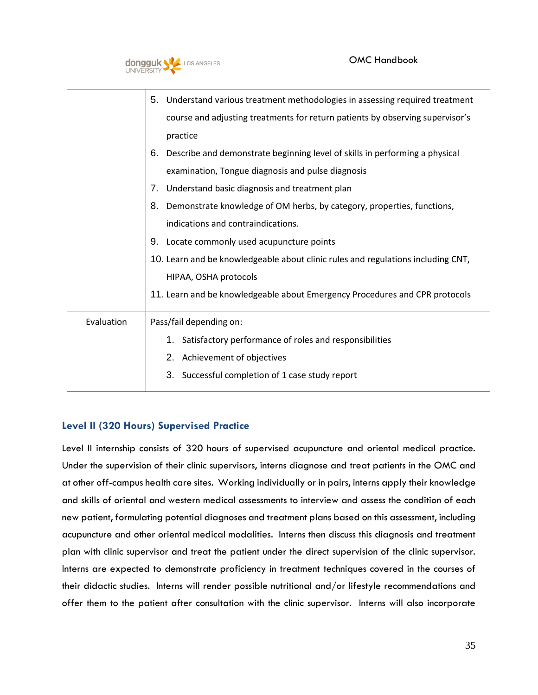

|            | 5. Understand various treatment methodologies in assessing required treatment     |
|------------|-----------------------------------------------------------------------------------|
|            | course and adjusting treatments for return patients by observing supervisor's     |
|            | practice                                                                          |
|            | Describe and demonstrate beginning level of skills in performing a physical<br>6. |
|            | examination, Tongue diagnosis and pulse diagnosis                                 |
|            | Understand basic diagnosis and treatment plan<br>7.                               |
|            | Demonstrate knowledge of OM herbs, by category, properties, functions,<br>8.      |
|            | indications and contraindications.                                                |
|            | 9. Locate commonly used acupuncture points                                        |
|            | 10. Learn and be knowledgeable about clinic rules and regulations including CNT,  |
|            | HIPAA, OSHA protocols                                                             |
|            | 11. Learn and be knowledgeable about Emergency Procedures and CPR protocols       |
| Evaluation | Pass/fail depending on:                                                           |
|            | Satisfactory performance of roles and responsibilities<br>1.                      |
|            | 2. Achievement of objectives                                                      |
|            | Successful completion of 1 case study report<br>3.                                |

#### <span id="page-34-0"></span>**Level II (320 Hours) Supervised Practice**

Level II internship consists of 320 hours of supervised acupuncture and oriental medical practice. Under the supervision of their clinic supervisors, interns diagnose and treat patients in the OMC and at other off-campus health care sites. Working individually or in pairs, interns apply their knowledge and skills of oriental and western medical assessments to interview and assess the condition of each new patient, formulating potential diagnoses and treatment plans based on this assessment, including acupuncture and other oriental medical modalities. Interns then discuss this diagnosis and treatment plan with clinic supervisor and treat the patient under the direct supervision of the clinic supervisor. Interns are expected to demonstrate proficiency in treatment techniques covered in the courses of their didactic studies. Interns will render possible nutritional and/or lifestyle recommendations and offer them to the patient after consultation with the clinic supervisor. Interns will also incorporate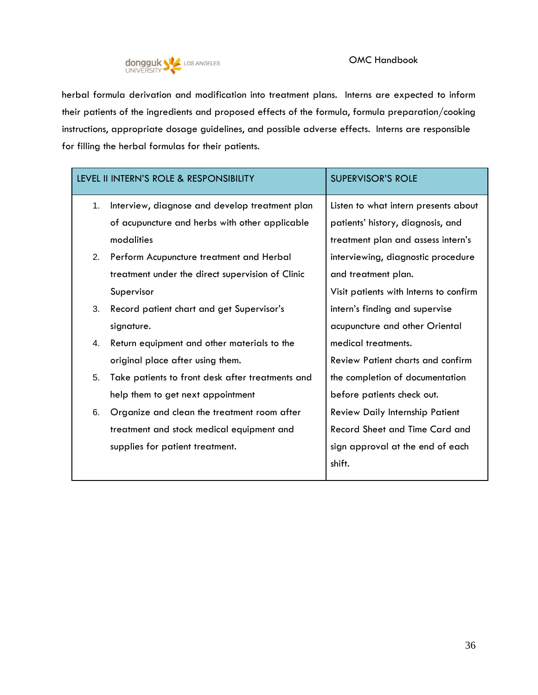

herbal formula derivation and modification into treatment plans. Interns are expected to inform their patients of the ingredients and proposed effects of the formula, formula preparation/cooking instructions, appropriate dosage guidelines, and possible adverse effects. Interns are responsible for filling the herbal formulas for their patients.

|    | LEVEL II INTERN'S ROLE & RESPONSIBILITY          | <b>SUPERVISOR'S ROLE</b>               |
|----|--------------------------------------------------|----------------------------------------|
| 1. | Interview, diagnose and develop treatment plan   | Listen to what intern presents about   |
|    | of acupuncture and herbs with other applicable   | patients' history, diagnosis, and      |
|    | modalities                                       | treatment plan and assess intern's     |
| 2. | Perform Acupuncture treatment and Herbal         | interviewing, diagnostic procedure     |
|    | treatment under the direct supervision of Clinic | and treatment plan.                    |
|    | Supervisor                                       | Visit patients with Interns to confirm |
| 3. | Record patient chart and get Supervisor's        | intern's finding and supervise         |
|    | signature.                                       | acupuncture and other Oriental         |
| 4. | Return equipment and other materials to the      | medical treatments.                    |
|    | original place after using them.                 | Review Patient charts and confirm      |
| 5. | Take patients to front desk after treatments and | the completion of documentation        |
|    | help them to get next appointment                | before patients check out.             |
| 6. | Organize and clean the treatment room after      | Review Daily Internship Patient        |
|    | treatment and stock medical equipment and        | <b>Record Sheet and Time Card and</b>  |
|    | supplies for patient treatment.                  | sign approval at the end of each       |
|    |                                                  | shift.                                 |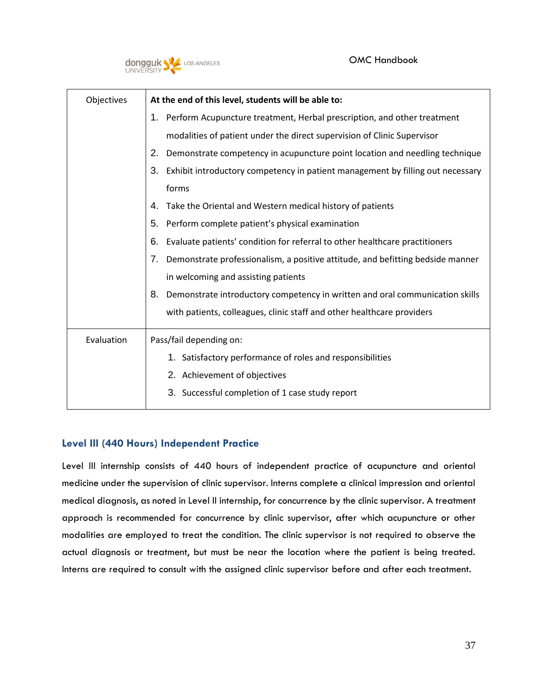

| Objectives | At the end of this level, students will be able to:                                  |  |
|------------|--------------------------------------------------------------------------------------|--|
|            | 1. Perform Acupuncture treatment, Herbal prescription, and other treatment           |  |
|            | modalities of patient under the direct supervision of Clinic Supervisor              |  |
|            | 2.<br>Demonstrate competency in acupuncture point location and needling technique    |  |
|            | 3.<br>Exhibit introductory competency in patient management by filling out necessary |  |
|            | forms                                                                                |  |
|            | Take the Oriental and Western medical history of patients<br>4.                      |  |
|            | Perform complete patient's physical examination<br>5.                                |  |
|            | Evaluate patients' condition for referral to other healthcare practitioners<br>6.    |  |
|            | Demonstrate professionalism, a positive attitude, and befitting bedside manner<br>7. |  |
|            | in welcoming and assisting patients                                                  |  |
|            | 8.<br>Demonstrate introductory competency in written and oral communication skills   |  |
|            | with patients, colleagues, clinic staff and other healthcare providers               |  |
| Evaluation | Pass/fail depending on:                                                              |  |
|            | 1. Satisfactory performance of roles and responsibilities                            |  |
|            | 2. Achievement of objectives                                                         |  |
|            | 3. Successful completion of 1 case study report                                      |  |

### **Level III (440 Hours) Independent Practice**

Level III internship consists of 440 hours of independent practice of acupuncture and oriental medicine under the supervision of clinic supervisor. Interns complete a clinical impression and oriental medical diagnosis, as noted in Level II internship, for concurrence by the clinic supervisor. A treatment approach is recommended for concurrence by clinic supervisor, after which acupuncture or other modalities are employed to treat the condition. The clinic supervisor is not required to observe the actual diagnosis or treatment, but must be near the location where the patient is being treated. Interns are required to consult with the assigned clinic supervisor before and after each treatment.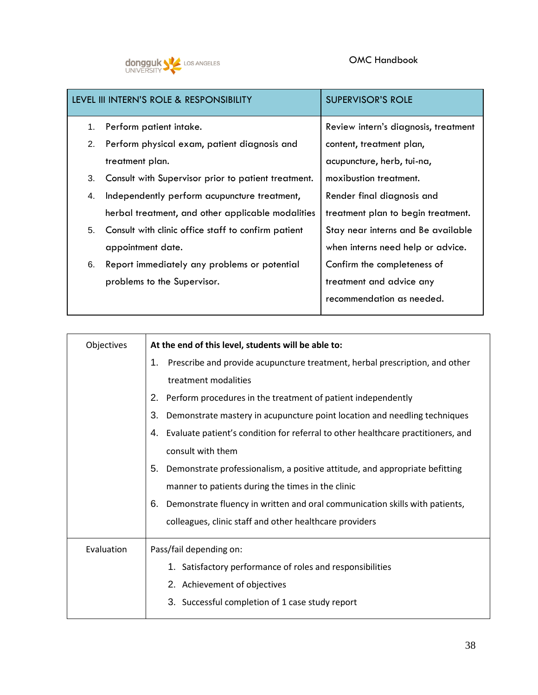

I

| LEVEL III INTERN'S ROLE & RESPONSIBILITY |                                                     | <b>SUPERVISOR'S ROLE</b>             |
|------------------------------------------|-----------------------------------------------------|--------------------------------------|
| 1.                                       | Perform patient intake.                             | Review intern's diagnosis, treatment |
| 2.                                       | Perform physical exam, patient diagnosis and        | content, treatment plan,             |
|                                          | treatment plan.                                     | acupuncture, herb, tui-na,           |
| 3.                                       | Consult with Supervisor prior to patient treatment. | moxibustion treatment.               |
| 4.                                       | Independently perform acupuncture treatment,        | Render final diagnosis and           |
|                                          | herbal treatment, and other applicable modalities   | treatment plan to begin treatment.   |
| 5.                                       | Consult with clinic office staff to confirm patient | Stay near interns and Be available   |
|                                          | appointment date.                                   | when interns need help or advice.    |
| 6.                                       | Report immediately any problems or potential        | Confirm the completeness of          |
|                                          | problems to the Supervisor.                         | treatment and advice any             |
|                                          |                                                     | recommendation as needed.            |

| Objectives | At the end of this level, students will be able to:                                    |
|------------|----------------------------------------------------------------------------------------|
|            | Prescribe and provide acupuncture treatment, herbal prescription, and other<br>1.      |
|            | treatment modalities                                                                   |
|            | Perform procedures in the treatment of patient independently<br>2.                     |
|            | 3.<br>Demonstrate mastery in acupuncture point location and needling techniques        |
|            | Evaluate patient's condition for referral to other healthcare practitioners, and<br>4. |
|            | consult with them                                                                      |
|            | 5.<br>Demonstrate professionalism, a positive attitude, and appropriate befitting      |
|            | manner to patients during the times in the clinic                                      |
|            | Demonstrate fluency in written and oral communication skills with patients,<br>6.      |
|            | colleagues, clinic staff and other healthcare providers                                |
| Evaluation | Pass/fail depending on:                                                                |
|            | 1. Satisfactory performance of roles and responsibilities                              |
|            | 2. Achievement of objectives                                                           |
|            | 3. Successful completion of 1 case study report                                        |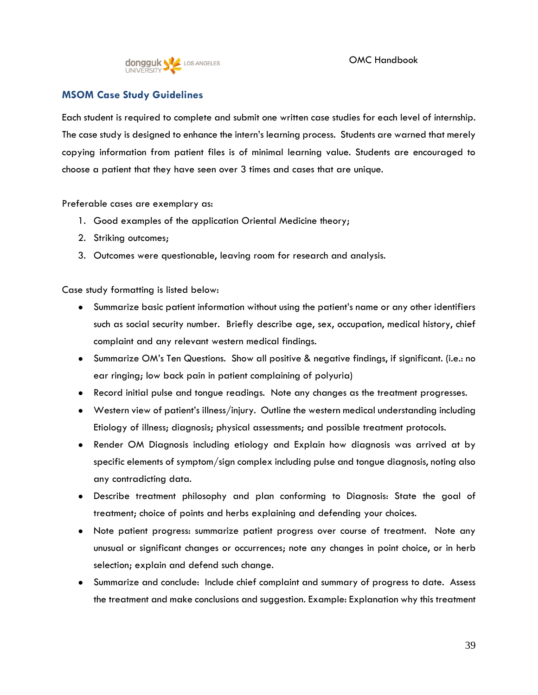

### **MSOM Case Study Guidelines**

Each student is required to complete and submit one written case studies for each level of internship. The case study is designed to enhance the intern's learning process. Students are warned that merely copying information from patient files is of minimal learning value. Students are encouraged to choose a patient that they have seen over 3 times and cases that are unique.

Preferable cases are exemplary as:

- 1. Good examples of the application Oriental Medicine theory;
- 2. Striking outcomes;
- 3. Outcomes were questionable, leaving room for research and analysis.

Case study formatting is listed below:

- Summarize basic patient information without using the patient's name or any other identifiers such as social security number. Briefly describe age, sex, occupation, medical history, chief complaint and any relevant western medical findings.
- Summarize OM's Ten Questions. Show all positive & negative findings, if significant. (i.e.: no ear ringing; low back pain in patient complaining of polyuria)
- Record initial pulse and tongue readings. Note any changes as the treatment progresses.
- Western view of patient's illness/injury. Outline the western medical understanding including Etiology of illness; diagnosis; physical assessments; and possible treatment protocols.
- Render OM Diagnosis including etiology and Explain how diagnosis was arrived at by specific elements of symptom/sign complex including pulse and tongue diagnosis, noting also any contradicting data.
- Describe treatment philosophy and plan conforming to Diagnosis: State the goal of treatment; choice of points and herbs explaining and defending your choices.
- Note patient progress: summarize patient progress over course of treatment. Note any unusual or significant changes or occurrences; note any changes in point choice, or in herb selection; explain and defend such change.
- Summarize and conclude: Include chief complaint and summary of progress to date. Assess the treatment and make conclusions and suggestion. Example: Explanation why this treatment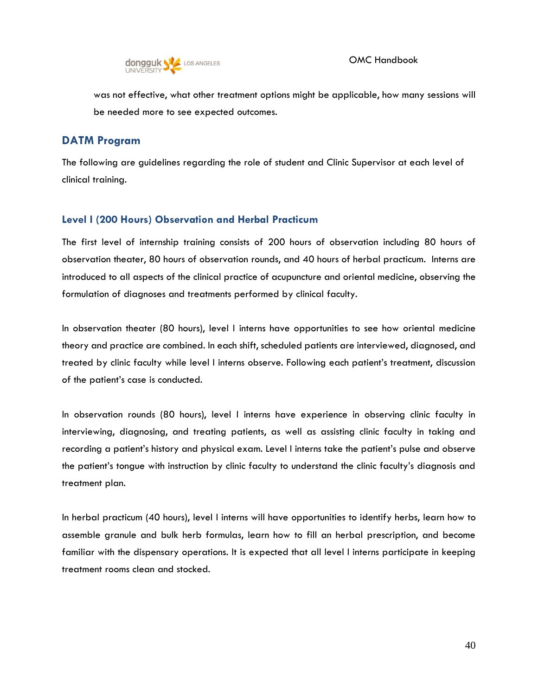

was not effective, what other treatment options might be applicable, how many sessions will be needed more to see expected outcomes.

### **DATM Program**

The following are guidelines regarding the role of student and Clinic Supervisor at each level of clinical training.

### **Level I (200 Hours) Observation and Herbal Practicum**

The first level of internship training consists of 200 hours of observation including 80 hours of observation theater, 80 hours of observation rounds, and 40 hours of herbal practicum. Interns are introduced to all aspects of the clinical practice of acupuncture and oriental medicine, observing the formulation of diagnoses and treatments performed by clinical faculty.

In observation theater (80 hours), level I interns have opportunities to see how oriental medicine theory and practice are combined. In each shift, scheduled patients are interviewed, diagnosed, and treated by clinic faculty while level I interns observe. Following each patient's treatment, discussion of the patient's case is conducted.

In observation rounds (80 hours), level I interns have experience in observing clinic faculty in interviewing, diagnosing, and treating patients, as well as assisting clinic faculty in taking and recording a patient's history and physical exam. Level I interns take the patient's pulse and observe the patient's tongue with instruction by clinic faculty to understand the clinic faculty's diagnosis and treatment plan.

In herbal practicum (40 hours), level I interns will have opportunities to identify herbs, learn how to assemble granule and bulk herb formulas, learn how to fill an herbal prescription, and become familiar with the dispensary operations. It is expected that all level I interns participate in keeping treatment rooms clean and stocked.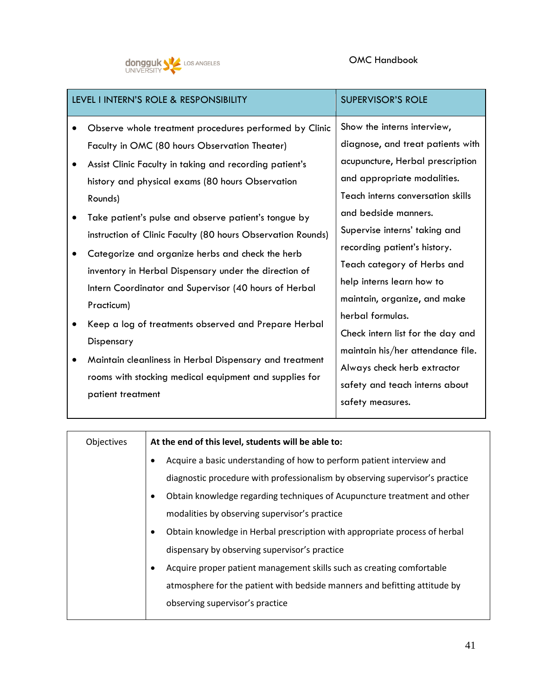

| LEVEL I INTERN'S ROLE & RESPONSIBILITY |                                                                                                                                                                                                                                                                                                                                                                                                                                                                                                                                                                                                                                                                                                                                                              | <b>SUPERVISOR'S ROLE</b>                                                                                                                                                                                                                                                                                                                                                                                                                                                                                                     |
|----------------------------------------|--------------------------------------------------------------------------------------------------------------------------------------------------------------------------------------------------------------------------------------------------------------------------------------------------------------------------------------------------------------------------------------------------------------------------------------------------------------------------------------------------------------------------------------------------------------------------------------------------------------------------------------------------------------------------------------------------------------------------------------------------------------|------------------------------------------------------------------------------------------------------------------------------------------------------------------------------------------------------------------------------------------------------------------------------------------------------------------------------------------------------------------------------------------------------------------------------------------------------------------------------------------------------------------------------|
|                                        | Observe whole treatment procedures performed by Clinic<br>Faculty in OMC (80 hours Observation Theater)<br>Assist Clinic Faculty in taking and recording patient's<br>history and physical exams (80 hours Observation<br>Rounds)<br>Take patient's pulse and observe patient's tongue by<br>instruction of Clinic Faculty (80 hours Observation Rounds)<br>Categorize and organize herbs and check the herb<br>inventory in Herbal Dispensary under the direction of<br>Intern Coordinator and Supervisor (40 hours of Herbal<br>Practicum)<br>Keep a log of treatments observed and Prepare Herbal<br>Dispensary<br>Maintain cleanliness in Herbal Dispensary and treatment<br>rooms with stocking medical equipment and supplies for<br>patient treatment | Show the interns interview,<br>diagnose, and treat patients with<br>acupuncture, Herbal prescription<br>and appropriate modalities.<br>Teach interns conversation skills<br>and bedside manners.<br>Supervise interns' taking and<br>recording patient's history.<br>Teach category of Herbs and<br>help interns learn how to<br>maintain, organize, and make<br>herbal formulas.<br>Check intern list for the day and<br>maintain his/her attendance file.<br>Always check herb extractor<br>safety and teach interns about |
|                                        |                                                                                                                                                                                                                                                                                                                                                                                                                                                                                                                                                                                                                                                                                                                                                              | safety measures.                                                                                                                                                                                                                                                                                                                                                                                                                                                                                                             |

| Objectives | At the end of this level, students will be able to:                          |
|------------|------------------------------------------------------------------------------|
|            | Acquire a basic understanding of how to perform patient interview and        |
|            | diagnostic procedure with professionalism by observing supervisor's practice |
|            | Obtain knowledge regarding techniques of Acupuncture treatment and other     |
|            | modalities by observing supervisor's practice                                |
|            | Obtain knowledge in Herbal prescription with appropriate process of herbal   |
|            | dispensary by observing supervisor's practice                                |
|            | Acquire proper patient management skills such as creating comfortable        |
|            | atmosphere for the patient with bedside manners and befitting attitude by    |
|            | observing supervisor's practice                                              |
|            |                                                                              |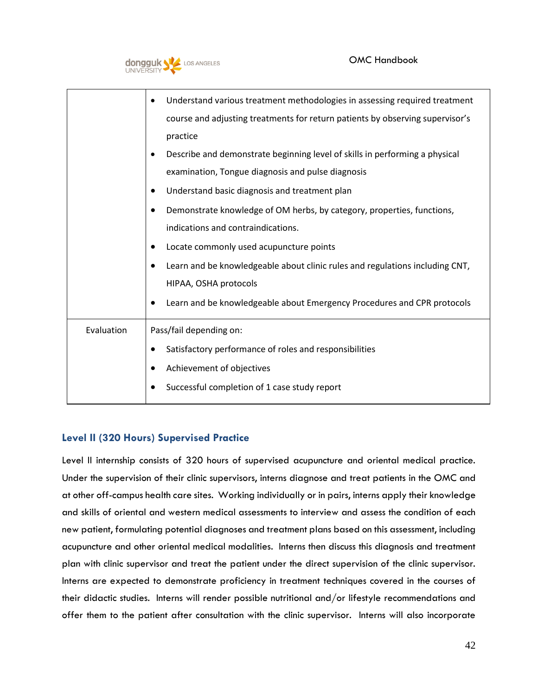

|            | Understand various treatment methodologies in assessing required treatment<br>٠ |
|------------|---------------------------------------------------------------------------------|
|            | course and adjusting treatments for return patients by observing supervisor's   |
|            | practice                                                                        |
|            | Describe and demonstrate beginning level of skills in performing a physical     |
|            | examination, Tongue diagnosis and pulse diagnosis                               |
|            | Understand basic diagnosis and treatment plan                                   |
|            | Demonstrate knowledge of OM herbs, by category, properties, functions,          |
|            | indications and contraindications.                                              |
|            | Locate commonly used acupuncture points                                         |
|            | Learn and be knowledgeable about clinic rules and regulations including CNT,    |
|            | HIPAA, OSHA protocols                                                           |
|            | Learn and be knowledgeable about Emergency Procedures and CPR protocols         |
| Evaluation | Pass/fail depending on:                                                         |
|            | Satisfactory performance of roles and responsibilities                          |
|            | Achievement of objectives                                                       |
|            | Successful completion of 1 case study report                                    |

### **Level II (320 Hours) Supervised Practice**

Level II internship consists of 320 hours of supervised acupuncture and oriental medical practice. Under the supervision of their clinic supervisors, interns diagnose and treat patients in the OMC and at other off-campus health care sites. Working individually or in pairs, interns apply their knowledge and skills of oriental and western medical assessments to interview and assess the condition of each new patient, formulating potential diagnoses and treatment plans based on this assessment, including acupuncture and other oriental medical modalities. Interns then discuss this diagnosis and treatment plan with clinic supervisor and treat the patient under the direct supervision of the clinic supervisor. Interns are expected to demonstrate proficiency in treatment techniques covered in the courses of their didactic studies. Interns will render possible nutritional and/or lifestyle recommendations and offer them to the patient after consultation with the clinic supervisor. Interns will also incorporate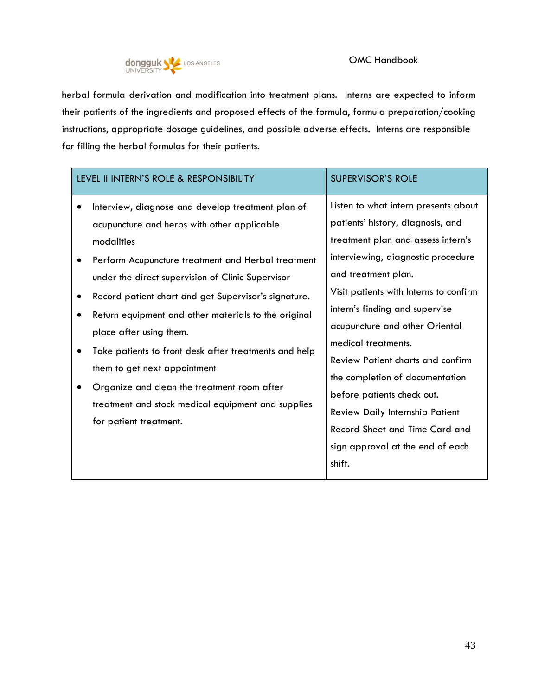

herbal formula derivation and modification into treatment plans. Interns are expected to inform their patients of the ingredients and proposed effects of the formula, formula preparation/cooking instructions, appropriate dosage guidelines, and possible adverse effects. Interns are responsible for filling the herbal formulas for their patients.

| LEVEL II INTERN'S ROLE & RESPONSIBILITY                                                                                                                                                                                                                                                                                                                                                                                                                                                                                                                                                                     | <b>SUPERVISOR'S ROLE</b>                                                                                                                                                                                                                                                                                                                                                                                                                                                                                                                          |
|-------------------------------------------------------------------------------------------------------------------------------------------------------------------------------------------------------------------------------------------------------------------------------------------------------------------------------------------------------------------------------------------------------------------------------------------------------------------------------------------------------------------------------------------------------------------------------------------------------------|---------------------------------------------------------------------------------------------------------------------------------------------------------------------------------------------------------------------------------------------------------------------------------------------------------------------------------------------------------------------------------------------------------------------------------------------------------------------------------------------------------------------------------------------------|
| Interview, diagnose and develop treatment plan of<br>acupuncture and herbs with other applicable<br>modalities<br>Perform Acupuncture treatment and Herbal treatment<br>٠<br>under the direct supervision of Clinic Supervisor<br>Record patient chart and get Supervisor's signature.<br>٠<br>Return equipment and other materials to the original<br>place after using them.<br>Take patients to front desk after treatments and help<br>٠<br>them to get next appointment<br>Organize and clean the treatment room after<br>treatment and stock medical equipment and supplies<br>for patient treatment. | Listen to what intern presents about<br>patients' history, diagnosis, and<br>treatment plan and assess intern's<br>interviewing, diagnostic procedure<br>and treatment plan.<br>Visit patients with Interns to confirm<br>intern's finding and supervise<br>acupuncture and other Oriental<br>medical treatments.<br><b>Review Patient charts and confirm</b><br>the completion of documentation<br>before patients check out.<br>Review Daily Internship Patient<br>Record Sheet and Time Card and<br>sign approval at the end of each<br>shift. |
|                                                                                                                                                                                                                                                                                                                                                                                                                                                                                                                                                                                                             |                                                                                                                                                                                                                                                                                                                                                                                                                                                                                                                                                   |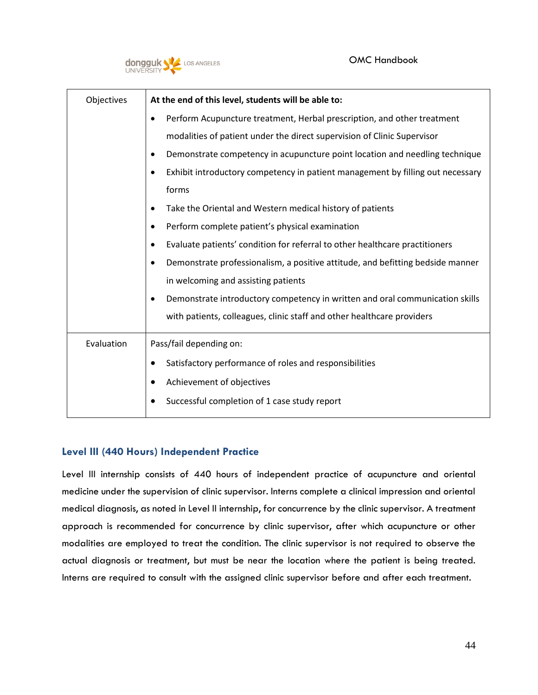

| Objectives | At the end of this level, students will be able to:                                      |
|------------|------------------------------------------------------------------------------------------|
|            | Perform Acupuncture treatment, Herbal prescription, and other treatment                  |
|            | modalities of patient under the direct supervision of Clinic Supervisor                  |
|            | Demonstrate competency in acupuncture point location and needling technique<br>$\bullet$ |
|            | Exhibit introductory competency in patient management by filling out necessary           |
|            | forms                                                                                    |
|            | Take the Oriental and Western medical history of patients                                |
|            | Perform complete patient's physical examination                                          |
|            | Evaluate patients' condition for referral to other healthcare practitioners              |
|            | Demonstrate professionalism, a positive attitude, and befitting bedside manner           |
|            | in welcoming and assisting patients                                                      |
|            | Demonstrate introductory competency in written and oral communication skills             |
|            | with patients, colleagues, clinic staff and other healthcare providers                   |
| Evaluation | Pass/fail depending on:                                                                  |
|            | Satisfactory performance of roles and responsibilities<br>٠                              |
|            | Achievement of objectives                                                                |
|            | Successful completion of 1 case study report                                             |

### **Level III (440 Hours) Independent Practice**

Level III internship consists of 440 hours of independent practice of acupuncture and oriental medicine under the supervision of clinic supervisor. Interns complete a clinical impression and oriental medical diagnosis, as noted in Level II internship, for concurrence by the clinic supervisor. A treatment approach is recommended for concurrence by clinic supervisor, after which acupuncture or other modalities are employed to treat the condition. The clinic supervisor is not required to observe the actual diagnosis or treatment, but must be near the location where the patient is being treated. Interns are required to consult with the assigned clinic supervisor before and after each treatment.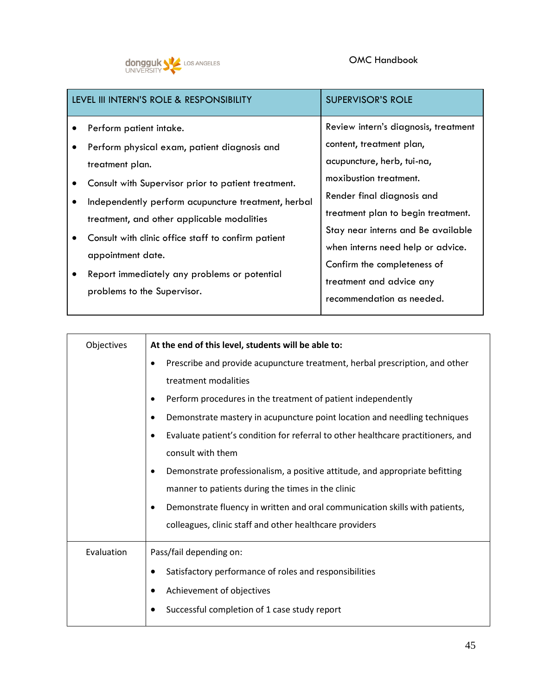

| LEVEL III INTERN'S ROLE & RESPONSIBILITY                                                                                                                                                                                                                                                                                                                                                                          | <b>SUPERVISOR'S ROLE</b>                                                                                                                                                                                                                                                                                                                                        |
|-------------------------------------------------------------------------------------------------------------------------------------------------------------------------------------------------------------------------------------------------------------------------------------------------------------------------------------------------------------------------------------------------------------------|-----------------------------------------------------------------------------------------------------------------------------------------------------------------------------------------------------------------------------------------------------------------------------------------------------------------------------------------------------------------|
| Perform patient intake.<br>Perform physical exam, patient diagnosis and<br>treatment plan.<br>Consult with Supervisor prior to patient treatment.<br>Independently perform acupuncture treatment, herbal<br>treatment, and other applicable modalities<br>Consult with clinic office staff to confirm patient<br>appointment date.<br>Report immediately any problems or potential<br>problems to the Supervisor. | Review intern's diagnosis, treatment<br>content, treatment plan,<br>acupuncture, herb, tui-na,<br>moxibustion treatment.<br>Render final diagnosis and<br>treatment plan to begin treatment.<br>Stay near interns and Be available<br>when interns need help or advice.<br>Confirm the completeness of<br>treatment and advice any<br>recommendation as needed. |

| Objectives | At the end of this level, students will be able to:                              |
|------------|----------------------------------------------------------------------------------|
|            | Prescribe and provide acupuncture treatment, herbal prescription, and other      |
|            | treatment modalities                                                             |
|            | Perform procedures in the treatment of patient independently                     |
|            | Demonstrate mastery in acupuncture point location and needling techniques        |
|            | Evaluate patient's condition for referral to other healthcare practitioners, and |
|            | consult with them                                                                |
|            | Demonstrate professionalism, a positive attitude, and appropriate befitting      |
|            | manner to patients during the times in the clinic                                |
|            | Demonstrate fluency in written and oral communication skills with patients,      |
|            | colleagues, clinic staff and other healthcare providers                          |
| Evaluation | Pass/fail depending on:                                                          |
|            | Satisfactory performance of roles and responsibilities<br>٠                      |
|            | Achievement of objectives                                                        |
|            | Successful completion of 1 case study report                                     |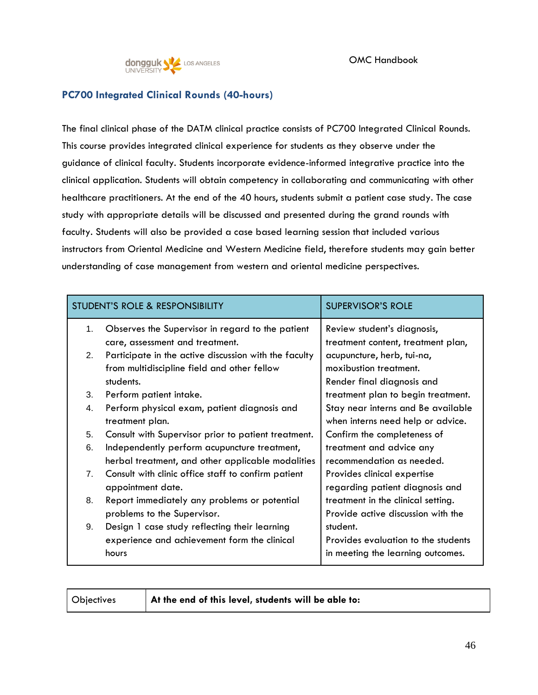

# **PC700 Integrated Clinical Rounds (40-hours)**

The final clinical phase of the DATM clinical practice consists of PC700 Integrated Clinical Rounds. This course provides integrated clinical experience for students as they observe under the guidance of clinical faculty. Students incorporate evidence-informed integrative practice into the clinical application. Students will obtain competency in collaborating and communicating with other healthcare practitioners. At the end of the 40 hours, students submit a patient case study. The case study with appropriate details will be discussed and presented during the grand rounds with faculty. Students will also be provided a case based learning session that included various instructors from Oriental Medicine and Western Medicine field, therefore students may gain better understanding of case management from western and oriental medicine perspectives.

| STUDENT'S ROLE & RESPONSIBILITY |                                                       | <b>SUPERVISOR'S ROLE</b>            |
|---------------------------------|-------------------------------------------------------|-------------------------------------|
| 1.                              | Observes the Supervisor in regard to the patient      | Review student's diagnosis,         |
|                                 | care, assessment and treatment.                       | treatment content, treatment plan,  |
| 2.                              | Participate in the active discussion with the faculty | acupuncture, herb, tui-na,          |
|                                 | from multidiscipline field and other fellow           | moxibustion treatment.              |
|                                 | students.                                             | Render final diagnosis and          |
| 3.                              | Perform patient intake.                               | treatment plan to begin treatment.  |
| 4.                              | Perform physical exam, patient diagnosis and          | Stay near interns and Be available  |
|                                 | treatment plan.                                       | when interns need help or advice.   |
| 5.                              | Consult with Supervisor prior to patient treatment.   | Confirm the completeness of         |
| 6.                              | Independently perform acupuncture treatment,          | treatment and advice any            |
|                                 | herbal treatment, and other applicable modalities     | recommendation as needed.           |
| 7.                              | Consult with clinic office staff to confirm patient   | Provides clinical expertise         |
|                                 | appointment date.                                     | regarding patient diagnosis and     |
| 8.                              | Report immediately any problems or potential          | treatment in the clinical setting.  |
|                                 | problems to the Supervisor.                           | Provide active discussion with the  |
| 9.                              | Design 1 case study reflecting their learning         | student.                            |
|                                 | experience and achievement form the clinical          | Provides evaluation to the students |
|                                 | hours                                                 | in meeting the learning outcomes.   |

| Objectives | At the end of this level, students will be able to: |
|------------|-----------------------------------------------------|
|------------|-----------------------------------------------------|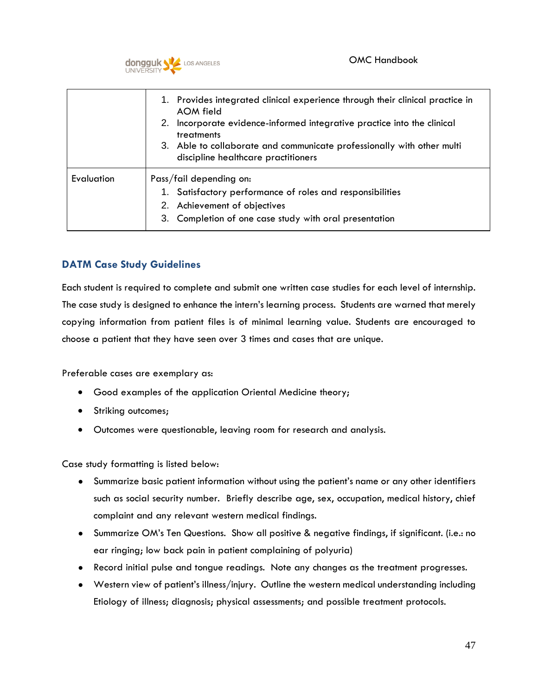

|            | 1. Provides integrated clinical experience through their clinical practice in<br>AOM field<br>2. Incorporate evidence-informed integrative practice into the clinical<br>treatments<br>3. Able to collaborate and communicate professionally with other multi<br>discipline healthcare practitioners |
|------------|------------------------------------------------------------------------------------------------------------------------------------------------------------------------------------------------------------------------------------------------------------------------------------------------------|
| Evaluation | Pass/fail depending on:<br>1. Satisfactory performance of roles and responsibilities<br>2. Achievement of objectives<br>3. Completion of one case study with oral presentation                                                                                                                       |

### **DATM Case Study Guidelines**

Each student is required to complete and submit one written case studies for each level of internship. The case study is designed to enhance the intern's learning process. Students are warned that merely copying information from patient files is of minimal learning value. Students are encouraged to choose a patient that they have seen over 3 times and cases that are unique.

Preferable cases are exemplary as:

- Good examples of the application Oriental Medicine theory;
- Striking outcomes;
- Outcomes were questionable, leaving room for research and analysis.

Case study formatting is listed below:

- Summarize basic patient information without using the patient's name or any other identifiers such as social security number. Briefly describe age, sex, occupation, medical history, chief complaint and any relevant western medical findings.
- Summarize OM's Ten Questions. Show all positive & negative findings, if significant. (i.e.: no ear ringing; low back pain in patient complaining of polyuria)
- Record initial pulse and tongue readings. Note any changes as the treatment progresses.
- Western view of patient's illness/injury. Outline the western medical understanding including Etiology of illness; diagnosis; physical assessments; and possible treatment protocols.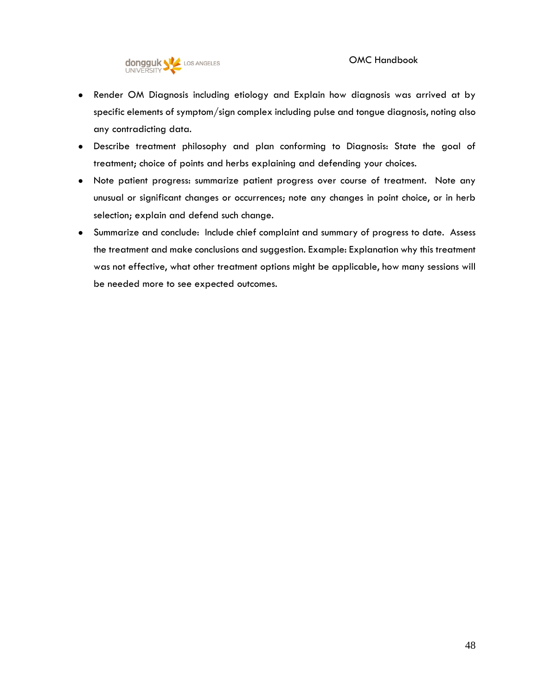

- Render OM Diagnosis including etiology and Explain how diagnosis was arrived at by specific elements of symptom/sign complex including pulse and tongue diagnosis, noting also any contradicting data.
- Describe treatment philosophy and plan conforming to Diagnosis: State the goal of treatment; choice of points and herbs explaining and defending your choices.
- Note patient progress: summarize patient progress over course of treatment. Note any unusual or significant changes or occurrences; note any changes in point choice, or in herb selection; explain and defend such change.
- Summarize and conclude: Include chief complaint and summary of progress to date. Assess the treatment and make conclusions and suggestion. Example: Explanation why this treatment was not effective, what other treatment options might be applicable, how many sessions will be needed more to see expected outcomes.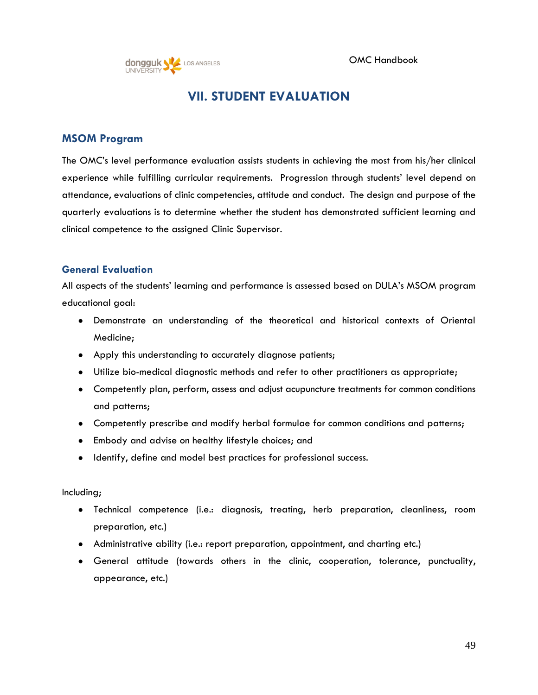

# **VII. STUDENT EVALUATION**

### **MSOM Program**

The OMC's level performance evaluation assists students in achieving the most from his/her clinical experience while fulfilling curricular requirements. Progression through students' level depend on attendance, evaluations of clinic competencies, attitude and conduct. The design and purpose of the quarterly evaluations is to determine whether the student has demonstrated sufficient learning and clinical competence to the assigned Clinic Supervisor.

### **General Evaluation**

All aspects of the students' learning and performance is assessed based on DULA's MSOM program educational goal:

- Demonstrate an understanding of the theoretical and historical contexts of Oriental Medicine;
- Apply this understanding to accurately diagnose patients;
- Utilize bio-medical diagnostic methods and refer to other practitioners as appropriate;
- Competently plan, perform, assess and adjust acupuncture treatments for common conditions and patterns;
- Competently prescribe and modify herbal formulae for common conditions and patterns;
- Embody and advise on healthy lifestyle choices; and
- Identify, define and model best practices for professional success.

#### Including;

- Technical competence (i.e.: diagnosis, treating, herb preparation, cleanliness, room preparation, etc.)
- Administrative ability (i.e.: report preparation, appointment, and charting etc.)
- General attitude (towards others in the clinic, cooperation, tolerance, punctuality, appearance, etc.)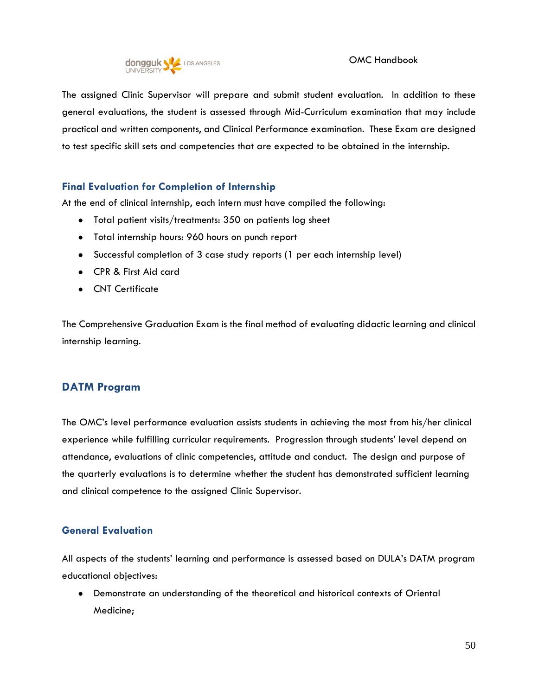

The assigned Clinic Supervisor will prepare and submit student evaluation. In addition to these general evaluations, the student is assessed through Mid-Curriculum examination that may include practical and written components, and Clinical Performance examination. These Exam are designed to test specific skill sets and competencies that are expected to be obtained in the internship.

# **Final Evaluation for Completion of Internship**

At the end of clinical internship, each intern must have compiled the following:

- Total patient visits/treatments: 350 on patients log sheet
- Total internship hours: 960 hours on punch report
- Successful completion of 3 case study reports (1 per each internship level)
- CPR & First Aid card
- CNT Certificate

The Comprehensive Graduation Exam is the final method of evaluating didactic learning and clinical internship learning.

# **DATM Program**

The OMC's level performance evaluation assists students in achieving the most from his/her clinical experience while fulfilling curricular requirements. Progression through students' level depend on attendance, evaluations of clinic competencies, attitude and conduct. The design and purpose of the quarterly evaluations is to determine whether the student has demonstrated sufficient learning and clinical competence to the assigned Clinic Supervisor.

### **General Evaluation**

All aspects of the students' learning and performance is assessed based on DULA's DATM program educational objectives:

● Demonstrate an understanding of the theoretical and historical contexts of Oriental Medicine;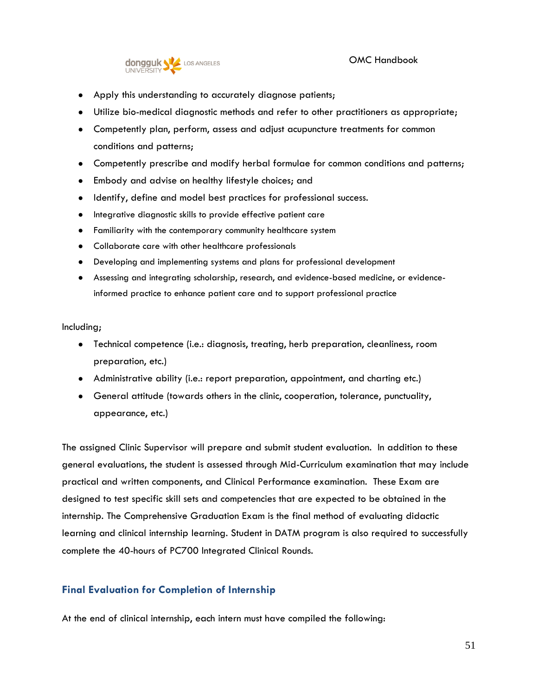

- Apply this understanding to accurately diagnose patients;
- Utilize bio-medical diagnostic methods and refer to other practitioners as appropriate;
- Competently plan, perform, assess and adjust acupuncture treatments for common conditions and patterns;
- Competently prescribe and modify herbal formulae for common conditions and patterns;
- Embody and advise on healthy lifestyle choices; and
- Identify, define and model best practices for professional success.
- Integrative diagnostic skills to provide effective patient care
- Familiarity with the contemporary community healthcare system
- Collaborate care with other healthcare professionals
- Developing and implementing systems and plans for professional development
- Assessing and integrating scholarship, research, and evidence-based medicine, or evidenceinformed practice to enhance patient care and to support professional practice

Including;

- Technical competence (i.e.: diagnosis, treating, herb preparation, cleanliness, room preparation, etc.)
- Administrative ability (i.e.: report preparation, appointment, and charting etc.)
- General attitude (towards others in the clinic, cooperation, tolerance, punctuality, appearance, etc.)

The assigned Clinic Supervisor will prepare and submit student evaluation. In addition to these general evaluations, the student is assessed through Mid-Curriculum examination that may include practical and written components, and Clinical Performance examination. These Exam are designed to test specific skill sets and competencies that are expected to be obtained in the internship. The Comprehensive Graduation Exam is the final method of evaluating didactic learning and clinical internship learning. Student in DATM program is also required to successfully complete the 40-hours of PC700 Integrated Clinical Rounds.

### **Final Evaluation for Completion of Internship**

At the end of clinical internship, each intern must have compiled the following: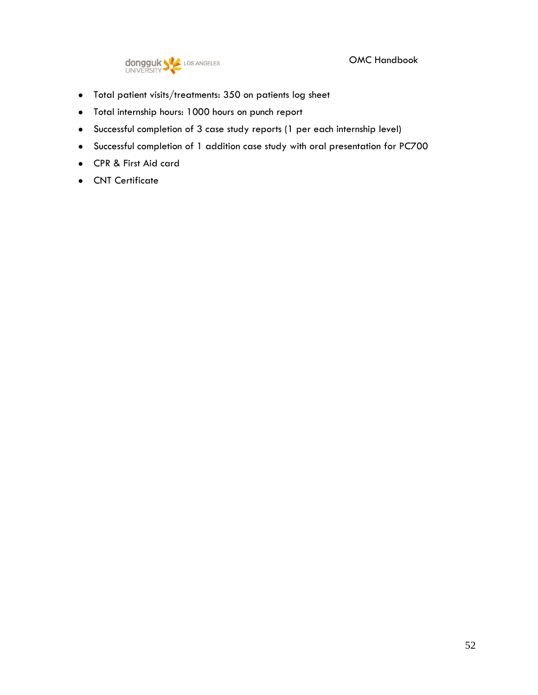

- Total patient visits/treatments: 350 on patients log sheet
- Total internship hours: 1000 hours on punch report
- Successful completion of 3 case study reports (1 per each internship level)
- Successful completion of 1 addition case study with oral presentation for PC700
- CPR & First Aid card
- CNT Certificate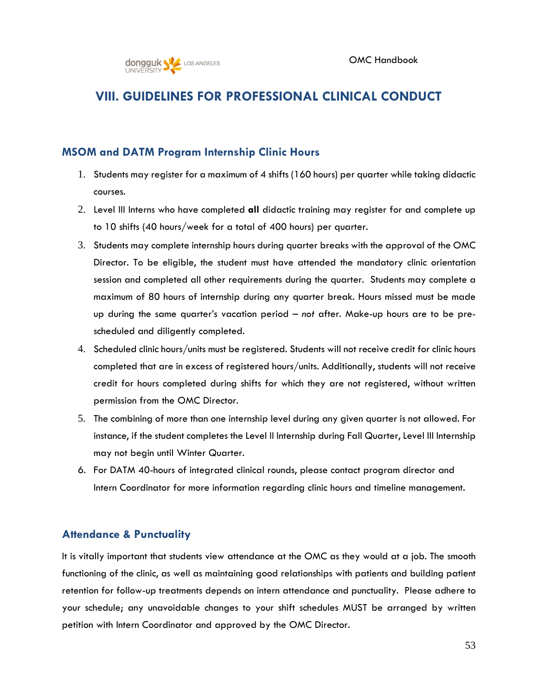

# **VIII. GUIDELINES FOR PROFESSIONAL CLINICAL CONDUCT**

# **MSOM and DATM Program Internship Clinic Hours**

- 1. Students may register for a maximum of 4 shifts (160 hours) per quarter while taking didactic courses.
- 2. Level III Interns who have completed **all** didactic training may register for and complete up to 10 shifts (40 hours/week for a total of 400 hours) per quarter.
- 3. Students may complete internship hours during quarter breaks with the approval of the OMC Director. To be eligible, the student must have attended the mandatory clinic orientation session and completed all other requirements during the quarter. Students may complete a maximum of 80 hours of internship during any quarter break. Hours missed must be made up during the same quarter's vacation period – *not* after. Make-up hours are to be prescheduled and diligently completed.
- 4. Scheduled clinic hours/units must be registered. Students will not receive credit for clinic hours completed that are in excess of registered hours/units. Additionally, students will not receive credit for hours completed during shifts for which they are not registered, without written permission from the OMC Director.
- 5. The combining of more than one internship level during any given quarter is not allowed. For instance, if the student completes the Level II Internship during Fall Quarter, Level III Internship may not begin until Winter Quarter.
- 6. For DATM 40-hours of integrated clinical rounds, please contact program director and Intern Coordinator for more information regarding clinic hours and timeline management.

# **Attendance & Punctuality**

It is vitally important that students view attendance at the OMC as they would at a job. The smooth functioning of the clinic, as well as maintaining good relationships with patients and building patient retention for follow-up treatments depends on intern attendance and punctuality. Please adhere to your schedule; any unavoidable changes to your shift schedules MUST be arranged by written petition with Intern Coordinator and approved by the OMC Director.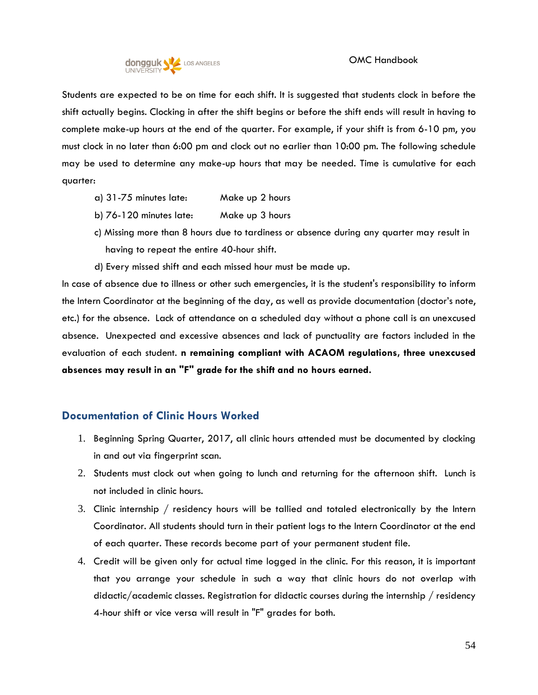

Students are expected to be on time for each shift. It is suggested that students clock in before the shift actually begins. Clocking in after the shift begins or before the shift ends will result in having to complete make-up hours at the end of the quarter. For example, if your shift is from 6-10 pm, you must clock in no later than 6:00 pm and clock out no earlier than 10:00 pm. The following schedule may be used to determine any make-up hours that may be needed. Time is cumulative for each quarter:

- a) 31-75 minutes late: Make up 2 hours
- b) 76-120 minutes late: Make up 3 hours
- c) Missing more than 8 hours due to tardiness or absence during any quarter may result in having to repeat the entire 40-hour shift.
- d) Every missed shift and each missed hour must be made up.

In case of absence due to illness or other such emergencies, it is the student's responsibility to inform the Intern Coordinator at the beginning of the day, as well as provide documentation (doctor's note, etc.) for the absence. Lack of attendance on a scheduled day without a phone call is an unexcused absence. Unexpected and excessive absences and lack of punctuality are factors included in the evaluation of each student. **n remaining compliant with ACAOM regulations, three unexcused absences may result in an "F" grade for the shift and no hours earned.**

# **Documentation of Clinic Hours Worked**

- 1. Beginning Spring Quarter, 2017, all clinic hours attended must be documented by clocking in and out via fingerprint scan.
- 2. Students must clock out when going to lunch and returning for the afternoon shift. Lunch is not included in clinic hours.
- 3. Clinic internship / residency hours will be tallied and totaled electronically by the Intern Coordinator. All students should turn in their patient logs to the Intern Coordinator at the end of each quarter. These records become part of your permanent student file.
- 4. Credit will be given only for actual time logged in the clinic. For this reason, it is important that you arrange your schedule in such a way that clinic hours do not overlap with didactic/academic classes. Registration for didactic courses during the internship / residency 4-hour shift or vice versa will result in "F" grades for both.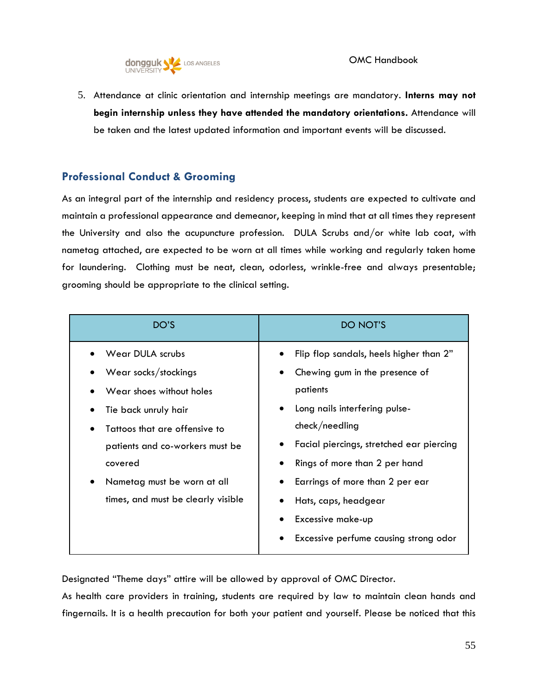

5. Attendance at clinic orientation and internship meetings are mandatory. **Interns may not begin internship unless they have attended the mandatory orientations.** Attendance will be taken and the latest updated information and important events will be discussed.

# **Professional Conduct & Grooming**

As an integral part of the internship and residency process, students are expected to cultivate and maintain a professional appearance and demeanor, keeping in mind that at all times they represent the University and also the acupuncture profession. DULA Scrubs and/or white lab coat, with nametag attached, are expected to be worn at all times while working and regularly taken home for laundering. Clothing must be neat, clean, odorless, wrinkle-free and always presentable; grooming should be appropriate to the clinical setting.

| DO'S                               | <b>DO NOT'S</b>                          |
|------------------------------------|------------------------------------------|
| Wear DULA scrubs                   | Flip flop sandals, heels higher than 2"  |
| Wear socks/stockings               | Chewing gum in the presence of           |
| Wear shoes without holes           | patients                                 |
| Tie back unruly hair               | Long nails interfering pulse-            |
| Tattoos that are offensive to      | check/needling                           |
| patients and co-workers must be    | Facial piercings, stretched ear piercing |
| covered                            | Rings of more than 2 per hand            |
| Nametag must be worn at all        | Earrings of more than 2 per ear          |
| times, and must be clearly visible | Hats, caps, headgear                     |
|                                    | Excessive make-up                        |
|                                    | Excessive perfume causing strong odor    |

Designated "Theme days" attire will be allowed by approval of OMC Director.

As health care providers in training, students are required by law to maintain clean hands and fingernails. It is a health precaution for both your patient and yourself. Please be noticed that this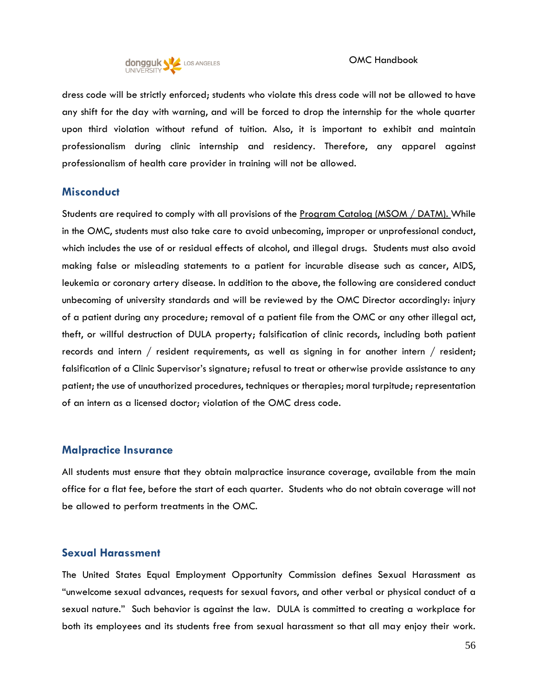

dress code will be strictly enforced; students who violate this dress code will not be allowed to have any shift for the day with warning, and will be forced to drop the internship for the whole quarter upon third violation without refund of tuition. Also, it is important to exhibit and maintain professionalism during clinic internship and residency. Therefore, any apparel against professionalism of health care provider in training will not be allowed.

### **Misconduct**

Students are required to comply with all provisions of the Program Catalog (MSOM / DATM). While in the OMC, students must also take care to avoid unbecoming, improper or unprofessional conduct, which includes the use of or residual effects of alcohol, and illegal drugs. Students must also avoid making false or misleading statements to a patient for incurable disease such as cancer, AIDS, leukemia or coronary artery disease. In addition to the above, the following are considered conduct unbecoming of university standards and will be reviewed by the OMC Director accordingly: injury of a patient during any procedure; removal of a patient file from the OMC or any other illegal act, theft, or willful destruction of DULA property; falsification of clinic records, including both patient records and intern / resident requirements, as well as signing in for another intern / resident; falsification of a Clinic Supervisor's signature; refusal to treat or otherwise provide assistance to any patient; the use of unauthorized procedures, techniques or therapies; moral turpitude; representation of an intern as a licensed doctor; violation of the OMC dress code.

### **Malpractice Insurance**

All students must ensure that they obtain malpractice insurance coverage, available from the main office for a flat fee, before the start of each quarter. Students who do not obtain coverage will not be allowed to perform treatments in the OMC.

### **Sexual Harassment**

The United States Equal Employment Opportunity Commission defines Sexual Harassment as "unwelcome sexual advances, requests for sexual favors, and other verbal or physical conduct of a sexual nature." Such behavior is against the law. DULA is committed to creating a workplace for both its employees and its students free from sexual harassment so that all may enjoy their work.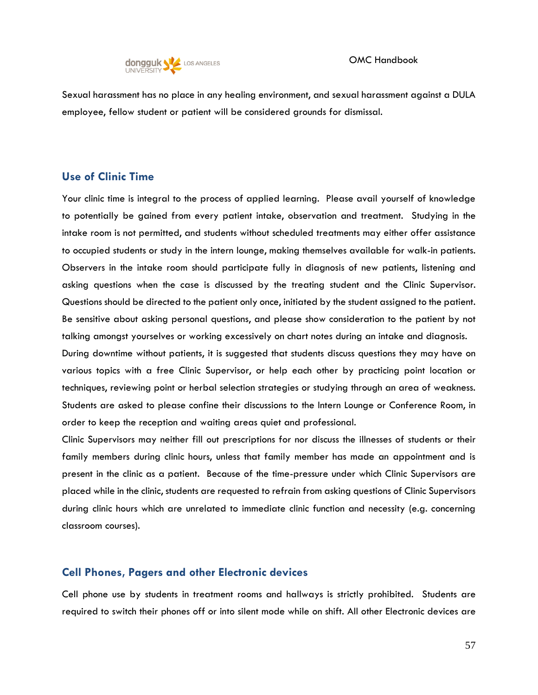

Sexual harassment has no place in any healing environment, and sexual harassment against a DULA employee, fellow student or patient will be considered grounds for dismissal.

# **Use of Clinic Time**

Your clinic time is integral to the process of applied learning. Please avail yourself of knowledge to potentially be gained from every patient intake, observation and treatment. Studying in the intake room is not permitted, and students without scheduled treatments may either offer assistance to occupied students or study in the intern lounge, making themselves available for walk-in patients. Observers in the intake room should participate fully in diagnosis of new patients, listening and asking questions when the case is discussed by the treating student and the Clinic Supervisor. Questions should be directed to the patient only once, initiated by the student assigned to the patient. Be sensitive about asking personal questions, and please show consideration to the patient by not talking amongst yourselves or working excessively on chart notes during an intake and diagnosis.

During downtime without patients, it is suggested that students discuss questions they may have on various topics with a free Clinic Supervisor, or help each other by practicing point location or techniques, reviewing point or herbal selection strategies or studying through an area of weakness. Students are asked to please confine their discussions to the Intern Lounge or Conference Room, in order to keep the reception and waiting areas quiet and professional.

Clinic Supervisors may neither fill out prescriptions for nor discuss the illnesses of students or their family members during clinic hours, unless that family member has made an appointment and is present in the clinic as a patient. Because of the time-pressure under which Clinic Supervisors are placed while in the clinic, students are requested to refrain from asking questions of Clinic Supervisors during clinic hours which are unrelated to immediate clinic function and necessity (e.g. concerning classroom courses).

### **Cell Phones, Pagers and other Electronic devices**

Cell phone use by students in treatment rooms and hallways is strictly prohibited. Students are required to switch their phones off or into silent mode while on shift. All other Electronic devices are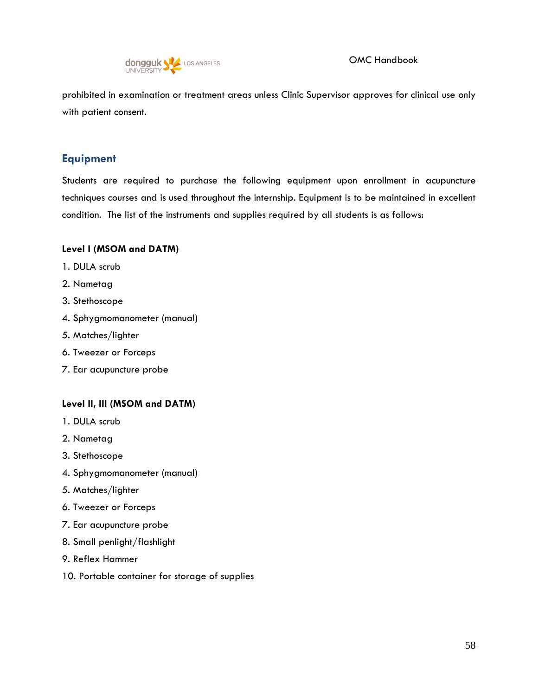

prohibited in examination or treatment areas unless Clinic Supervisor approves for clinical use only with patient consent.

# **Equipment**

Students are required to purchase the following equipment upon enrollment in acupuncture techniques courses and is used throughout the internship. Equipment is to be maintained in excellent condition. The list of the instruments and supplies required by all students is as follows:

#### **Level I (MSOM and DATM)**

- 1. DULA scrub
- 2. Nametag
- 3. Stethoscope
- 4. Sphygmomanometer (manual)
- 5. Matches/lighter
- 6. Tweezer or Forceps
- 7. Ear acupuncture probe

### **Level II, III (MSOM and DATM)**

- 1. DULA scrub
- 2. Nametag
- 3. Stethoscope
- 4. Sphygmomanometer (manual)
- 5. Matches/lighter
- 6. Tweezer or Forceps
- 7. Ear acupuncture probe
- 8. Small penlight/flashlight
- 9. Reflex Hammer
- 10. Portable container for storage of supplies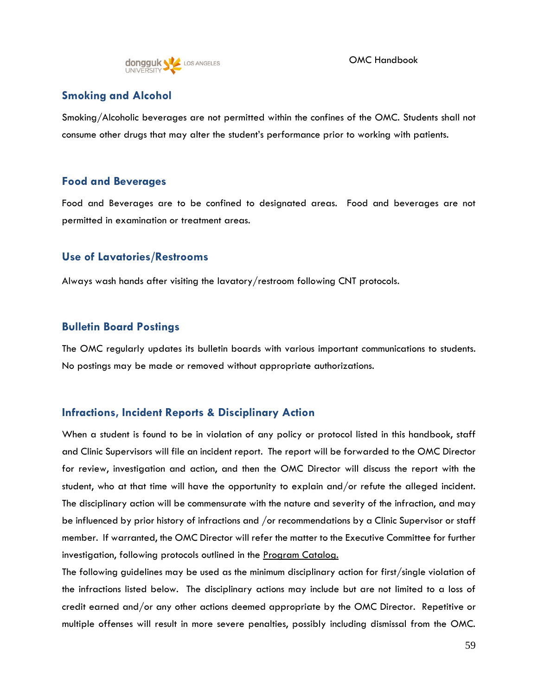

# **Smoking and Alcohol**

Smoking/Alcoholic beverages are not permitted within the confines of the OMC. Students shall not consume other drugs that may alter the student's performance prior to working with patients.

### **Food and Beverages**

Food and Beverages are to be confined to designated areas. Food and beverages are not permitted in examination or treatment areas.

# **Use of Lavatories/Restrooms**

Always wash hands after visiting the lavatory/restroom following CNT protocols.

# **Bulletin Board Postings**

The OMC regularly updates its bulletin boards with various important communications to students. No postings may be made or removed without appropriate authorizations.

# **Infractions, Incident Reports & Disciplinary Action**

When a student is found to be in violation of any policy or protocol listed in this handbook, staff and Clinic Supervisors will file an incident report. The report will be forwarded to the OMC Director for review, investigation and action, and then the OMC Director will discuss the report with the student, who at that time will have the opportunity to explain and/or refute the alleged incident. The disciplinary action will be commensurate with the nature and severity of the infraction, and may be influenced by prior history of infractions and /or recommendations by a Clinic Supervisor or staff member. If warranted, the OMC Director will refer the matter to the Executive Committee for further investigation, following protocols outlined in the Program Catalog.

The following guidelines may be used as the minimum disciplinary action for first/single violation of the infractions listed below. The disciplinary actions may include but are not limited to a loss of credit earned and/or any other actions deemed appropriate by the OMC Director. Repetitive or multiple offenses will result in more severe penalties, possibly including dismissal from the OMC.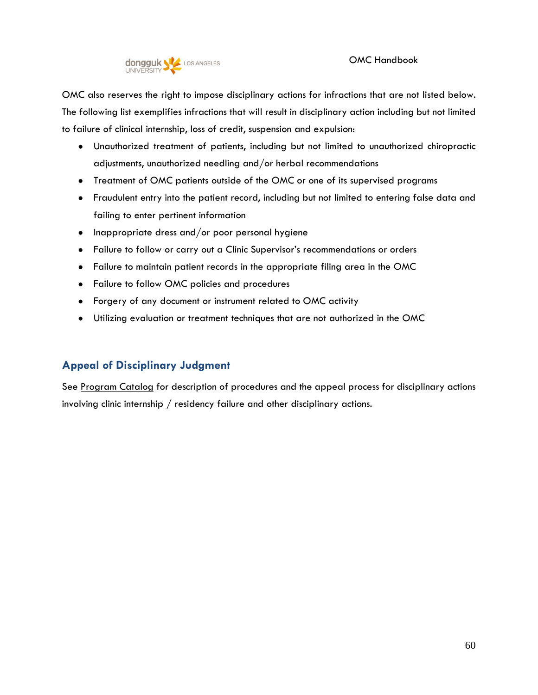

OMC also reserves the right to impose disciplinary actions for infractions that are not listed below. The following list exemplifies infractions that will result in disciplinary action including but not limited to failure of clinical internship, loss of credit, suspension and expulsion:

- Unauthorized treatment of patients, including but not limited to unauthorized chiropractic adjustments, unauthorized needling and/or herbal recommendations
- Treatment of OMC patients outside of the OMC or one of its supervised programs
- Fraudulent entry into the patient record, including but not limited to entering false data and failing to enter pertinent information
- Inappropriate dress and/or poor personal hygiene
- Failure to follow or carry out a Clinic Supervisor's recommendations or orders
- Failure to maintain patient records in the appropriate filing area in the OMC
- Failure to follow OMC policies and procedures
- Forgery of any document or instrument related to OMC activity
- Utilizing evaluation or treatment techniques that are not authorized in the OMC

# **Appeal of Disciplinary Judgment**

See Program Catalog for description of procedures and the appeal process for disciplinary actions involving clinic internship / residency failure and other disciplinary actions.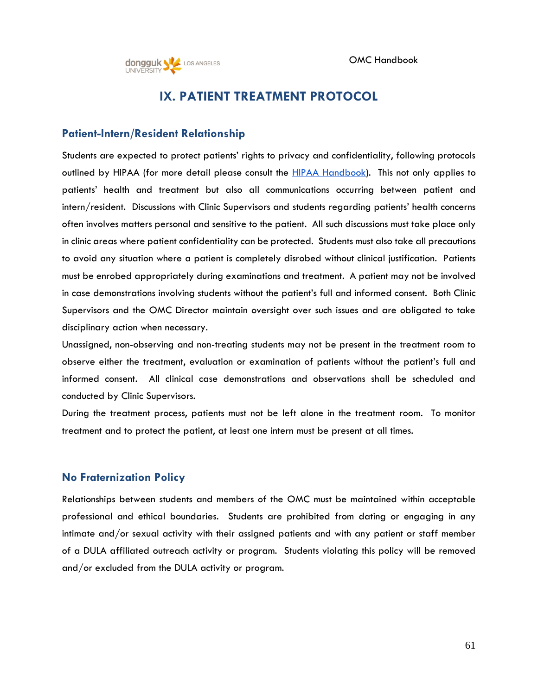

# **IX. PATIENT TREATMENT PROTOCOL**

### **Patient-Intern/Resident Relationship**

Students are expected to protect patients' rights to privacy and confidentiality, following protocols outlined by HIPAA (for more detail please consult the **HIPAA Handbook)**. This not only applies to patients' health and treatment but also all communications occurring between patient and intern/resident. Discussions with Clinic Supervisors and students regarding patients' health concerns often involves matters personal and sensitive to the patient. All such discussions must take place only in clinic areas where patient confidentiality can be protected. Students must also take all precautions to avoid any situation where a patient is completely disrobed without clinical justification. Patients must be enrobed appropriately during examinations and treatment. A patient may not be involved in case demonstrations involving students without the patient's full and informed consent. Both Clinic Supervisors and the OMC Director maintain oversight over such issues and are obligated to take disciplinary action when necessary.

Unassigned, non-observing and non-treating students may not be present in the treatment room to observe either the treatment, evaluation or examination of patients without the patient's full and informed consent. All clinical case demonstrations and observations shall be scheduled and conducted by Clinic Supervisors.

During the treatment process, patients must not be left alone in the treatment room. To monitor treatment and to protect the patient, at least one intern must be present at all times.

### **No Fraternization Policy**

Relationships between students and members of the OMC must be maintained within acceptable professional and ethical boundaries. Students are prohibited from dating or engaging in any intimate and/or sexual activity with their assigned patients and with any patient or staff member of a DULA affiliated outreach activity or program. Students violating this policy will be removed and/or excluded from the DULA activity or program.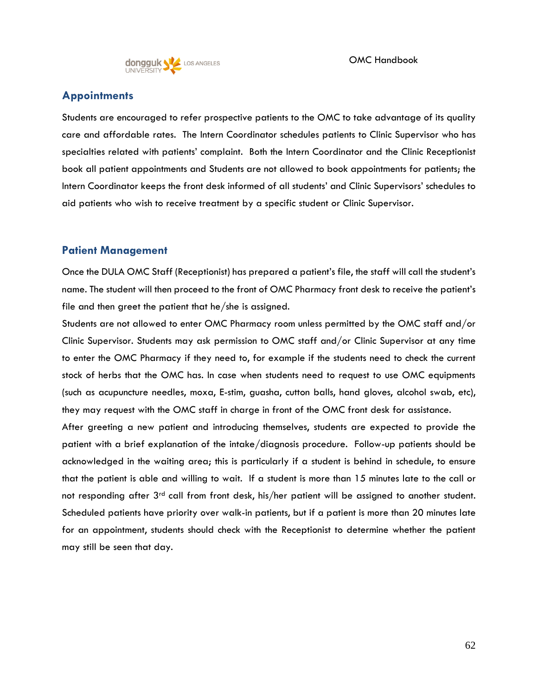

### **Appointments**

Students are encouraged to refer prospective patients to the OMC to take advantage of its quality care and affordable rates. The Intern Coordinator schedules patients to Clinic Supervisor who has specialties related with patients' complaint. Both the Intern Coordinator and the Clinic Receptionist book all patient appointments and Students are not allowed to book appointments for patients; the Intern Coordinator keeps the front desk informed of all students' and Clinic Supervisors' schedules to aid patients who wish to receive treatment by a specific student or Clinic Supervisor.

### **Patient Management**

Once the DULA OMC Staff (Receptionist) has prepared a patient's file, the staff will call the student's name. The student will then proceed to the front of OMC Pharmacy front desk to receive the patient's file and then greet the patient that he/she is assigned.

Students are not allowed to enter OMC Pharmacy room unless permitted by the OMC staff and/or Clinic Supervisor. Students may ask permission to OMC staff and/or Clinic Supervisor at any time to enter the OMC Pharmacy if they need to, for example if the students need to check the current stock of herbs that the OMC has. In case when students need to request to use OMC equipments (such as acupuncture needles, moxa, E-stim, guasha, cutton balls, hand gloves, alcohol swab, etc), they may request with the OMC staff in charge in front of the OMC front desk for assistance.

After greeting a new patient and introducing themselves, students are expected to provide the patient with a brief explanation of the intake/diagnosis procedure. Follow-up patients should be acknowledged in the waiting area; this is particularly if a student is behind in schedule, to ensure that the patient is able and willing to wait. If a student is more than 15 minutes late to the call or not responding after  $3^{rd}$  call from front desk, his/her patient will be assigned to another student. Scheduled patients have priority over walk-in patients, but if a patient is more than 20 minutes late for an appointment, students should check with the Receptionist to determine whether the patient may still be seen that day.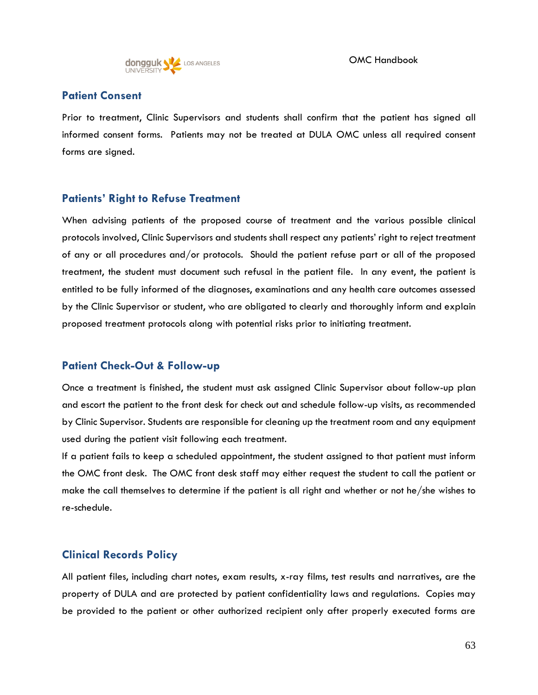

### **Patient Consent**

Prior to treatment, Clinic Supervisors and students shall confirm that the patient has signed all informed consent forms. Patients may not be treated at DULA OMC unless all required consent forms are signed.

# **Patients' Right to Refuse Treatment**

When advising patients of the proposed course of treatment and the various possible clinical protocols involved, Clinic Supervisors and students shall respect any patients' right to reject treatment of any or all procedures and/or protocols. Should the patient refuse part or all of the proposed treatment, the student must document such refusal in the patient file. In any event, the patient is entitled to be fully informed of the diagnoses, examinations and any health care outcomes assessed by the Clinic Supervisor or student, who are obligated to clearly and thoroughly inform and explain proposed treatment protocols along with potential risks prior to initiating treatment.

# **Patient Check-Out & Follow-up**

Once a treatment is finished, the student must ask assigned Clinic Supervisor about follow-up plan and escort the patient to the front desk for check out and schedule follow-up visits, as recommended by Clinic Supervisor. Students are responsible for cleaning up the treatment room and any equipment used during the patient visit following each treatment.

If a patient fails to keep a scheduled appointment, the student assigned to that patient must inform the OMC front desk. The OMC front desk staff may either request the student to call the patient or make the call themselves to determine if the patient is all right and whether or not he/she wishes to re-schedule.

# **Clinical Records Policy**

All patient files, including chart notes, exam results, x-ray films, test results and narratives, are the property of DULA and are protected by patient confidentiality laws and regulations. Copies may be provided to the patient or other authorized recipient only after properly executed forms are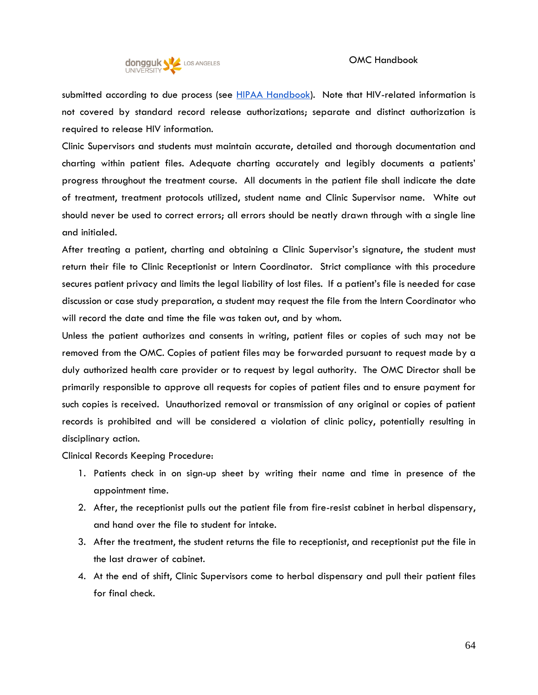

submitted according to due process (see **HIPAA Handbook)**. Note that HIV-related information is not covered by standard record release authorizations; separate and distinct authorization is required to release HIV information.

Clinic Supervisors and students must maintain accurate, detailed and thorough documentation and charting within patient files. Adequate charting accurately and legibly documents a patients' progress throughout the treatment course. All documents in the patient file shall indicate the date of treatment, treatment protocols utilized, student name and Clinic Supervisor name. White out should never be used to correct errors; all errors should be neatly drawn through with a single line and initialed.

After treating a patient, charting and obtaining a Clinic Supervisor's signature, the student must return their file to Clinic Receptionist or Intern Coordinator. Strict compliance with this procedure secures patient privacy and limits the legal liability of lost files. If a patient's file is needed for case discussion or case study preparation, a student may request the file from the Intern Coordinator who will record the date and time the file was taken out, and by whom.

Unless the patient authorizes and consents in writing, patient files or copies of such may not be removed from the OMC. Copies of patient files may be forwarded pursuant to request made by a duly authorized health care provider or to request by legal authority. The OMC Director shall be primarily responsible to approve all requests for copies of patient files and to ensure payment for such copies is received. Unauthorized removal or transmission of any original or copies of patient records is prohibited and will be considered a violation of clinic policy, potentially resulting in disciplinary action.

Clinical Records Keeping Procedure:

- 1. Patients check in on sign-up sheet by writing their name and time in presence of the appointment time.
- 2. After, the receptionist pulls out the patient file from fire-resist cabinet in herbal dispensary, and hand over the file to student for intake.
- 3. After the treatment, the student returns the file to receptionist, and receptionist put the file in the last drawer of cabinet.
- 4. At the end of shift, Clinic Supervisors come to herbal dispensary and pull their patient files for final check.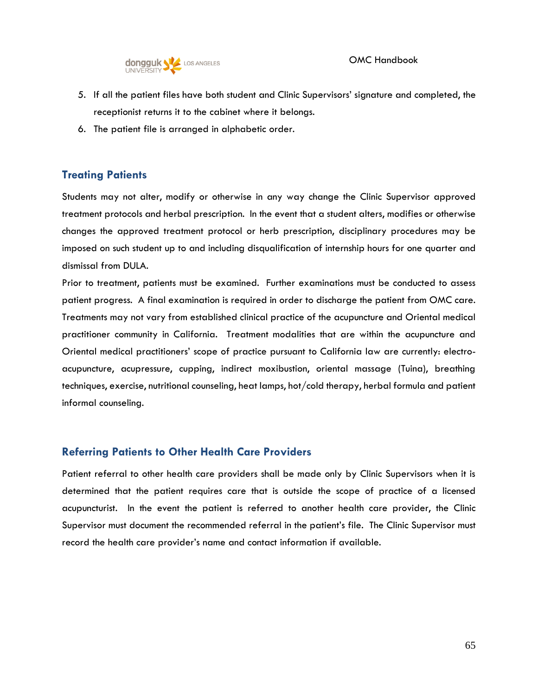

- 5. If all the patient files have both student and Clinic Supervisors' signature and completed, the receptionist returns it to the cabinet where it belongs.
- 6. The patient file is arranged in alphabetic order.

# **Treating Patients**

Students may not alter, modify or otherwise in any way change the Clinic Supervisor approved treatment protocols and herbal prescription. In the event that a student alters, modifies or otherwise changes the approved treatment protocol or herb prescription, disciplinary procedures may be imposed on such student up to and including disqualification of internship hours for one quarter and dismissal from DULA.

Prior to treatment, patients must be examined. Further examinations must be conducted to assess patient progress. A final examination is required in order to discharge the patient from OMC care. Treatments may not vary from established clinical practice of the acupuncture and Oriental medical practitioner community in California. Treatment modalities that are within the acupuncture and Oriental medical practitioners' scope of practice pursuant to California law are currently: electroacupuncture, acupressure, cupping, indirect moxibustion, oriental massage (Tuina), breathing techniques, exercise, nutritional counseling, heat lamps, hot/cold therapy, herbal formula and patient informal counseling.

# **Referring Patients to Other Health Care Providers**

Patient referral to other health care providers shall be made only by Clinic Supervisors when it is determined that the patient requires care that is outside the scope of practice of a licensed acupuncturist. In the event the patient is referred to another health care provider, the Clinic Supervisor must document the recommended referral in the patient's file. The Clinic Supervisor must record the health care provider's name and contact information if available.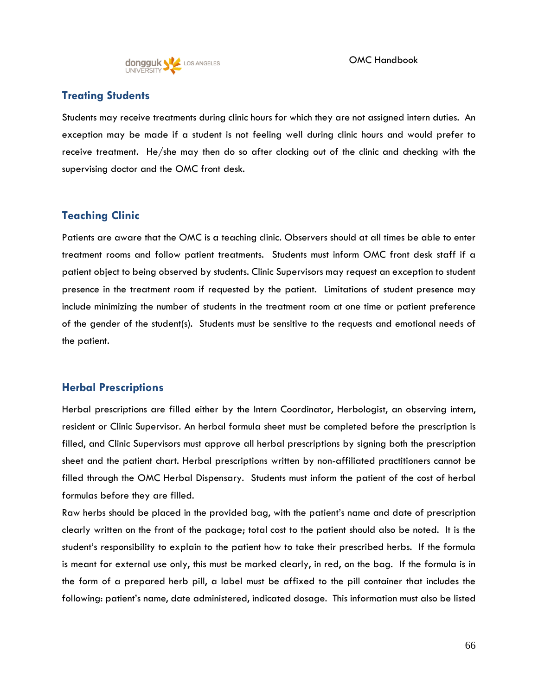

# **Treating Students**

Students may receive treatments during clinic hours for which they are not assigned intern duties. An exception may be made if a student is not feeling well during clinic hours and would prefer to receive treatment. He/she may then do so after clocking out of the clinic and checking with the supervising doctor and the OMC front desk.

# **Teaching Clinic**

Patients are aware that the OMC is a teaching clinic. Observers should at all times be able to enter treatment rooms and follow patient treatments. Students must inform OMC front desk staff if a patient object to being observed by students. Clinic Supervisors may request an exception to student presence in the treatment room if requested by the patient. Limitations of student presence may include minimizing the number of students in the treatment room at one time or patient preference of the gender of the student(s). Students must be sensitive to the requests and emotional needs of the patient.

# **Herbal Prescriptions**

Herbal prescriptions are filled either by the Intern Coordinator, Herbologist, an observing intern, resident or Clinic Supervisor. An herbal formula sheet must be completed before the prescription is filled, and Clinic Supervisors must approve all herbal prescriptions by signing both the prescription sheet and the patient chart. Herbal prescriptions written by non-affiliated practitioners cannot be filled through the OMC Herbal Dispensary. Students must inform the patient of the cost of herbal formulas before they are filled.

Raw herbs should be placed in the provided bag, with the patient's name and date of prescription clearly written on the front of the package; total cost to the patient should also be noted. It is the student's responsibility to explain to the patient how to take their prescribed herbs. If the formula is meant for external use only, this must be marked clearly, in red, on the bag. If the formula is in the form of a prepared herb pill, a label must be affixed to the pill container that includes the following: patient's name, date administered, indicated dosage. This information must also be listed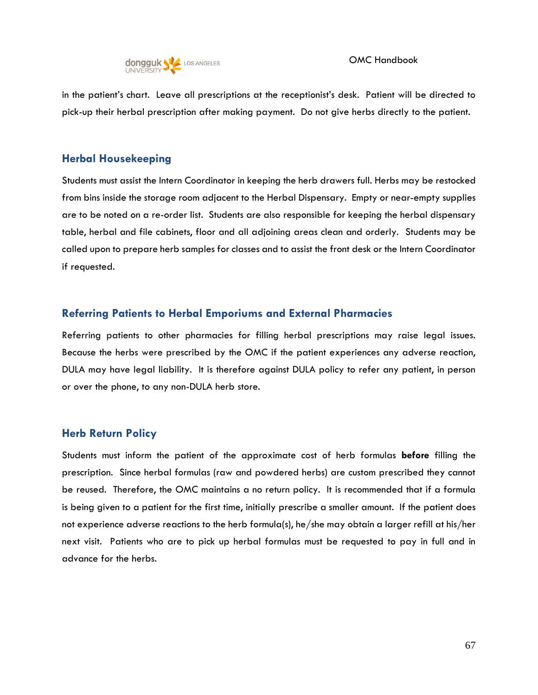

in the patient's chart. Leave all prescriptions at the receptionist's desk. Patient will be directed to pick-up their herbal prescription after making payment. Do not give herbs directly to the patient.

# **Herbal Housekeeping**

Students must assist the Intern Coordinator in keeping the herb drawers full. Herbs may be restocked from bins inside the storage room adjacent to the Herbal Dispensary. Empty or near-empty supplies are to be noted on a re-order list. Students are also responsible for keeping the herbal dispensary table, herbal and file cabinets, floor and all adjoining areas clean and orderly. Students may be called upon to prepare herb samples for classes and to assist the front desk or the Intern Coordinator if requested.

# **Referring Patients to Herbal Emporiums and External Pharmacies**

Referring patients to other pharmacies for filling herbal prescriptions may raise legal issues. Because the herbs were prescribed by the OMC if the patient experiences any adverse reaction, DULA may have legal liability. It is therefore against DULA policy to refer any patient, in person or over the phone, to any non-DULA herb store.

# **Herb Return Policy**

Students must inform the patient of the approximate cost of herb formulas **before** filling the prescription. Since herbal formulas (raw and powdered herbs) are custom prescribed they cannot be reused. Therefore, the OMC maintains a no return policy. It is recommended that if a formula is being given to a patient for the first time, initially prescribe a smaller amount. If the patient does not experience adverse reactions to the herb formula(s), he/she may obtain a larger refill at his/her next visit. Patients who are to pick up herbal formulas must be requested to pay in full and in advance for the herbs.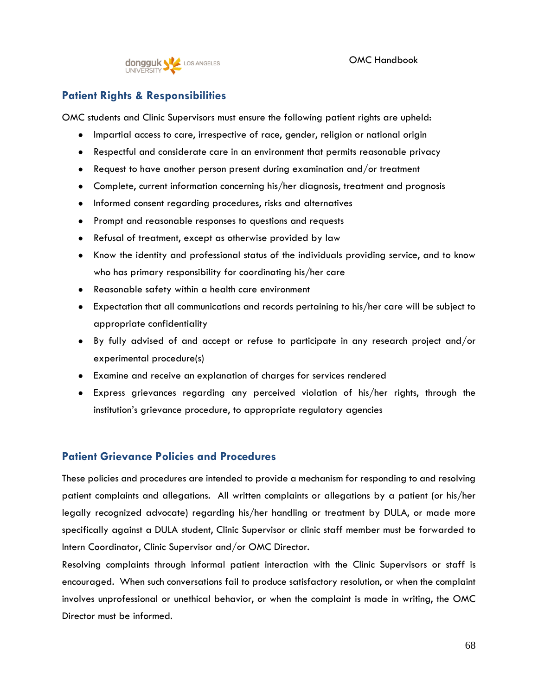

# **Patient Rights & Responsibilities**

OMC students and Clinic Supervisors must ensure the following patient rights are upheld:

- Impartial access to care, irrespective of race, gender, religion or national origin
- Respectful and considerate care in an environment that permits reasonable privacy
- Request to have another person present during examination and/or treatment
- Complete, current information concerning his/her diagnosis, treatment and prognosis
- Informed consent regarding procedures, risks and alternatives
- Prompt and reasonable responses to questions and requests
- Refusal of treatment, except as otherwise provided by law
- Know the identity and professional status of the individuals providing service, and to know who has primary responsibility for coordinating his/her care
- Reasonable safety within a health care environment
- Expectation that all communications and records pertaining to his/her care will be subject to appropriate confidentiality
- By fully advised of and accept or refuse to participate in any research project and/or experimental procedure(s)
- Examine and receive an explanation of charges for services rendered
- Express grievances regarding any perceived violation of his/her rights, through the institution's grievance procedure, to appropriate regulatory agencies

# **Patient Grievance Policies and Procedures**

These policies and procedures are intended to provide a mechanism for responding to and resolving patient complaints and allegations. All written complaints or allegations by a patient (or his/her legally recognized advocate) regarding his/her handling or treatment by DULA, or made more specifically against a DULA student, Clinic Supervisor or clinic staff member must be forwarded to Intern Coordinator, Clinic Supervisor and/or OMC Director.

Resolving complaints through informal patient interaction with the Clinic Supervisors or staff is encouraged. When such conversations fail to produce satisfactory resolution, or when the complaint involves unprofessional or unethical behavior, or when the complaint is made in writing, the OMC Director must be informed.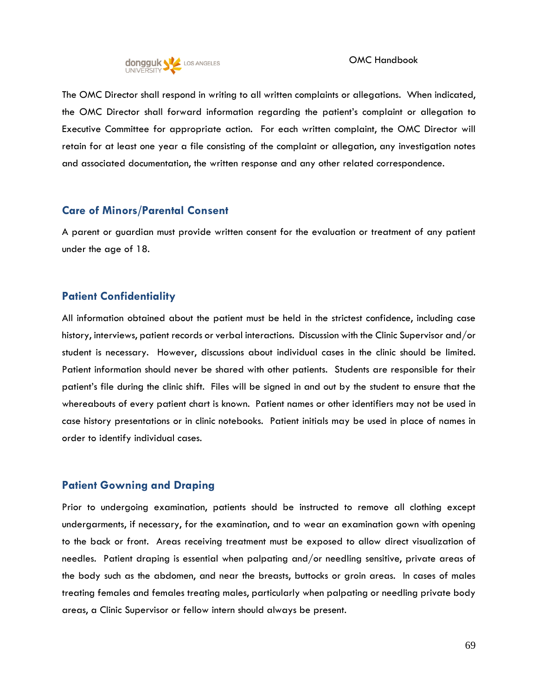

The OMC Director shall respond in writing to all written complaints or allegations. When indicated, the OMC Director shall forward information regarding the patient's complaint or allegation to Executive Committee for appropriate action. For each written complaint, the OMC Director will retain for at least one year a file consisting of the complaint or allegation, any investigation notes and associated documentation, the written response and any other related correspondence.

### **Care of Minors/Parental Consent**

A parent or guardian must provide written consent for the evaluation or treatment of any patient under the age of 18.

# **Patient Confidentiality**

All information obtained about the patient must be held in the strictest confidence, including case history, interviews, patient records or verbal interactions. Discussion with the Clinic Supervisor and/or student is necessary. However, discussions about individual cases in the clinic should be limited. Patient information should never be shared with other patients. Students are responsible for their patient's file during the clinic shift. Files will be signed in and out by the student to ensure that the whereabouts of every patient chart is known. Patient names or other identifiers may not be used in case history presentations or in clinic notebooks. Patient initials may be used in place of names in order to identify individual cases.

# **Patient Gowning and Draping**

Prior to undergoing examination, patients should be instructed to remove all clothing except undergarments, if necessary, for the examination, and to wear an examination gown with opening to the back or front. Areas receiving treatment must be exposed to allow direct visualization of needles. Patient draping is essential when palpating and/or needling sensitive, private areas of the body such as the abdomen, and near the breasts, buttocks or groin areas. In cases of males treating females and females treating males, particularly when palpating or needling private body areas, a Clinic Supervisor or fellow intern should always be present.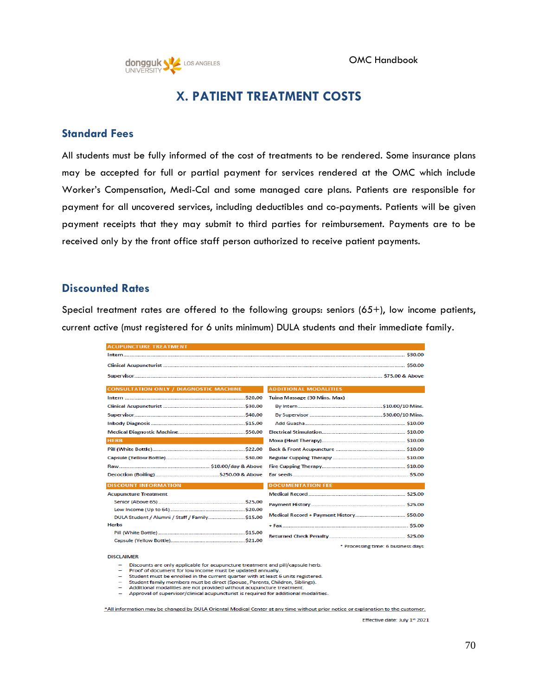

# **X. PATIENT TREATMENT COSTS**

### **Standard Fees**

All students must be fully informed of the cost of treatments to be rendered. Some insurance plans may be accepted for full or partial payment for services rendered at the OMC which include Worker's Compensation, Medi-Cal and some managed care plans. Patients are responsible for payment for all uncovered services, including deductibles and co-payments. Patients will be given payment receipts that they may submit to third parties for reimbursement. Payments are to be received only by the front office staff person authorized to receive patient payments.

### **Discounted Rates**

Special treatment rates are offered to the following groups: seniors (65+), low income patients, current active (must registered for 6 units minimum) DULA students and their immediate family.

| <b>ACUPUNCTURE TREATMENT</b>                   |                                    |  |  |
|------------------------------------------------|------------------------------------|--|--|
|                                                |                                    |  |  |
|                                                |                                    |  |  |
|                                                |                                    |  |  |
|                                                |                                    |  |  |
| <b>CONSULTATION ONLY / DIAGNOSTIC MACHINE</b>  | <b>ADDITIONAL MODALITIES</b>       |  |  |
|                                                | Tuina Massage (30 Mins, Max)       |  |  |
|                                                |                                    |  |  |
|                                                |                                    |  |  |
|                                                |                                    |  |  |
|                                                |                                    |  |  |
| <b>HERB</b>                                    |                                    |  |  |
|                                                |                                    |  |  |
|                                                |                                    |  |  |
|                                                |                                    |  |  |
|                                                |                                    |  |  |
| <b>DISCOUNT INFORMATION</b>                    | <b>DOCUMENTATION FEE</b>           |  |  |
| <b>Acupuncture Treatment</b>                   |                                    |  |  |
|                                                |                                    |  |  |
|                                                |                                    |  |  |
| DULA Student / Alumni / Staff / Family \$15.00 |                                    |  |  |
| <b>Herbs</b>                                   | $+ Fax$ S5.00                      |  |  |
|                                                |                                    |  |  |
|                                                |                                    |  |  |
|                                                | * Processing time: 6 business days |  |  |

#### **DISCLAIMER**

- Discounts are only applicable for acupuncture treatment and pill/capsule herb.
- Proof of document for low income must be updated annually. ÷
- Student must be enrolled in the current quarter with at least 6 units registered.<br>Student family members must be direct (Spouse, Parents, Children, Siblings).
- Additional modalities are not provided without acupuncture treatment
- Approval of supervisor/clinical acupuncturist is required for additional modalities.

\*All information may be changed by DULA Oriental Medical Center at any time without prior notice or explanation to the customer.

Effective date: July 1st 2021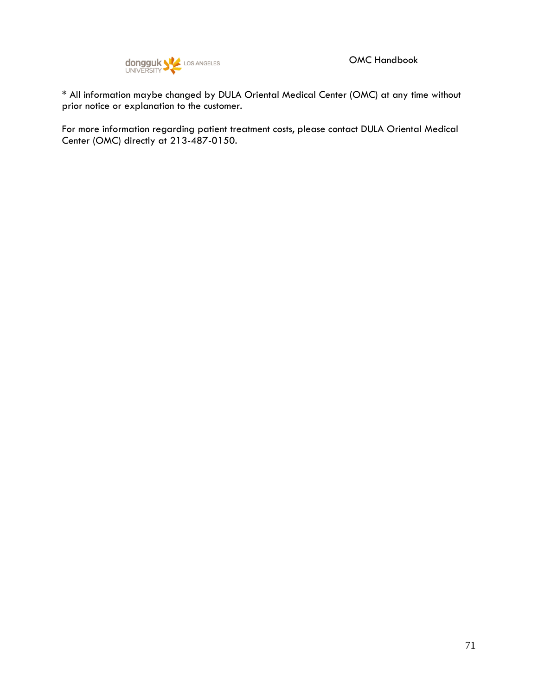

\* All information maybe changed by DULA Oriental Medical Center (OMC) at any time without prior notice or explanation to the customer.

For more information regarding patient treatment costs, please contact DULA Oriental Medical Center (OMC) directly at 213-487-0150.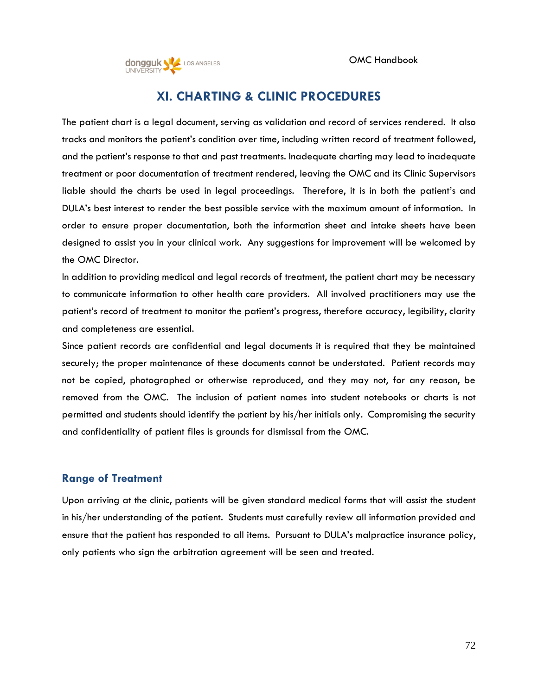

# **XI. CHARTING & CLINIC PROCEDURES**

The patient chart is a legal document, serving as validation and record of services rendered. It also tracks and monitors the patient's condition over time, including written record of treatment followed, and the patient's response to that and past treatments. Inadequate charting may lead to inadequate treatment or poor documentation of treatment rendered, leaving the OMC and its Clinic Supervisors liable should the charts be used in legal proceedings. Therefore, it is in both the patient's and DULA's best interest to render the best possible service with the maximum amount of information. In order to ensure proper documentation, both the information sheet and intake sheets have been designed to assist you in your clinical work. Any suggestions for improvement will be welcomed by the OMC Director.

In addition to providing medical and legal records of treatment, the patient chart may be necessary to communicate information to other health care providers. All involved practitioners may use the patient's record of treatment to monitor the patient's progress, therefore accuracy, legibility, clarity and completeness are essential.

Since patient records are confidential and legal documents it is required that they be maintained securely; the proper maintenance of these documents cannot be understated. Patient records may not be copied, photographed or otherwise reproduced, and they may not, for any reason, be removed from the OMC. The inclusion of patient names into student notebooks or charts is not permitted and students should identify the patient by his/her initials only. Compromising the security and confidentiality of patient files is grounds for dismissal from the OMC.

### **Range of Treatment**

Upon arriving at the clinic, patients will be given standard medical forms that will assist the student in his/her understanding of the patient. Students must carefully review all information provided and ensure that the patient has responded to all items. Pursuant to DULA's malpractice insurance policy, only patients who sign the arbitration agreement will be seen and treated.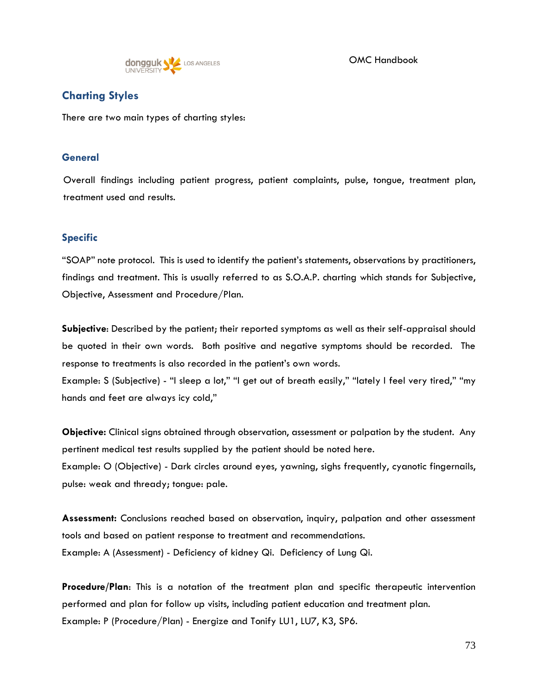

## **Charting Styles**

There are two main types of charting styles:

#### **General**

Overall findings including patient progress, patient complaints, pulse, tongue, treatment plan, treatment used and results.

### **Specific**

"SOAP" note protocol. This is used to identify the patient's statements, observations by practitioners, findings and treatment. This is usually referred to as S.O.A.P. charting which stands for Subjective, Objective, Assessment and Procedure/Plan.

**Subjective**: Described by the patient; their reported symptoms as well as their self-appraisal should be quoted in their own words. Both positive and negative symptoms should be recorded. The response to treatments is also recorded in the patient's own words.

Example: S (Subjective) - "I sleep a lot," "I get out of breath easily," "lately I feel very tired," "my hands and feet are always icy cold,"

**Objective:** Clinical signs obtained through observation, assessment or palpation by the student. Any pertinent medical test results supplied by the patient should be noted here. Example: O (Objective) - Dark circles around eyes, yawning, sighs frequently, cyanotic fingernails, pulse: weak and thready; tongue: pale.

**Assessment:** Conclusions reached based on observation, inquiry, palpation and other assessment tools and based on patient response to treatment and recommendations. Example: A (Assessment) - Deficiency of kidney Qi. Deficiency of Lung Qi.

**Procedure/Plan**: This is a notation of the treatment plan and specific therapeutic intervention performed and plan for follow up visits, including patient education and treatment plan. Example: P (Procedure/Plan) - Energize and Tonify LU1, LU7, K3, SP6.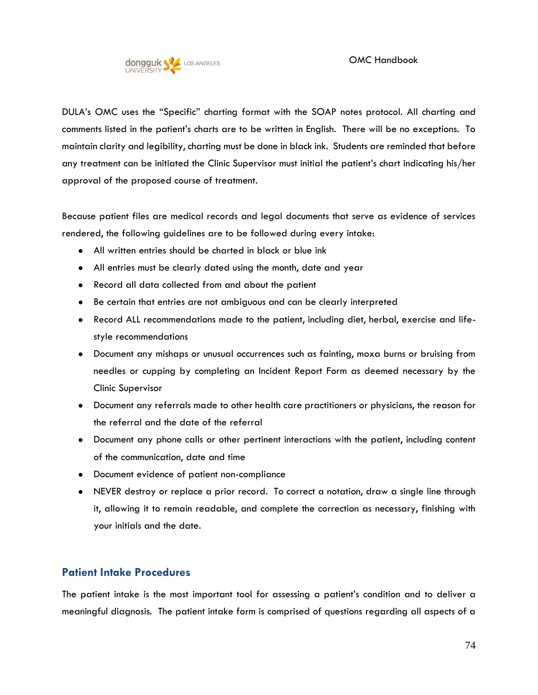

DULA's OMC uses the "Specific" charting format with the SOAP notes protocol. All charting and comments listed in the patient's charts are to be written in English. There will be no exceptions. To maintain clarity and legibility, charting must be done in black ink. Students are reminded that before any treatment can be initiated the Clinic Supervisor must initial the patient's chart indicating his/her approval of the proposed course of treatment.

Because patient files are medical records and legal documents that serve as evidence of services rendered, the following guidelines are to be followed during every intake:

- All written entries should be charted in black or blue ink
- All entries must be clearly dated using the month, date and year
- Record all data collected from and about the patient
- Be certain that entries are not ambiguous and can be clearly interpreted
- Record ALL recommendations made to the patient, including diet, herbal, exercise and lifestyle recommendations
- Document any mishaps or unusual occurrences such as fainting, moxa burns or bruising from needles or cupping by completing an Incident Report Form as deemed necessary by the Clinic Supervisor
- Document any referrals made to other health care practitioners or physicians, the reason for the referral and the date of the referral
- Document any phone calls or other pertinent interactions with the patient, including content of the communication, date and time
- Document evidence of patient non-compliance
- NEVER destroy or replace a prior record. To correct a notation, draw a single line through it, allowing it to remain readable, and complete the correction as necessary, finishing with your initials and the date.

#### **Patient Intake Procedures**

The patient intake is the most important tool for assessing a patient's condition and to deliver a meaningful diagnosis. The patient intake form is comprised of questions regarding all aspects of a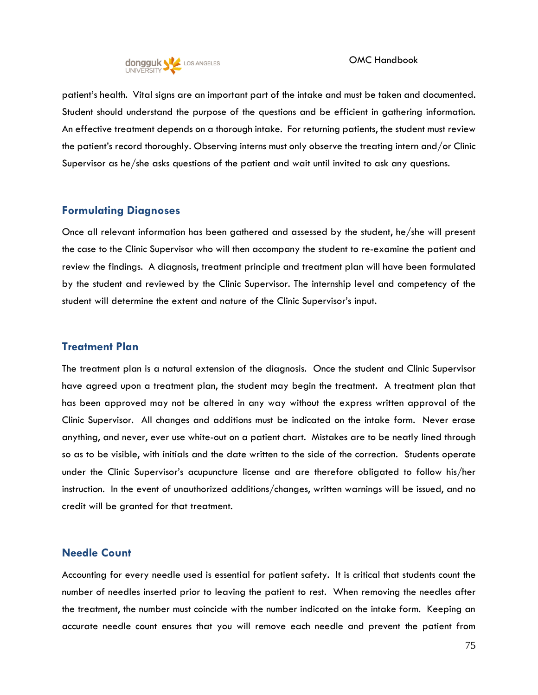

patient's health. Vital signs are an important part of the intake and must be taken and documented. Student should understand the purpose of the questions and be efficient in gathering information. An effective treatment depends on a thorough intake. For returning patients, the student must review the patient's record thoroughly. Observing interns must only observe the treating intern and/or Clinic Supervisor as he/she asks questions of the patient and wait until invited to ask any questions.

### **Formulating Diagnoses**

Once all relevant information has been gathered and assessed by the student, he/she will present the case to the Clinic Supervisor who will then accompany the student to re-examine the patient and review the findings. A diagnosis, treatment principle and treatment plan will have been formulated by the student and reviewed by the Clinic Supervisor. The internship level and competency of the student will determine the extent and nature of the Clinic Supervisor's input.

#### **Treatment Plan**

The treatment plan is a natural extension of the diagnosis. Once the student and Clinic Supervisor have agreed upon a treatment plan, the student may begin the treatment. A treatment plan that has been approved may not be altered in any way without the express written approval of the Clinic Supervisor. All changes and additions must be indicated on the intake form. Never erase anything, and never, ever use white-out on a patient chart. Mistakes are to be neatly lined through so as to be visible, with initials and the date written to the side of the correction. Students operate under the Clinic Supervisor's acupuncture license and are therefore obligated to follow his/her instruction. In the event of unauthorized additions/changes, written warnings will be issued, and no credit will be granted for that treatment.

#### **Needle Count**

Accounting for every needle used is essential for patient safety. It is critical that students count the number of needles inserted prior to leaving the patient to rest. When removing the needles after the treatment, the number must coincide with the number indicated on the intake form. Keeping an accurate needle count ensures that you will remove each needle and prevent the patient from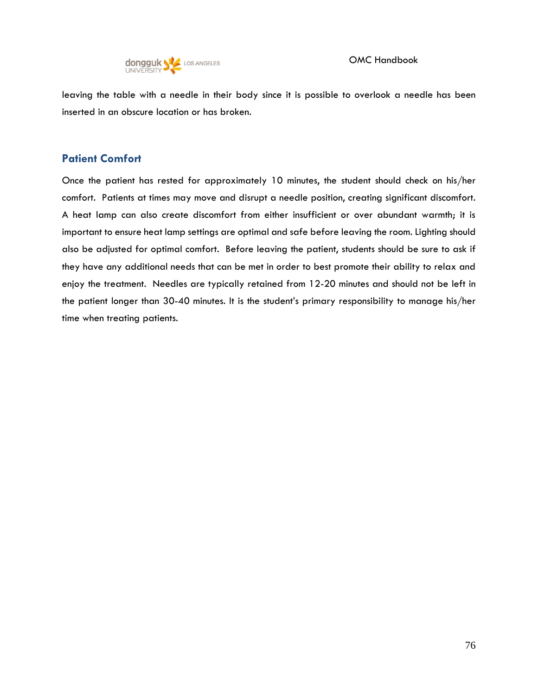

leaving the table with a needle in their body since it is possible to overlook a needle has been inserted in an obscure location or has broken.

## **Patient Comfort**

Once the patient has rested for approximately 10 minutes, the student should check on his/her comfort. Patients at times may move and disrupt a needle position, creating significant discomfort. A heat lamp can also create discomfort from either insufficient or over abundant warmth; it is important to ensure heat lamp settings are optimal and safe before leaving the room. Lighting should also be adjusted for optimal comfort. Before leaving the patient, students should be sure to ask if they have any additional needs that can be met in order to best promote their ability to relax and enjoy the treatment. Needles are typically retained from 12-20 minutes and should not be left in the patient longer than 30-40 minutes. It is the student's primary responsibility to manage his/her time when treating patients.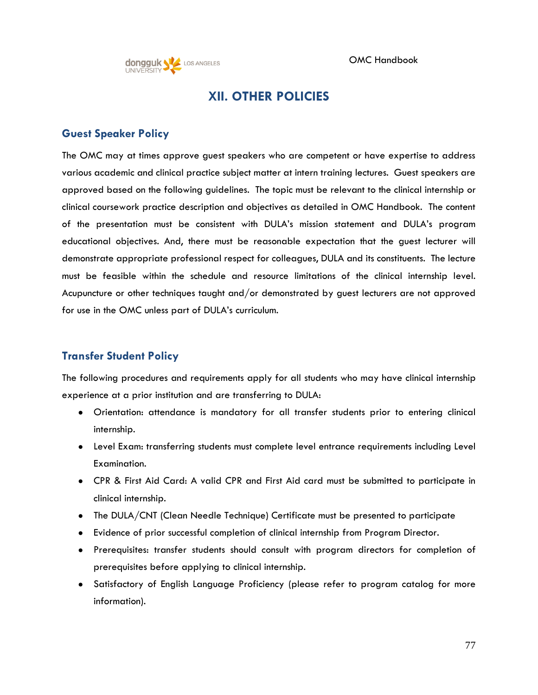

# **XII. OTHER POLICIES**

## **Guest Speaker Policy**

The OMC may at times approve guest speakers who are competent or have expertise to address various academic and clinical practice subject matter at intern training lectures. Guest speakers are approved based on the following guidelines. The topic must be relevant to the clinical internship or clinical coursework practice description and objectives as detailed in OMC Handbook. The content of the presentation must be consistent with DULA's mission statement and DULA's program educational objectives. And, there must be reasonable expectation that the guest lecturer will demonstrate appropriate professional respect for colleagues, DULA and its constituents. The lecture must be feasible within the schedule and resource limitations of the clinical internship level. Acupuncture or other techniques taught and/or demonstrated by guest lecturers are not approved for use in the OMC unless part of DULA's curriculum.

## **Transfer Student Policy**

The following procedures and requirements apply for all students who may have clinical internship experience at a prior institution and are transferring to DULA:

- Orientation: attendance is mandatory for all transfer students prior to entering clinical internship.
- Level Exam: transferring students must complete level entrance requirements including Level Examination.
- CPR & First Aid Card: A valid CPR and First Aid card must be submitted to participate in clinical internship.
- The DULA/CNT (Clean Needle Technique) Certificate must be presented to participate
- Evidence of prior successful completion of clinical internship from Program Director.
- Prerequisites: transfer students should consult with program directors for completion of prerequisites before applying to clinical internship.
- Satisfactory of English Language Proficiency (please refer to program catalog for more information).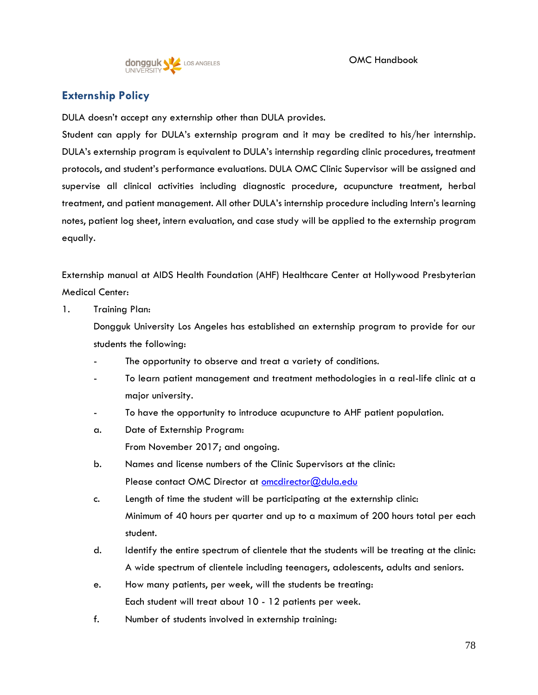

# **Externship Policy**

DULA doesn't accept any externship other than DULA provides.

Student can apply for DULA's externship program and it may be credited to his/her internship. DULA's externship program is equivalent to DULA's internship regarding clinic procedures, treatment protocols, and student's performance evaluations. DULA OMC Clinic Supervisor will be assigned and supervise all clinical activities including diagnostic procedure, acupuncture treatment, herbal treatment, and patient management. All other DULA's internship procedure including Intern's learning notes, patient log sheet, intern evaluation, and case study will be applied to the externship program equally.

Externship manual at AIDS Health Foundation (AHF) Healthcare Center at Hollywood Presbyterian Medical Center:

1. Training Plan:

Dongguk University Los Angeles has established an externship program to provide for our students the following:

- The opportunity to observe and treat a variety of conditions.
- To learn patient management and treatment methodologies in a real-life clinic at a major university.
- To have the opportunity to introduce acupuncture to AHF patient population.
- a. Date of Externship Program: From November 2017; and ongoing.
- b. Names and license numbers of the Clinic Supervisors at the clinic: Please contact OMC Director at **omcdirector@dula.edu**
- c. Length of time the student will be participating at the externship clinic: Minimum of 40 hours per quarter and up to a maximum of 200 hours total per each student.
- d. Identify the entire spectrum of clientele that the students will be treating at the clinic: A wide spectrum of clientele including teenagers, adolescents, adults and seniors.
- e. How many patients, per week, will the students be treating: Each student will treat about 10 - 12 patients per week.
- f. Number of students involved in externship training: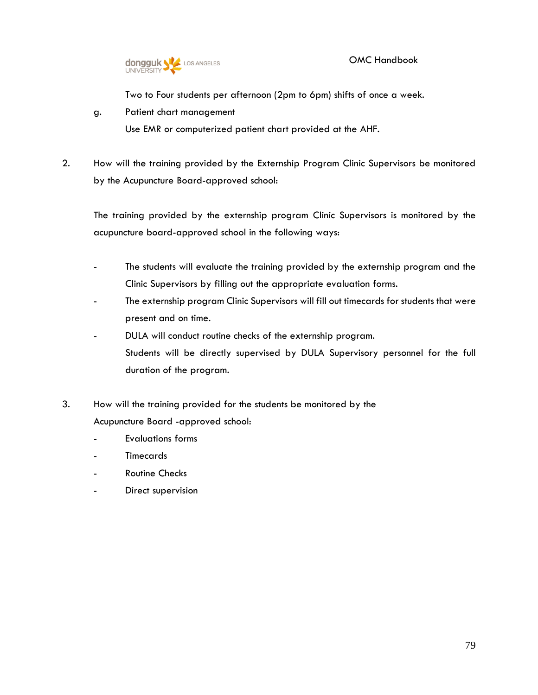

Two to Four students per afternoon (2pm to 6pm) shifts of once a week.

g. Patient chart management

Use EMR or computerized patient chart provided at the AHF.

2. How will the training provided by the Externship Program Clinic Supervisors be monitored by the Acupuncture Board-approved school:

The training provided by the externship program Clinic Supervisors is monitored by the acupuncture board-approved school in the following ways:

- The students will evaluate the training provided by the externship program and the Clinic Supervisors by filling out the appropriate evaluation forms.
- The externship program Clinic Supervisors will fill out timecards for students that were present and on time.
- DULA will conduct routine checks of the externship program. Students will be directly supervised by DULA Supervisory personnel for the full duration of the program.
- 3. How will the training provided for the students be monitored by the Acupuncture Board -approved school:
	- Evaluations forms
	- **Timecards**
	- Routine Checks
	- Direct supervision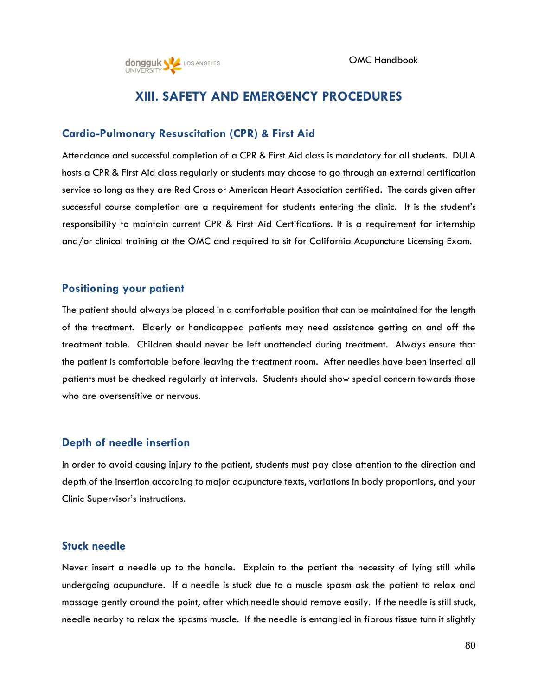

# **XIII. SAFETY AND EMERGENCY PROCEDURES**

#### **Cardio-Pulmonary Resuscitation (CPR) & First Aid**

Attendance and successful completion of a CPR & First Aid class is mandatory for all students. DULA hosts a CPR & First Aid class regularly or students may choose to go through an external certification service so long as they are Red Cross or American Heart Association certified. The cards given after successful course completion are a requirement for students entering the clinic. It is the student's responsibility to maintain current CPR & First Aid Certifications. It is a requirement for internship and/or clinical training at the OMC and required to sit for California Acupuncture Licensing Exam.

#### **Positioning your patient**

The patient should always be placed in a comfortable position that can be maintained for the length of the treatment. Elderly or handicapped patients may need assistance getting on and off the treatment table. Children should never be left unattended during treatment. Always ensure that the patient is comfortable before leaving the treatment room. After needles have been inserted all patients must be checked regularly at intervals. Students should show special concern towards those who are oversensitive or nervous.

#### **Depth of needle insertion**

In order to avoid causing injury to the patient, students must pay close attention to the direction and depth of the insertion according to major acupuncture texts, variations in body proportions, and your Clinic Supervisor's instructions.

#### **Stuck needle**

Never insert a needle up to the handle. Explain to the patient the necessity of lying still while undergoing acupuncture. If a needle is stuck due to a muscle spasm ask the patient to relax and massage gently around the point, after which needle should remove easily. If the needle is still stuck, needle nearby to relax the spasms muscle. If the needle is entangled in fibrous tissue turn it slightly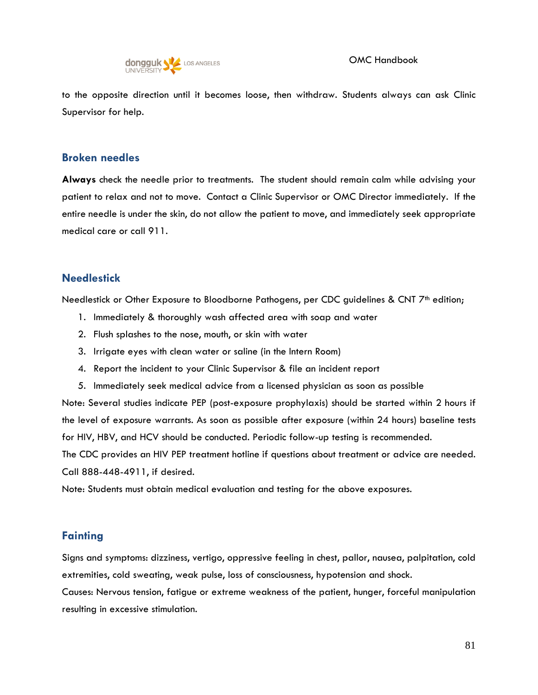

to the opposite direction until it becomes loose, then withdraw. Students always can ask Clinic Supervisor for help.

#### **Broken needles**

**Always** check the needle prior to treatments. The student should remain calm while advising your patient to relax and not to move. Contact a Clinic Supervisor or OMC Director immediately. If the entire needle is under the skin, do not allow the patient to move, and immediately seek appropriate medical care or call 911.

#### **Needlestick**

Needlestick or Other Exposure to Bloodborne Pathogens, per CDC guidelines & CNT 7<sup>th</sup> edition;

- 1. Immediately & thoroughly wash affected area with soap and water
- 2. Flush splashes to the nose, mouth, or skin with water
- 3. Irrigate eyes with clean water or saline (in the Intern Room)
- 4. Report the incident to your Clinic Supervisor & file an incident report
- 5. Immediately seek medical advice from a licensed physician as soon as possible

Note: Several studies indicate PEP (post-exposure prophylaxis) should be started within 2 hours if the level of exposure warrants. As soon as possible after exposure (within 24 hours) baseline tests for HIV, HBV, and HCV should be conducted. Periodic follow-up testing is recommended. The CDC provides an HIV PEP treatment hotline if questions about treatment or advice are needed. Call 888-448-4911, if desired.

Note: Students must obtain medical evaluation and testing for the above exposures.

#### **Fainting**

Signs and symptoms: dizziness, vertigo, oppressive feeling in chest, pallor, nausea, palpitation, cold extremities, cold sweating, weak pulse, loss of consciousness, hypotension and shock.

Causes: Nervous tension, fatigue or extreme weakness of the patient, hunger, forceful manipulation resulting in excessive stimulation.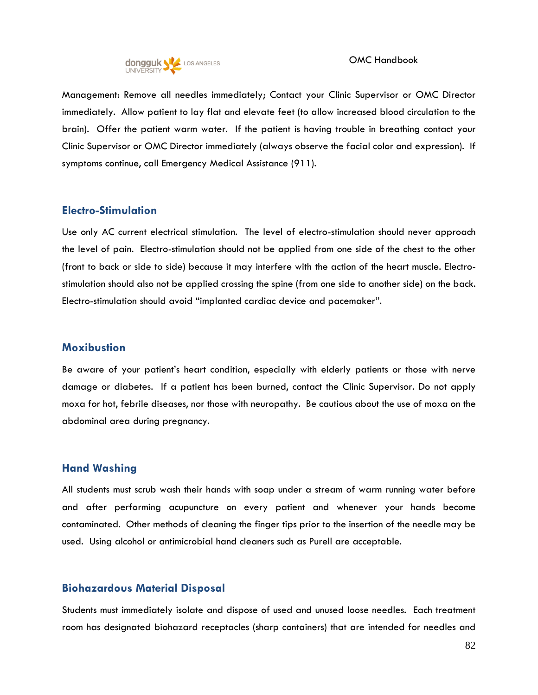

Management: Remove all needles immediately; Contact your Clinic Supervisor or OMC Director immediately. Allow patient to lay flat and elevate feet (to allow increased blood circulation to the brain). Offer the patient warm water. If the patient is having trouble in breathing contact your Clinic Supervisor or OMC Director immediately (always observe the facial color and expression). If symptoms continue, call Emergency Medical Assistance (911).

### **Electro-Stimulation**

Use only AC current electrical stimulation. The level of electro-stimulation should never approach the level of pain. Electro-stimulation should not be applied from one side of the chest to the other (front to back or side to side) because it may interfere with the action of the heart muscle. Electrostimulation should also not be applied crossing the spine (from one side to another side) on the back. Electro-stimulation should avoid "implanted cardiac device and pacemaker".

#### **Moxibustion**

Be aware of your patient's heart condition, especially with elderly patients or those with nerve damage or diabetes. If a patient has been burned, contact the Clinic Supervisor. Do not apply moxa for hot, febrile diseases, nor those with neuropathy. Be cautious about the use of moxa on the abdominal area during pregnancy.

## **Hand Washing**

All students must scrub wash their hands with soap under a stream of warm running water before and after performing acupuncture on every patient and whenever your hands become contaminated. Other methods of cleaning the finger tips prior to the insertion of the needle may be used. Using alcohol or antimicrobial hand cleaners such as Purell are acceptable.

## **Biohazardous Material Disposal**

Students must immediately isolate and dispose of used and unused loose needles. Each treatment room has designated biohazard receptacles (sharp containers) that are intended for needles and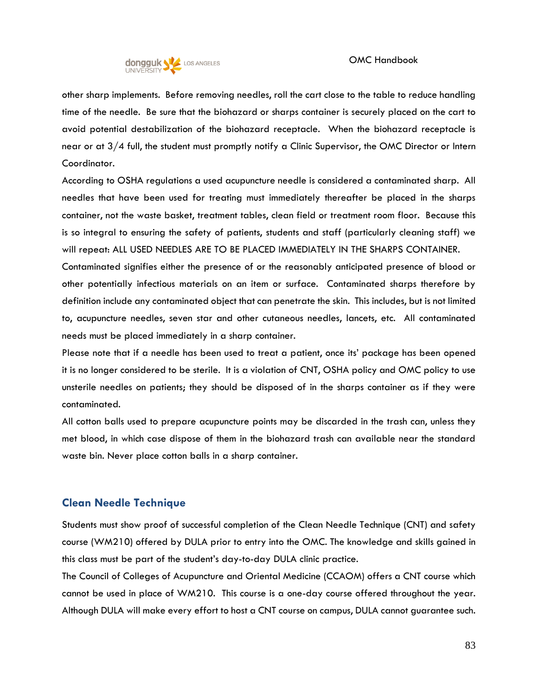

other sharp implements. Before removing needles, roll the cart close to the table to reduce handling time of the needle. Be sure that the biohazard or sharps container is securely placed on the cart to avoid potential destabilization of the biohazard receptacle. When the biohazard receptacle is near or at 3/4 full, the student must promptly notify a Clinic Supervisor, the OMC Director or Intern Coordinator.

According to OSHA regulations a used acupuncture needle is considered a contaminated sharp. All needles that have been used for treating must immediately thereafter be placed in the sharps container, not the waste basket, treatment tables, clean field or treatment room floor. Because this is so integral to ensuring the safety of patients, students and staff (particularly cleaning staff) we will repeat: ALL USED NEEDLES ARE TO BE PLACED IMMEDIATELY IN THE SHARPS CONTAINER.

Contaminated signifies either the presence of or the reasonably anticipated presence of blood or other potentially infectious materials on an item or surface. Contaminated sharps therefore by definition include any contaminated object that can penetrate the skin. This includes, but is not limited to, acupuncture needles, seven star and other cutaneous needles, lancets, etc. All contaminated needs must be placed immediately in a sharp container.

Please note that if a needle has been used to treat a patient, once its' package has been opened it is no longer considered to be sterile. It is a violation of CNT, OSHA policy and OMC policy to use unsterile needles on patients; they should be disposed of in the sharps container as if they were contaminated.

All cotton balls used to prepare acupuncture points may be discarded in the trash can, unless they met blood, in which case dispose of them in the biohazard trash can available near the standard waste bin. Never place cotton balls in a sharp container.

## **Clean Needle Technique**

Students must show proof of successful completion of the Clean Needle Technique (CNT) and safety course (WM210) offered by DULA prior to entry into the OMC. The knowledge and skills gained in this class must be part of the student's day-to-day DULA clinic practice.

The Council of Colleges of Acupuncture and Oriental Medicine (CCAOM) offers a CNT course which cannot be used in place of WM210. This course is a one-day course offered throughout the year. Although DULA will make every effort to host a CNT course on campus, DULA cannot guarantee such.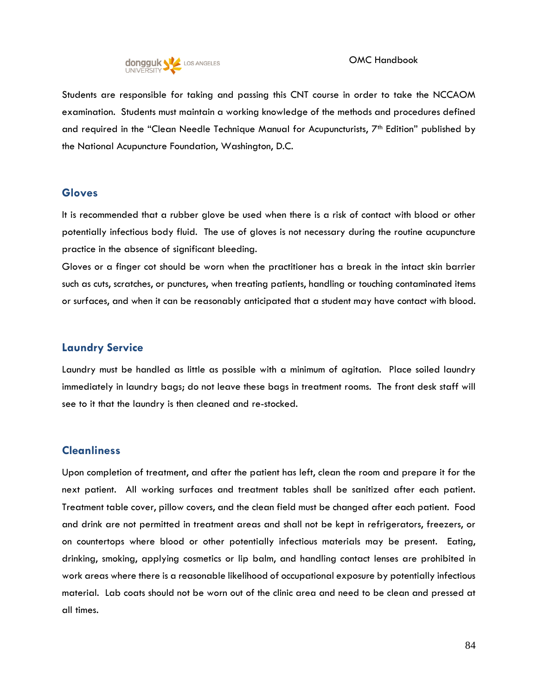

Students are responsible for taking and passing this CNT course in order to take the NCCAOM examination. Students must maintain a working knowledge of the methods and procedures defined and required in the "Clean Needle Technique Manual for Acupuncturists, 7<sup>th</sup> Edition" published by the National Acupuncture Foundation, Washington, D.C.

### **Gloves**

It is recommended that a rubber glove be used when there is a risk of contact with blood or other potentially infectious body fluid. The use of gloves is not necessary during the routine acupuncture practice in the absence of significant bleeding.

Gloves or a finger cot should be worn when the practitioner has a break in the intact skin barrier such as cuts, scratches, or punctures, when treating patients, handling or touching contaminated items or surfaces, and when it can be reasonably anticipated that a student may have contact with blood.

## **Laundry Service**

Laundry must be handled as little as possible with a minimum of agitation. Place soiled laundry immediately in laundry bags; do not leave these bags in treatment rooms. The front desk staff will see to it that the laundry is then cleaned and re-stocked.

## **Cleanliness**

Upon completion of treatment, and after the patient has left, clean the room and prepare it for the next patient. All working surfaces and treatment tables shall be sanitized after each patient. Treatment table cover, pillow covers, and the clean field must be changed after each patient. Food and drink are not permitted in treatment areas and shall not be kept in refrigerators, freezers, or on countertops where blood or other potentially infectious materials may be present. Eating, drinking, smoking, applying cosmetics or lip balm, and handling contact lenses are prohibited in work areas where there is a reasonable likelihood of occupational exposure by potentially infectious material. Lab coats should not be worn out of the clinic area and need to be clean and pressed at all times.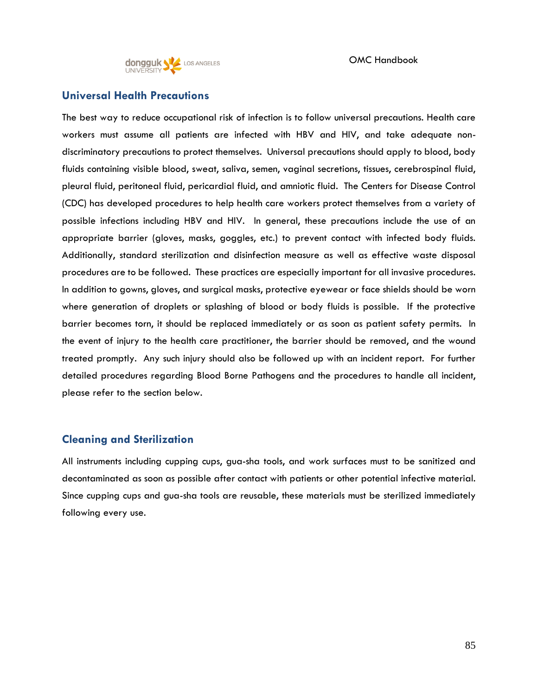

### **Universal Health Precautions**

The best way to reduce occupational risk of infection is to follow universal precautions. Health care workers must assume all patients are infected with HBV and HIV, and take adequate nondiscriminatory precautions to protect themselves. Universal precautions should apply to blood, body fluids containing visible blood, sweat, saliva, semen, vaginal secretions, tissues, cerebrospinal fluid, pleural fluid, peritoneal fluid, pericardial fluid, and amniotic fluid. The Centers for Disease Control (CDC) has developed procedures to help health care workers protect themselves from a variety of possible infections including HBV and HIV. In general, these precautions include the use of an appropriate barrier (gloves, masks, goggles, etc.) to prevent contact with infected body fluids. Additionally, standard sterilization and disinfection measure as well as effective waste disposal procedures are to be followed. These practices are especially important for all invasive procedures. In addition to gowns, gloves, and surgical masks, protective eyewear or face shields should be worn where generation of droplets or splashing of blood or body fluids is possible. If the protective barrier becomes torn, it should be replaced immediately or as soon as patient safety permits. In the event of injury to the health care practitioner, the barrier should be removed, and the wound treated promptly. Any such injury should also be followed up with an incident report. For further detailed procedures regarding Blood Borne Pathogens and the procedures to handle all incident, please refer to the section below.

## **Cleaning and Sterilization**

All instruments including cupping cups, gua-sha tools, and work surfaces must to be sanitized and decontaminated as soon as possible after contact with patients or other potential infective material. Since cupping cups and gua-sha tools are reusable, these materials must be sterilized immediately following every use.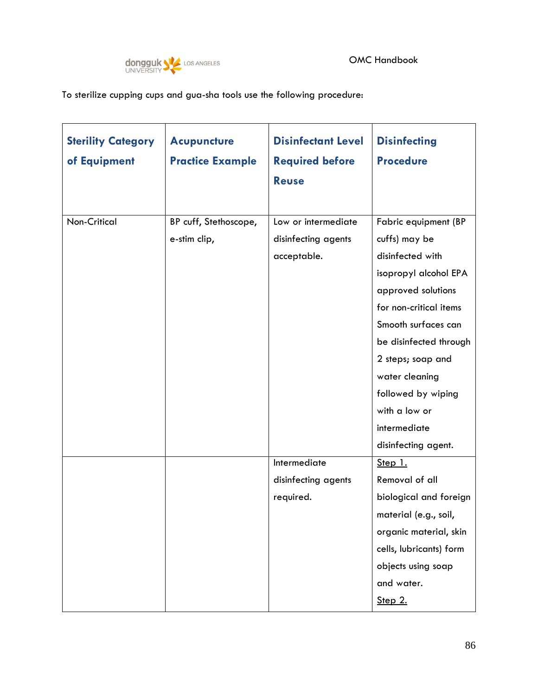

# To sterilize cupping cups and gua-sha tools use the following procedure:

| <b>Sterility Category</b><br>of Equipment | <b>Acupuncture</b><br><b>Practice Example</b> | <b>Disinfectant Level</b><br><b>Required before</b><br><b>Reuse</b> | <b>Disinfecting</b><br><b>Procedure</b> |
|-------------------------------------------|-----------------------------------------------|---------------------------------------------------------------------|-----------------------------------------|
| Non-Critical                              | BP cuff, Stethoscope,                         | Low or intermediate                                                 | Fabric equipment (BP                    |
|                                           | e-stim clip,                                  | disinfecting agents                                                 | cuffs) may be                           |
|                                           |                                               | acceptable.                                                         | disinfected with                        |
|                                           |                                               |                                                                     | isopropyl alcohol EPA                   |
|                                           |                                               |                                                                     | approved solutions                      |
|                                           |                                               |                                                                     | for non-critical items                  |
|                                           |                                               |                                                                     | Smooth surfaces can                     |
|                                           |                                               |                                                                     | be disinfected through                  |
|                                           |                                               |                                                                     | 2 steps; soap and                       |
|                                           |                                               |                                                                     | water cleaning                          |
|                                           |                                               |                                                                     | followed by wiping                      |
|                                           |                                               |                                                                     | with a low or                           |
|                                           |                                               |                                                                     | intermediate                            |
|                                           |                                               |                                                                     | disinfecting agent.                     |
|                                           |                                               | Intermediate                                                        | Step 1.                                 |
|                                           |                                               | disinfecting agents                                                 | Removal of all                          |
|                                           |                                               | required.                                                           | biological and foreign                  |
|                                           |                                               |                                                                     | material (e.g., soil,                   |
|                                           |                                               |                                                                     | organic material, skin                  |
|                                           |                                               |                                                                     | cells, lubricants) form                 |
|                                           |                                               |                                                                     | objects using soap                      |
|                                           |                                               |                                                                     | and water.                              |
|                                           |                                               |                                                                     | Step 2.                                 |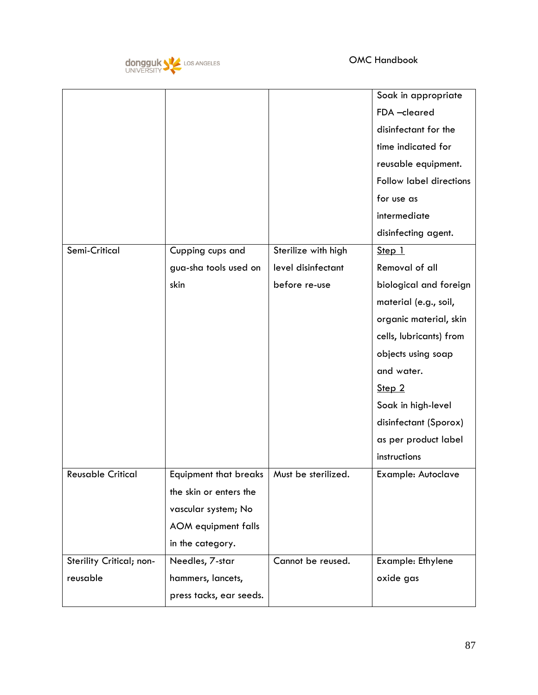

|                          |                              |                     | Soak in appropriate            |
|--------------------------|------------------------------|---------------------|--------------------------------|
|                          |                              |                     | FDA-cleared                    |
|                          |                              |                     | disinfectant for the           |
|                          |                              |                     | time indicated for             |
|                          |                              |                     | reusable equipment.            |
|                          |                              |                     | <b>Follow label directions</b> |
|                          |                              |                     | for use as                     |
|                          |                              |                     | intermediate                   |
|                          |                              |                     | disinfecting agent.            |
| Semi-Critical            | Cupping cups and             | Sterilize with high | Step 1                         |
|                          | gua-sha tools used on        | level disinfectant  | Removal of all                 |
|                          | skin                         | before re-use       | biological and foreign         |
|                          |                              |                     | material (e.g., soil,          |
|                          |                              |                     | organic material, skin         |
|                          |                              |                     | cells, lubricants) from        |
|                          |                              |                     | objects using soap             |
|                          |                              |                     | and water.                     |
|                          |                              |                     | Step 2                         |
|                          |                              |                     | Soak in high-level             |
|                          |                              |                     | disinfectant (Sporox)          |
|                          |                              |                     | as per product label           |
|                          |                              |                     | instructions                   |
| <b>Reusable Critical</b> | <b>Equipment that breaks</b> | Must be sterilized. | <b>Example: Autoclave</b>      |
|                          | the skin or enters the       |                     |                                |
|                          | vascular system; No          |                     |                                |
|                          | AOM equipment falls          |                     |                                |
|                          | in the category.             |                     |                                |
| Sterility Critical; non- | Needles, 7-star              | Cannot be reused.   | Example: Ethylene              |
| reusable                 | hammers, lancets,            |                     | oxide gas                      |
|                          | press tacks, ear seeds.      |                     |                                |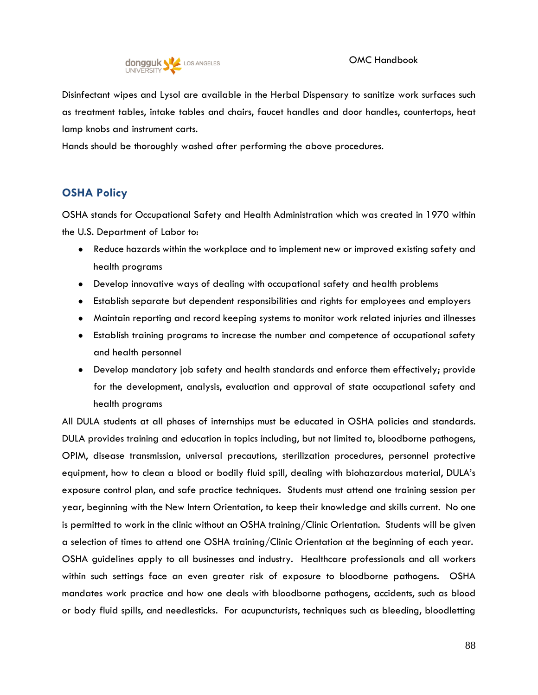

Disinfectant wipes and Lysol are available in the Herbal Dispensary to sanitize work surfaces such as treatment tables, intake tables and chairs, faucet handles and door handles, countertops, heat lamp knobs and instrument carts.

Hands should be thoroughly washed after performing the above procedures.

# **OSHA Policy**

OSHA stands for Occupational Safety and Health Administration which was created in 1970 within the U.S. Department of Labor to:

- Reduce hazards within the workplace and to implement new or improved existing safety and health programs
- Develop innovative ways of dealing with occupational safety and health problems
- Establish separate but dependent responsibilities and rights for employees and employers
- Maintain reporting and record keeping systems to monitor work related injuries and illnesses
- Establish training programs to increase the number and competence of occupational safety and health personnel
- Develop mandatory job safety and health standards and enforce them effectively; provide for the development, analysis, evaluation and approval of state occupational safety and health programs

All DULA students at all phases of internships must be educated in OSHA policies and standards. DULA provides training and education in topics including, but not limited to, bloodborne pathogens, OPIM, disease transmission, universal precautions, sterilization procedures, personnel protective equipment, how to clean a blood or bodily fluid spill, dealing with biohazardous material, DULA's exposure control plan, and safe practice techniques. Students must attend one training session per year, beginning with the New Intern Orientation, to keep their knowledge and skills current. No one is permitted to work in the clinic without an OSHA training/Clinic Orientation. Students will be given a selection of times to attend one OSHA training/Clinic Orientation at the beginning of each year. OSHA guidelines apply to all businesses and industry. Healthcare professionals and all workers within such settings face an even greater risk of exposure to bloodborne pathogens. OSHA mandates work practice and how one deals with bloodborne pathogens, accidents, such as blood or body fluid spills, and needlesticks. For acupuncturists, techniques such as bleeding, bloodletting